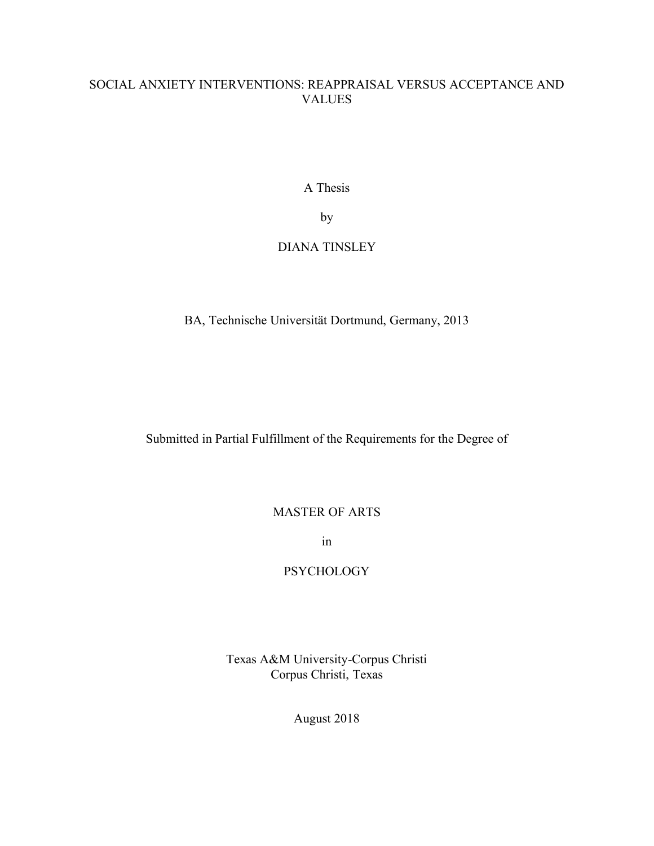# SOCIAL ANXIETY INTERVENTIONS: REAPPRAISAL VERSUS ACCEPTANCE AND VALUES

A Thesis

by

# DIANA TINSLEY

BA, Technische Universität Dortmund, Germany, 2013

Submitted in Partial Fulfillment of the Requirements for the Degree of

MASTER OF ARTS

in

# **PSYCHOLOGY**

Texas A&M University-Corpus Christi Corpus Christi, Texas

August 2018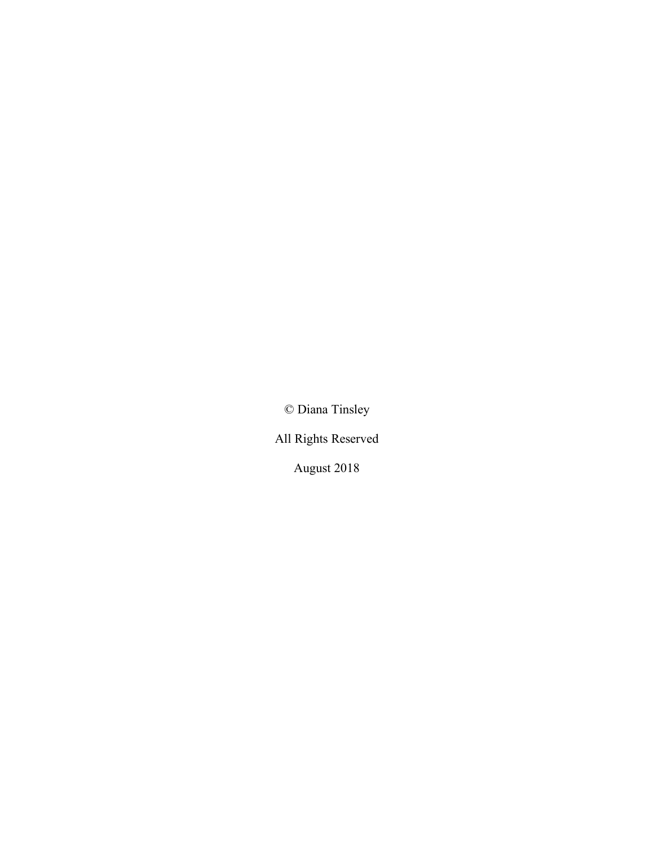© Diana Tinsley

All Rights Reserved

August 2018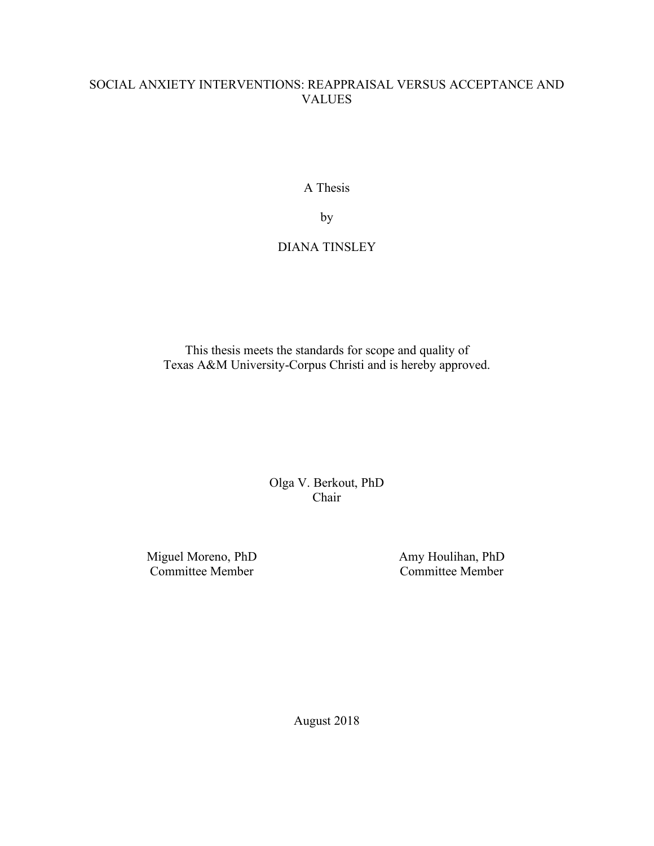# SOCIAL ANXIETY INTERVENTIONS: REAPPRAISAL VERSUS ACCEPTANCE AND VALUES

A Thesis

by

# DIANA TINSLEY

This thesis meets the standards for scope and quality of Texas A&M University-Corpus Christi and is hereby approved.

> Olga V. Berkout, PhD Chair

Miguel Moreno, PhD Committee Member

Amy Houlihan, PhD Committee Member

August 2018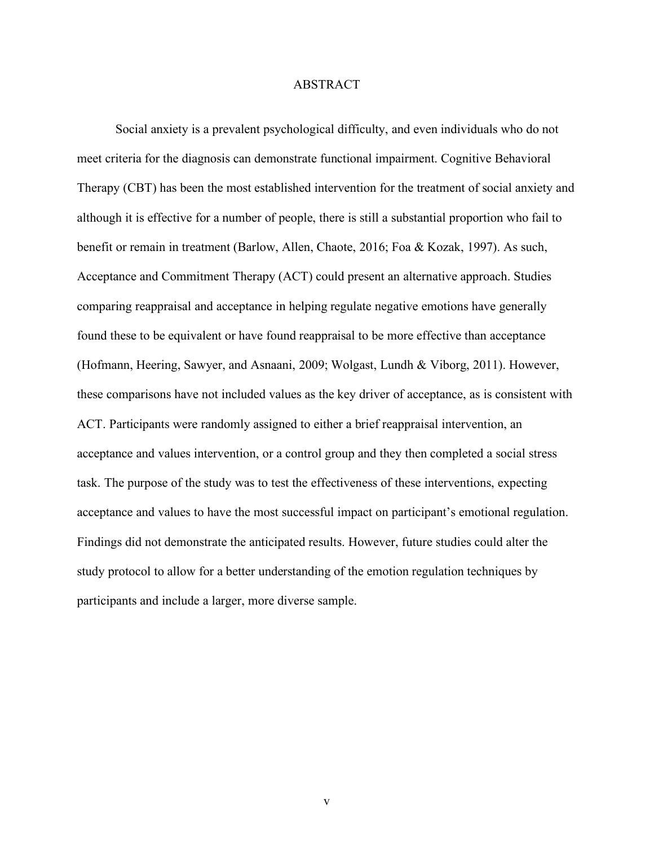## ABSTRACT

Social anxiety is a prevalent psychological difficulty, and even individuals who do not meet criteria for the diagnosis can demonstrate functional impairment. Cognitive Behavioral Therapy (CBT) has been the most established intervention for the treatment of social anxiety and although it is effective for a number of people, there is still a substantial proportion who fail to benefit or remain in treatment (Barlow, Allen, Chaote, 2016; Foa & Kozak, 1997). As such, Acceptance and Commitment Therapy (ACT) could present an alternative approach. Studies comparing reappraisal and acceptance in helping regulate negative emotions have generally found these to be equivalent or have found reappraisal to be more effective than acceptance (Hofmann, Heering, Sawyer, and Asnaani, 2009; Wolgast, Lundh & Viborg, 2011). However, these comparisons have not included values as the key driver of acceptance, as is consistent with ACT. Participants were randomly assigned to either a brief reappraisal intervention, an acceptance and values intervention, or a control group and they then completed a social stress task. The purpose of the study was to test the effectiveness of these interventions, expecting acceptance and values to have the most successful impact on participant's emotional regulation. Findings did not demonstrate the anticipated results. However, future studies could alter the study protocol to allow for a better understanding of the emotion regulation techniques by participants and include a larger, more diverse sample.

v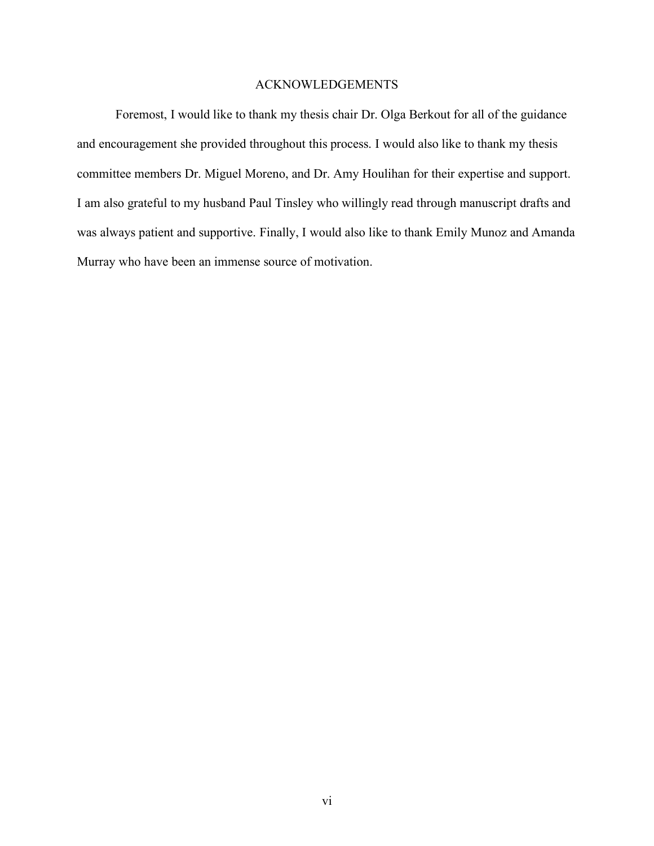# ACKNOWLEDGEMENTS

Foremost, I would like to thank my thesis chair Dr. Olga Berkout for all of the guidance and encouragement she provided throughout this process. I would also like to thank my thesis committee members Dr. Miguel Moreno, and Dr. Amy Houlihan for their expertise and support. I am also grateful to my husband Paul Tinsley who willingly read through manuscript drafts and was always patient and supportive. Finally, I would also like to thank Emily Munoz and Amanda Murray who have been an immense source of motivation.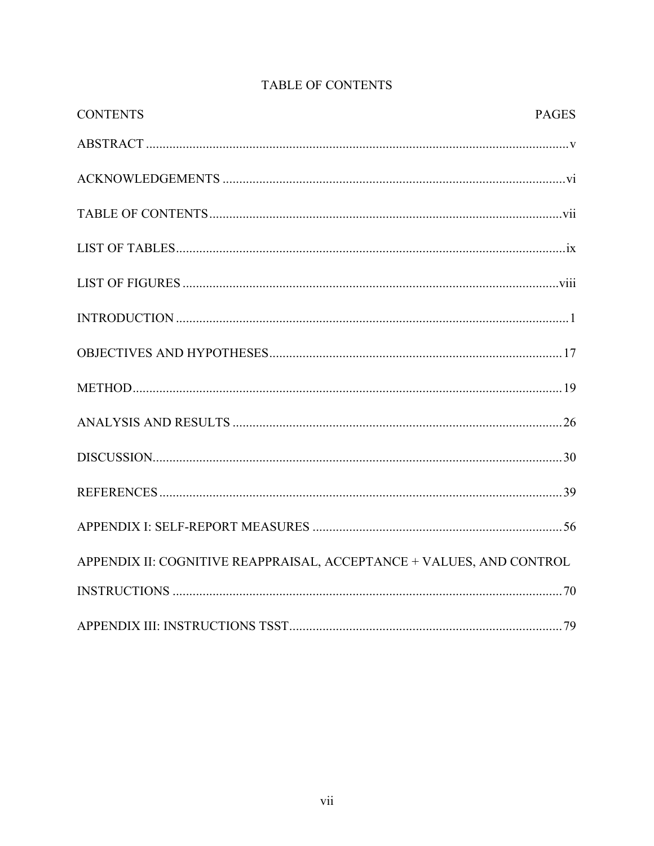| <b>CONTENTS</b>                                                      | <b>PAGES</b> |
|----------------------------------------------------------------------|--------------|
|                                                                      |              |
|                                                                      |              |
|                                                                      |              |
|                                                                      |              |
|                                                                      |              |
|                                                                      |              |
|                                                                      |              |
|                                                                      |              |
|                                                                      |              |
|                                                                      |              |
|                                                                      |              |
|                                                                      |              |
| APPENDIX II: COGNITIVE REAPPRAISAL, ACCEPTANCE + VALUES, AND CONTROL |              |
|                                                                      |              |
|                                                                      |              |

# TABLE OF CONTENTS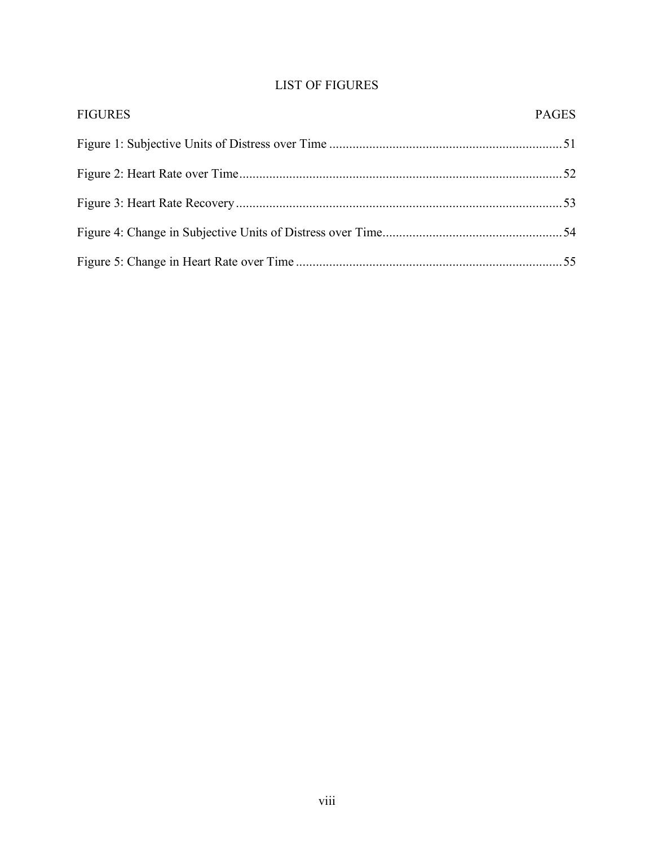# LIST OF FIGURES

| <b>FIGURES</b> | <b>PAGES</b> |
|----------------|--------------|
|                |              |
|                |              |
|                |              |
|                |              |
|                |              |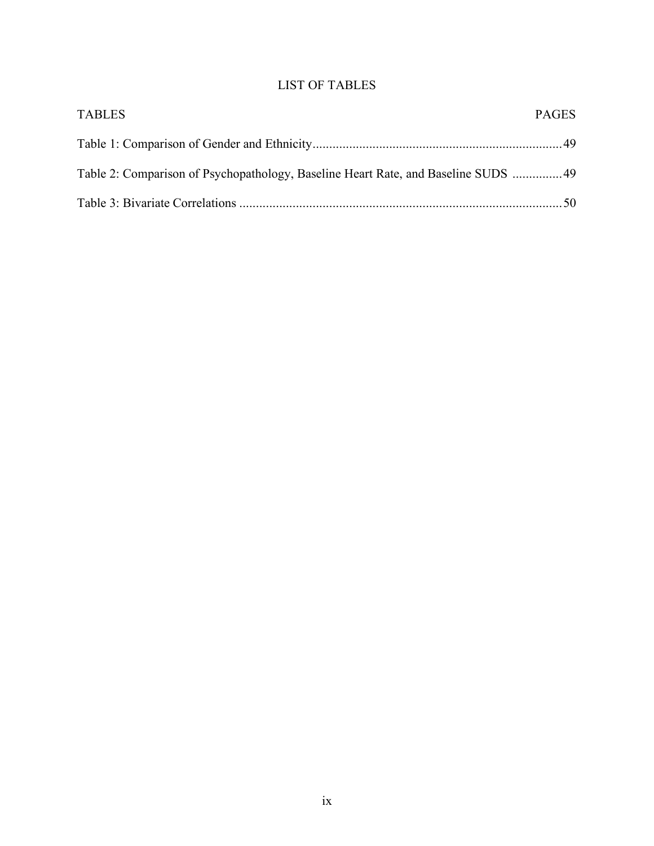# LIST OF TABLES

| <b>TABLES</b>                                                                     | <b>PAGES</b> |
|-----------------------------------------------------------------------------------|--------------|
|                                                                                   |              |
| Table 2: Comparison of Psychopathology, Baseline Heart Rate, and Baseline SUDS 49 |              |
|                                                                                   |              |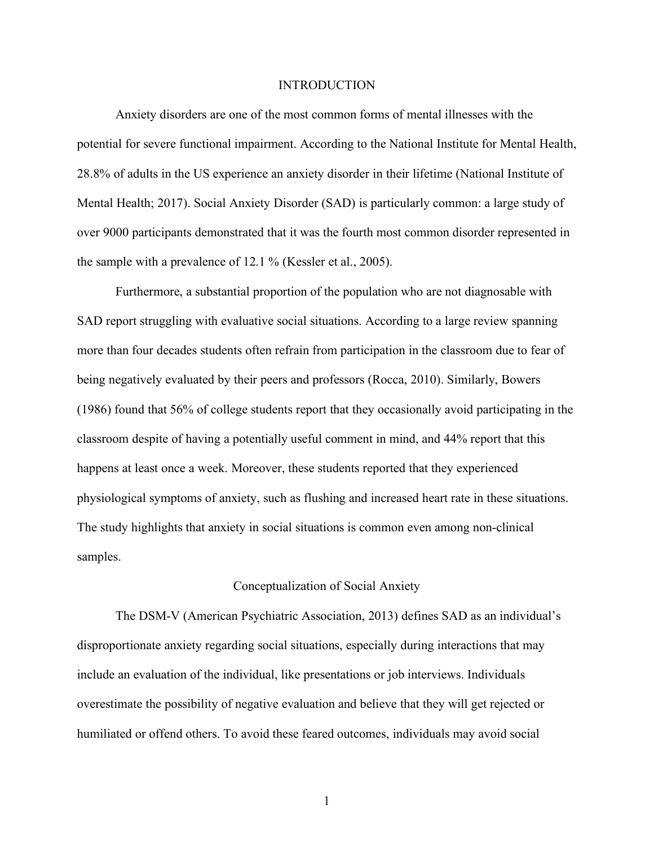### INTRODUCTION

Anxiety disorders are one of the most common forms of mental illnesses with the potential for severe functional impairment. According to the National Institute for Mental Health, 28.8% of adults in the US experience an anxiety disorder in their lifetime (National Institute of Mental Health; 2017). Social Anxiety Disorder (SAD) is particularly common: a large study of over 9000 participants demonstrated that it was the fourth most common disorder represented in the sample with a prevalence of 12.1 % (Kessler et al., 2005).

Furthermore, a substantial proportion of the population who are not diagnosable with SAD report struggling with evaluative social situations. According to a large review spanning more than four decades students often refrain from participation in the classroom due to fear of being negatively evaluated by their peers and professors (Rocca, 2010). Similarly, Bowers (1986) found that 56% of college students report that they occasionally avoid participating in the classroom despite of having a potentially useful comment in mind, and 44% report that this happens at least once a week. Moreover, these students reported that they experienced physiological symptoms of anxiety, such as flushing and increased heart rate in these situations. The study highlights that anxiety in social situations is common even among non-clinical samples.

#### Conceptualization of Social Anxiety

The DSM-V (American Psychiatric Association, 2013) defines SAD as an individual's disproportionate anxiety regarding social situations, especially during interactions that may include an evaluation of the individual, like presentations or job interviews. Individuals overestimate the possibility of negative evaluation and believe that they will get rejected or humiliated or offend others. To avoid these feared outcomes, individuals may avoid social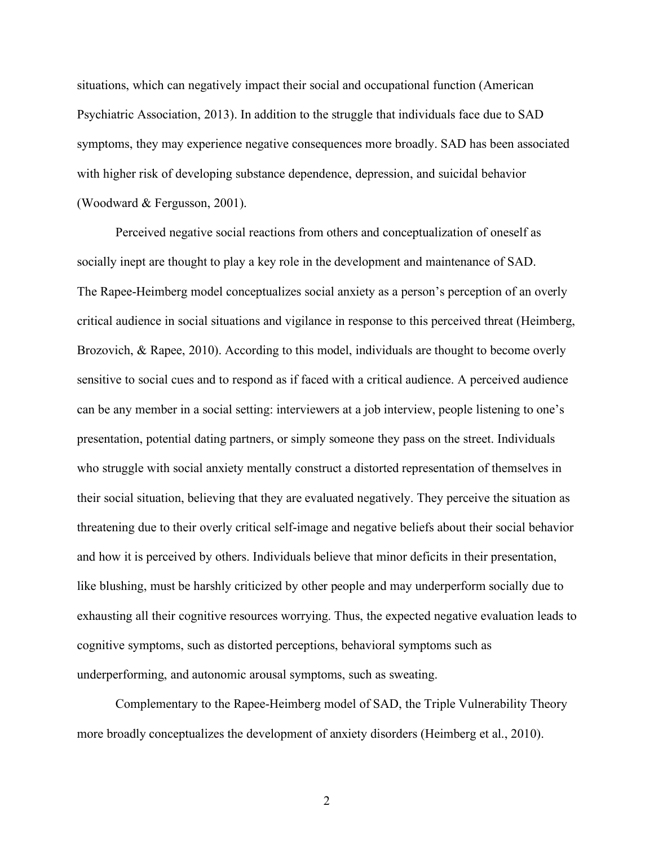situations, which can negatively impact their social and occupational function (American Psychiatric Association, 2013). In addition to the struggle that individuals face due to SAD symptoms, they may experience negative consequences more broadly. SAD has been associated with higher risk of developing substance dependence, depression, and suicidal behavior (Woodward & Fergusson, 2001).

Perceived negative social reactions from others and conceptualization of oneself as socially inept are thought to play a key role in the development and maintenance of SAD. The Rapee-Heimberg model conceptualizes social anxiety as a person's perception of an overly critical audience in social situations and vigilance in response to this perceived threat (Heimberg, Brozovich, & Rapee, 2010). According to this model, individuals are thought to become overly sensitive to social cues and to respond as if faced with a critical audience. A perceived audience can be any member in a social setting: interviewers at a job interview, people listening to one's presentation, potential dating partners, or simply someone they pass on the street. Individuals who struggle with social anxiety mentally construct a distorted representation of themselves in their social situation, believing that they are evaluated negatively. They perceive the situation as threatening due to their overly critical self-image and negative beliefs about their social behavior and how it is perceived by others. Individuals believe that minor deficits in their presentation, like blushing, must be harshly criticized by other people and may underperform socially due to exhausting all their cognitive resources worrying. Thus, the expected negative evaluation leads to cognitive symptoms, such as distorted perceptions, behavioral symptoms such as underperforming, and autonomic arousal symptoms, such as sweating.

Complementary to the Rapee-Heimberg model of SAD, the Triple Vulnerability Theory more broadly conceptualizes the development of anxiety disorders (Heimberg et al., 2010).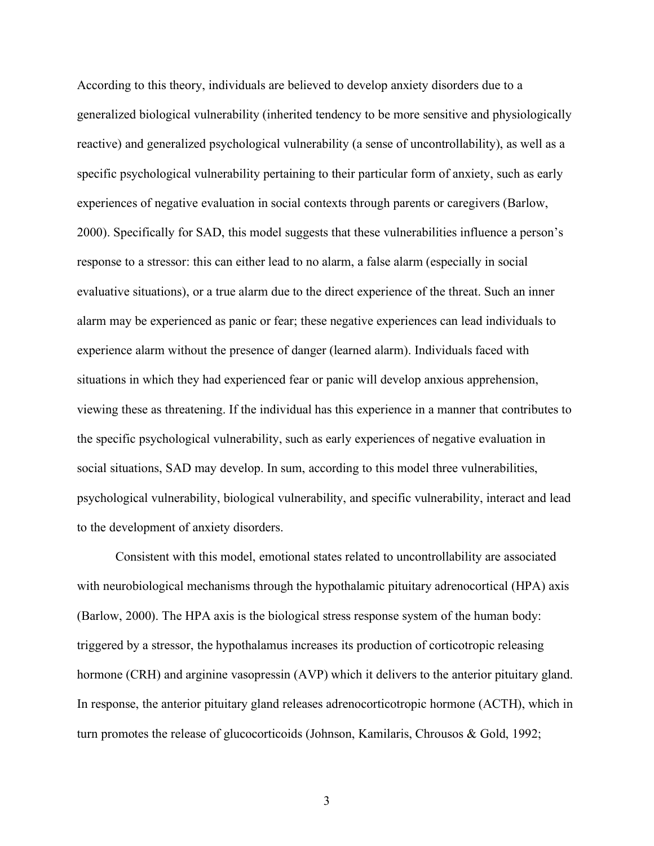According to this theory, individuals are believed to develop anxiety disorders due to a generalized biological vulnerability (inherited tendency to be more sensitive and physiologically reactive) and generalized psychological vulnerability (a sense of uncontrollability), as well as a specific psychological vulnerability pertaining to their particular form of anxiety, such as early experiences of negative evaluation in social contexts through parents or caregivers (Barlow, 2000). Specifically for SAD, this model suggests that these vulnerabilities influence a person's response to a stressor: this can either lead to no alarm, a false alarm (especially in social evaluative situations), or a true alarm due to the direct experience of the threat. Such an inner alarm may be experienced as panic or fear; these negative experiences can lead individuals to experience alarm without the presence of danger (learned alarm). Individuals faced with situations in which they had experienced fear or panic will develop anxious apprehension, viewing these as threatening. If the individual has this experience in a manner that contributes to the specific psychological vulnerability, such as early experiences of negative evaluation in social situations, SAD may develop. In sum, according to this model three vulnerabilities, psychological vulnerability, biological vulnerability, and specific vulnerability, interact and lead to the development of anxiety disorders.

Consistent with this model, emotional states related to uncontrollability are associated with neurobiological mechanisms through the hypothalamic pituitary adrenocortical (HPA) axis (Barlow, 2000). The HPA axis is the biological stress response system of the human body: triggered by a stressor, the hypothalamus increases its production of corticotropic releasing hormone (CRH) and arginine vasopressin (AVP) which it delivers to the anterior pituitary gland. In response, the anterior pituitary gland releases adrenocorticotropic hormone (ACTH), which in turn promotes the release of glucocorticoids (Johnson, Kamilaris, Chrousos & Gold, 1992;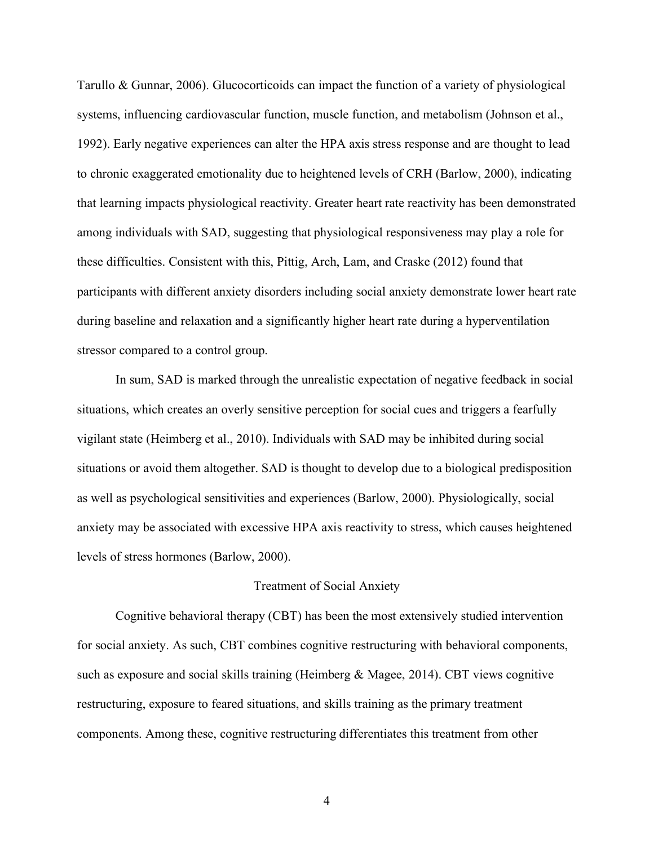Tarullo & Gunnar, 2006). Glucocorticoids can impact the function of a variety of physiological systems, influencing cardiovascular function, muscle function, and metabolism (Johnson et al., 1992). Early negative experiences can alter the HPA axis stress response and are thought to lead to chronic exaggerated emotionality due to heightened levels of CRH (Barlow, 2000), indicating that learning impacts physiological reactivity. Greater heart rate reactivity has been demonstrated among individuals with SAD, suggesting that physiological responsiveness may play a role for these difficulties. Consistent with this, Pittig, Arch, Lam, and Craske (2012) found that participants with different anxiety disorders including social anxiety demonstrate lower heart rate during baseline and relaxation and a significantly higher heart rate during a hyperventilation stressor compared to a control group.

In sum, SAD is marked through the unrealistic expectation of negative feedback in social situations, which creates an overly sensitive perception for social cues and triggers a fearfully vigilant state (Heimberg et al., 2010). Individuals with SAD may be inhibited during social situations or avoid them altogether. SAD is thought to develop due to a biological predisposition as well as psychological sensitivities and experiences (Barlow, 2000). Physiologically, social anxiety may be associated with excessive HPA axis reactivity to stress, which causes heightened levels of stress hormones (Barlow, 2000).

#### Treatment of Social Anxiety

Cognitive behavioral therapy (CBT) has been the most extensively studied intervention for social anxiety. As such, CBT combines cognitive restructuring with behavioral components, such as exposure and social skills training (Heimberg  $\&$  Magee, 2014). CBT views cognitive restructuring, exposure to feared situations, and skills training as the primary treatment components. Among these, cognitive restructuring differentiates this treatment from other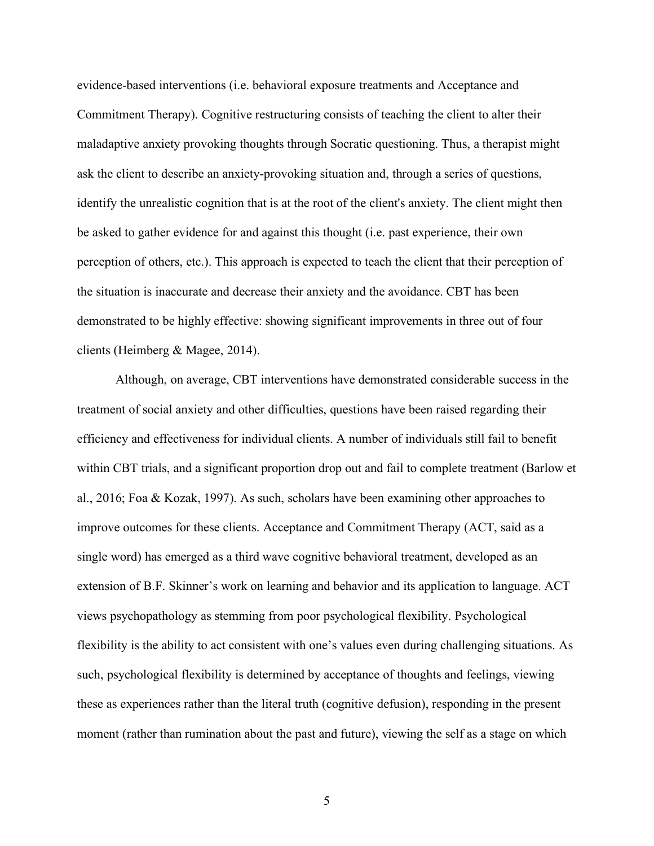evidence-based interventions (i.e. behavioral exposure treatments and Acceptance and Commitment Therapy). Cognitive restructuring consists of teaching the client to alter their maladaptive anxiety provoking thoughts through Socratic questioning. Thus, a therapist might ask the client to describe an anxiety-provoking situation and, through a series of questions, identify the unrealistic cognition that is at the root of the client's anxiety. The client might then be asked to gather evidence for and against this thought (i.e. past experience, their own perception of others, etc.). This approach is expected to teach the client that their perception of the situation is inaccurate and decrease their anxiety and the avoidance. CBT has been demonstrated to be highly effective: showing significant improvements in three out of four clients (Heimberg & Magee, 2014).

Although, on average, CBT interventions have demonstrated considerable success in the treatment of social anxiety and other difficulties, questions have been raised regarding their efficiency and effectiveness for individual clients. A number of individuals still fail to benefit within CBT trials, and a significant proportion drop out and fail to complete treatment (Barlow et al., 2016; Foa & Kozak, 1997). As such, scholars have been examining other approaches to improve outcomes for these clients. Acceptance and Commitment Therapy (ACT, said as a single word) has emerged as a third wave cognitive behavioral treatment, developed as an extension of B.F. Skinner's work on learning and behavior and its application to language. ACT views psychopathology as stemming from poor psychological flexibility. Psychological flexibility is the ability to act consistent with one's values even during challenging situations. As such, psychological flexibility is determined by acceptance of thoughts and feelings, viewing these as experiences rather than the literal truth (cognitive defusion), responding in the present moment (rather than rumination about the past and future), viewing the self as a stage on which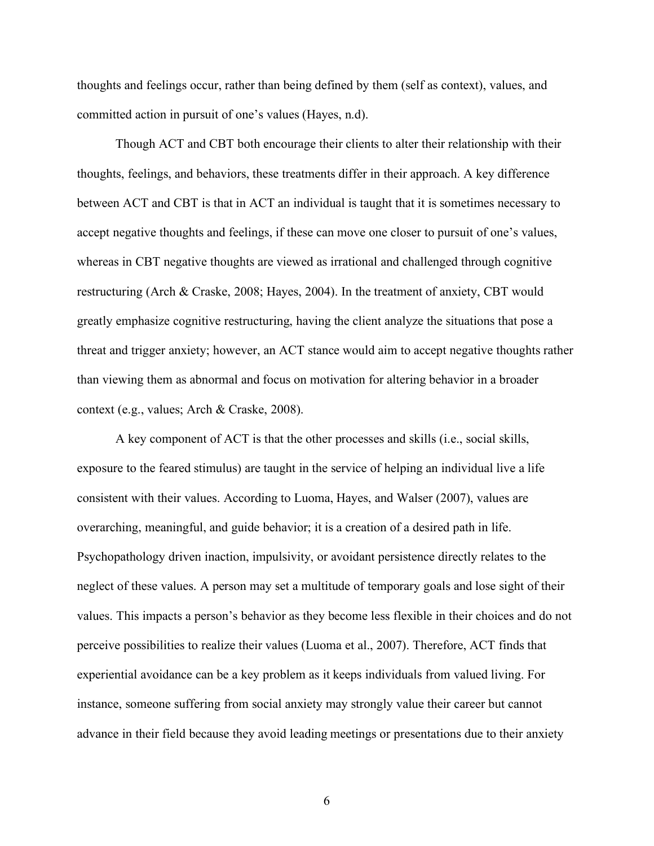thoughts and feelings occur, rather than being defined by them (self as context), values, and committed action in pursuit of one's values (Hayes, n.d).

Though ACT and CBT both encourage their clients to alter their relationship with their thoughts, feelings, and behaviors, these treatments differ in their approach. A key difference between ACT and CBT is that in ACT an individual is taught that it is sometimes necessary to accept negative thoughts and feelings, if these can move one closer to pursuit of one's values, whereas in CBT negative thoughts are viewed as irrational and challenged through cognitive restructuring (Arch & Craske, 2008; Hayes, 2004). In the treatment of anxiety, CBT would greatly emphasize cognitive restructuring, having the client analyze the situations that pose a threat and trigger anxiety; however, an ACT stance would aim to accept negative thoughts rather than viewing them as abnormal and focus on motivation for altering behavior in a broader context (e.g., values; Arch & Craske, 2008).

A key component of ACT is that the other processes and skills (i.e., social skills, exposure to the feared stimulus) are taught in the service of helping an individual live a life consistent with their values. According to Luoma, Hayes, and Walser (2007), values are overarching, meaningful, and guide behavior; it is a creation of a desired path in life. Psychopathology driven inaction, impulsivity, or avoidant persistence directly relates to the neglect of these values. A person may set a multitude of temporary goals and lose sight of their values. This impacts a person's behavior as they become less flexible in their choices and do not perceive possibilities to realize their values (Luoma et al., 2007). Therefore, ACT finds that experiential avoidance can be a key problem as it keeps individuals from valued living. For instance, someone suffering from social anxiety may strongly value their career but cannot advance in their field because they avoid leading meetings or presentations due to their anxiety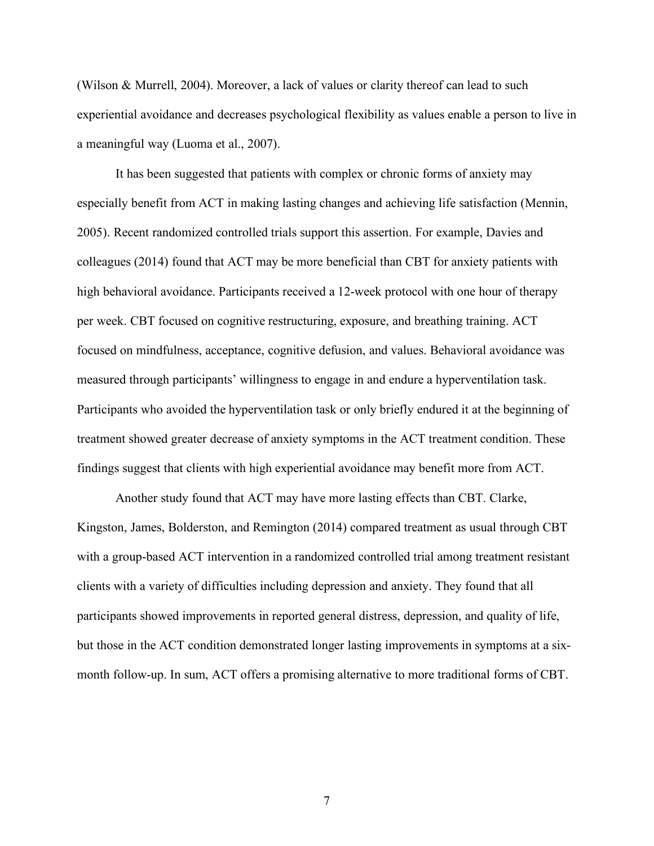(Wilson & Murrell, 2004). Moreover, a lack of values or clarity thereof can lead to such experiential avoidance and decreases psychological flexibility as values enable a person to live in a meaningful way (Luoma et al., 2007).

It has been suggested that patients with complex or chronic forms of anxiety may especially benefit from ACT in making lasting changes and achieving life satisfaction (Mennin, 2005). Recent randomized controlled trials support this assertion. For example, Davies and colleagues (2014) found that ACT may be more beneficial than CBT for anxiety patients with high behavioral avoidance. Participants received a 12-week protocol with one hour of therapy per week. CBT focused on cognitive restructuring, exposure, and breathing training. ACT focused on mindfulness, acceptance, cognitive defusion, and values. Behavioral avoidance was measured through participants' willingness to engage in and endure a hyperventilation task. Participants who avoided the hyperventilation task or only briefly endured it at the beginning of treatment showed greater decrease of anxiety symptoms in the ACT treatment condition. These findings suggest that clients with high experiential avoidance may benefit more from ACT.

Another study found that ACT may have more lasting effects than CBT. Clarke, Kingston, James, Bolderston, and Remington (2014) compared treatment as usual through CBT with a group-based ACT intervention in a randomized controlled trial among treatment resistant clients with a variety of difficulties including depression and anxiety. They found that all participants showed improvements in reported general distress, depression, and quality of life, but those in the ACT condition demonstrated longer lasting improvements in symptoms at a sixmonth follow-up. In sum, ACT offers a promising alternative to more traditional forms of CBT.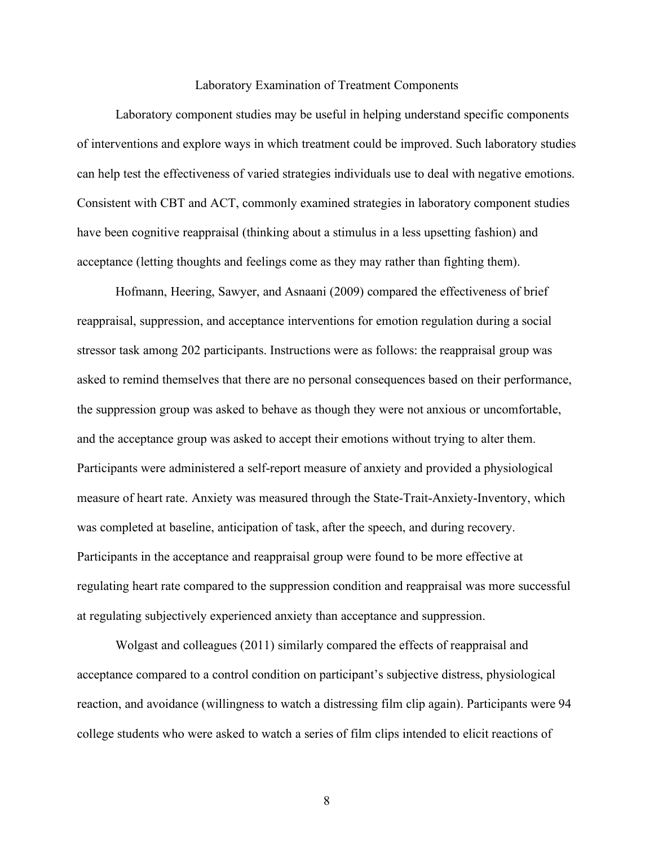#### Laboratory Examination of Treatment Components

Laboratory component studies may be useful in helping understand specific components of interventions and explore ways in which treatment could be improved. Such laboratory studies can help test the effectiveness of varied strategies individuals use to deal with negative emotions. Consistent with CBT and ACT, commonly examined strategies in laboratory component studies have been cognitive reappraisal (thinking about a stimulus in a less upsetting fashion) and acceptance (letting thoughts and feelings come as they may rather than fighting them).

Hofmann, Heering, Sawyer, and Asnaani (2009) compared the effectiveness of brief reappraisal, suppression, and acceptance interventions for emotion regulation during a social stressor task among 202 participants. Instructions were as follows: the reappraisal group was asked to remind themselves that there are no personal consequences based on their performance, the suppression group was asked to behave as though they were not anxious or uncomfortable, and the acceptance group was asked to accept their emotions without trying to alter them. Participants were administered a self-report measure of anxiety and provided a physiological measure of heart rate. Anxiety was measured through the State-Trait-Anxiety-Inventory, which was completed at baseline, anticipation of task, after the speech, and during recovery. Participants in the acceptance and reappraisal group were found to be more effective at regulating heart rate compared to the suppression condition and reappraisal was more successful at regulating subjectively experienced anxiety than acceptance and suppression.

Wolgast and colleagues (2011) similarly compared the effects of reappraisal and acceptance compared to a control condition on participant's subjective distress, physiological reaction, and avoidance (willingness to watch a distressing film clip again). Participants were 94 college students who were asked to watch a series of film clips intended to elicit reactions of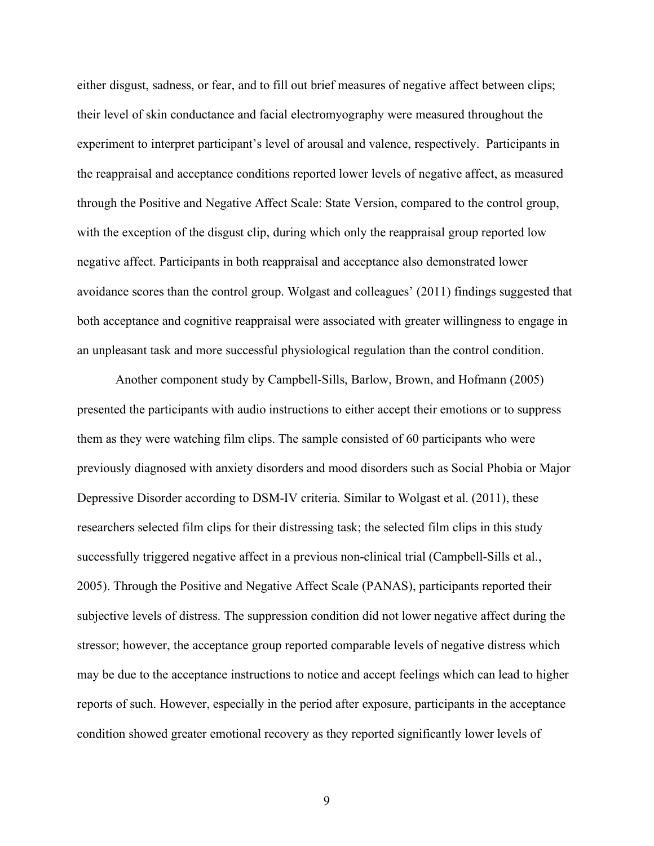either disgust, sadness, or fear, and to fill out brief measures of negative affect between clips; their level of skin conductance and facial electromyography were measured throughout the experiment to interpret participant's level of arousal and valence, respectively. Participants in the reappraisal and acceptance conditions reported lower levels of negative affect, as measured through the Positive and Negative Affect Scale: State Version, compared to the control group, with the exception of the disgust clip, during which only the reappraisal group reported low negative affect. Participants in both reappraisal and acceptance also demonstrated lower avoidance scores than the control group. Wolgast and colleagues' (2011) findings suggested that both acceptance and cognitive reappraisal were associated with greater willingness to engage in an unpleasant task and more successful physiological regulation than the control condition.

Another component study by Campbell-Sills, Barlow, Brown, and Hofmann (2005) presented the participants with audio instructions to either accept their emotions or to suppress them as they were watching film clips. The sample consisted of 60 participants who were previously diagnosed with anxiety disorders and mood disorders such as Social Phobia or Major Depressive Disorder according to DSM-IV criteria. Similar to Wolgast et al. (2011), these researchers selected film clips for their distressing task; the selected film clips in this study successfully triggered negative affect in a previous non-clinical trial (Campbell-Sills et al., 2005). Through the Positive and Negative Affect Scale (PANAS), participants reported their subjective levels of distress. The suppression condition did not lower negative affect during the stressor; however, the acceptance group reported comparable levels of negative distress which may be due to the acceptance instructions to notice and accept feelings which can lead to higher reports of such. However, especially in the period after exposure, participants in the acceptance condition showed greater emotional recovery as they reported significantly lower levels of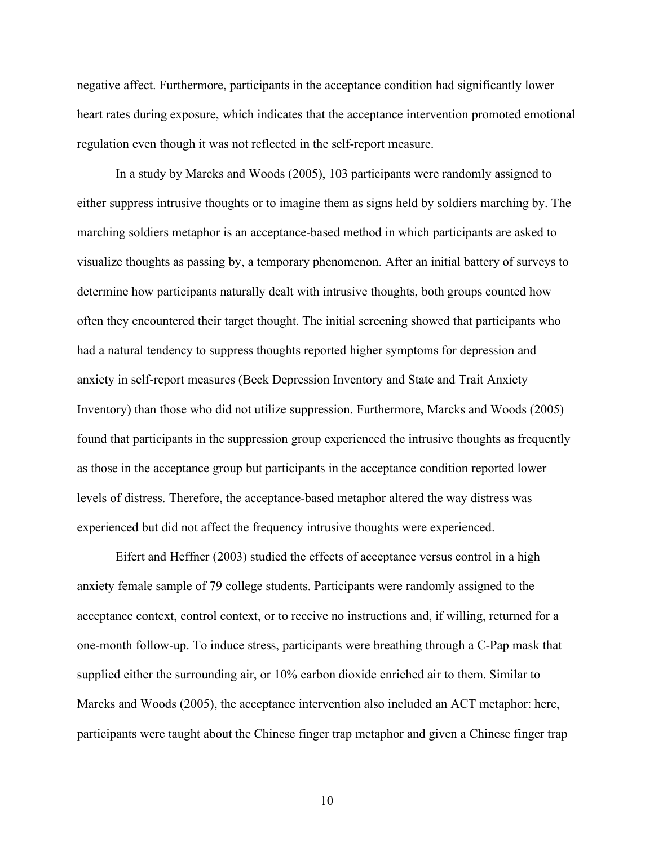negative affect. Furthermore, participants in the acceptance condition had significantly lower heart rates during exposure, which indicates that the acceptance intervention promoted emotional regulation even though it was not reflected in the self-report measure.

In a study by Marcks and Woods (2005), 103 participants were randomly assigned to either suppress intrusive thoughts or to imagine them as signs held by soldiers marching by. The marching soldiers metaphor is an acceptance-based method in which participants are asked to visualize thoughts as passing by, a temporary phenomenon. After an initial battery of surveys to determine how participants naturally dealt with intrusive thoughts, both groups counted how often they encountered their target thought. The initial screening showed that participants who had a natural tendency to suppress thoughts reported higher symptoms for depression and anxiety in self-report measures (Beck Depression Inventory and State and Trait Anxiety Inventory) than those who did not utilize suppression. Furthermore, Marcks and Woods (2005) found that participants in the suppression group experienced the intrusive thoughts as frequently as those in the acceptance group but participants in the acceptance condition reported lower levels of distress. Therefore, the acceptance-based metaphor altered the way distress was experienced but did not affect the frequency intrusive thoughts were experienced.

Eifert and Heffner (2003) studied the effects of acceptance versus control in a high anxiety female sample of 79 college students. Participants were randomly assigned to the acceptance context, control context, or to receive no instructions and, if willing, returned for a one-month follow-up. To induce stress, participants were breathing through a C-Pap mask that supplied either the surrounding air, or 10% carbon dioxide enriched air to them. Similar to Marcks and Woods (2005), the acceptance intervention also included an ACT metaphor: here, participants were taught about the Chinese finger trap metaphor and given a Chinese finger trap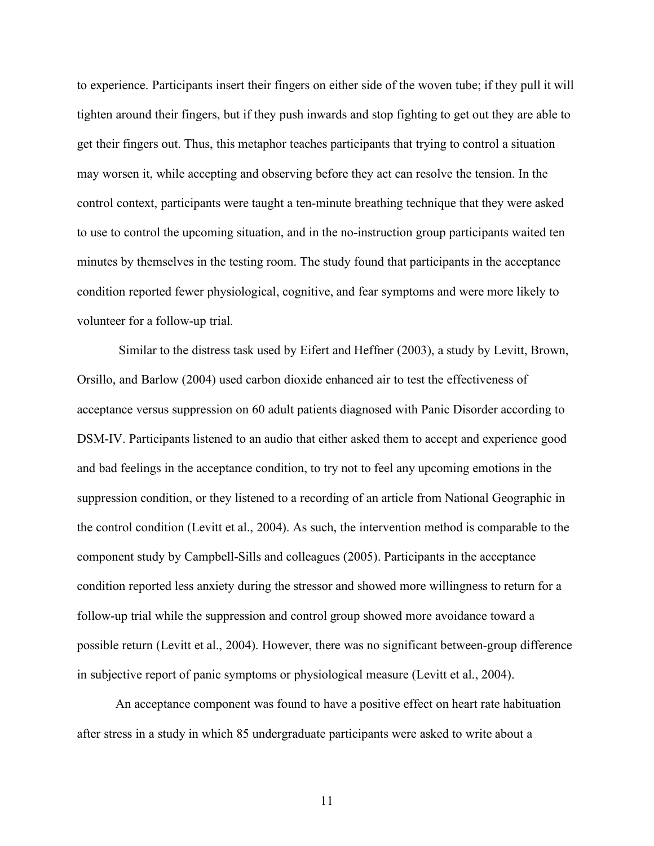to experience. Participants insert their fingers on either side of the woven tube; if they pull it will tighten around their fingers, but if they push inwards and stop fighting to get out they are able to get their fingers out. Thus, this metaphor teaches participants that trying to control a situation may worsen it, while accepting and observing before they act can resolve the tension. In the control context, participants were taught a ten-minute breathing technique that they were asked to use to control the upcoming situation, and in the no-instruction group participants waited ten minutes by themselves in the testing room. The study found that participants in the acceptance condition reported fewer physiological, cognitive, and fear symptoms and were more likely to volunteer for a follow-up trial.

Similar to the distress task used by Eifert and Heffner (2003), a study by Levitt, Brown, Orsillo, and Barlow (2004) used carbon dioxide enhanced air to test the effectiveness of acceptance versus suppression on 60 adult patients diagnosed with Panic Disorder according to DSM-IV. Participants listened to an audio that either asked them to accept and experience good and bad feelings in the acceptance condition, to try not to feel any upcoming emotions in the suppression condition, or they listened to a recording of an article from National Geographic in the control condition (Levitt et al., 2004). As such, the intervention method is comparable to the component study by Campbell-Sills and colleagues (2005). Participants in the acceptance condition reported less anxiety during the stressor and showed more willingness to return for a follow-up trial while the suppression and control group showed more avoidance toward a possible return (Levitt et al., 2004). However, there was no significant between-group difference in subjective report of panic symptoms or physiological measure (Levitt et al., 2004).

An acceptance component was found to have a positive effect on heart rate habituation after stress in a study in which 85 undergraduate participants were asked to write about a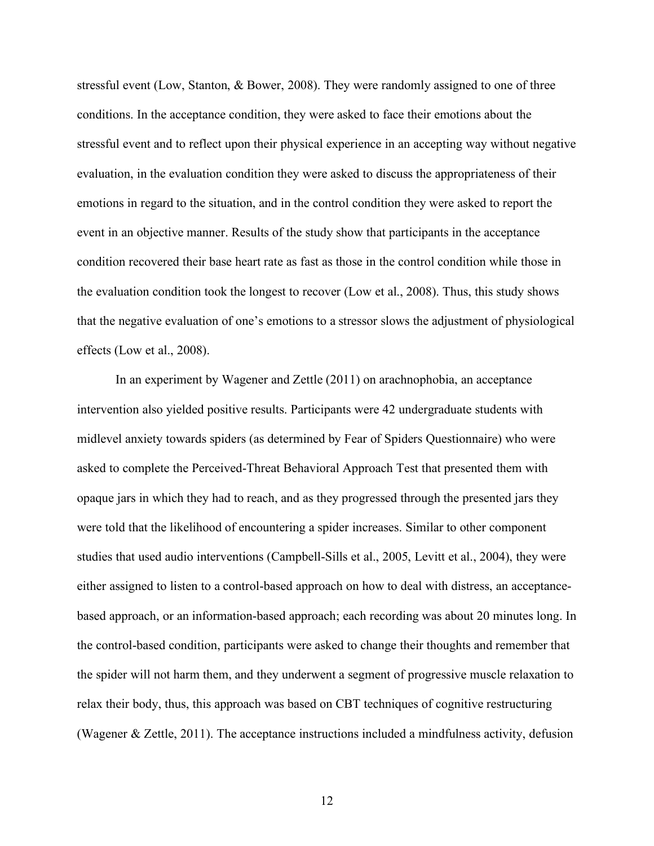stressful event (Low, Stanton, & Bower, 2008). They were randomly assigned to one of three conditions. In the acceptance condition, they were asked to face their emotions about the stressful event and to reflect upon their physical experience in an accepting way without negative evaluation, in the evaluation condition they were asked to discuss the appropriateness of their emotions in regard to the situation, and in the control condition they were asked to report the event in an objective manner. Results of the study show that participants in the acceptance condition recovered their base heart rate as fast as those in the control condition while those in the evaluation condition took the longest to recover (Low et al., 2008). Thus, this study shows that the negative evaluation of one's emotions to a stressor slows the adjustment of physiological effects (Low et al., 2008).

In an experiment by Wagener and Zettle (2011) on arachnophobia, an acceptance intervention also yielded positive results. Participants were 42 undergraduate students with midlevel anxiety towards spiders (as determined by Fear of Spiders Questionnaire) who were asked to complete the Perceived-Threat Behavioral Approach Test that presented them with opaque jars in which they had to reach, and as they progressed through the presented jars they were told that the likelihood of encountering a spider increases. Similar to other component studies that used audio interventions (Campbell-Sills et al., 2005, Levitt et al., 2004), they were either assigned to listen to a control-based approach on how to deal with distress, an acceptancebased approach, or an information-based approach; each recording was about 20 minutes long. In the control-based condition, participants were asked to change their thoughts and remember that the spider will not harm them, and they underwent a segment of progressive muscle relaxation to relax their body, thus, this approach was based on CBT techniques of cognitive restructuring (Wagener & Zettle, 2011). The acceptance instructions included a mindfulness activity, defusion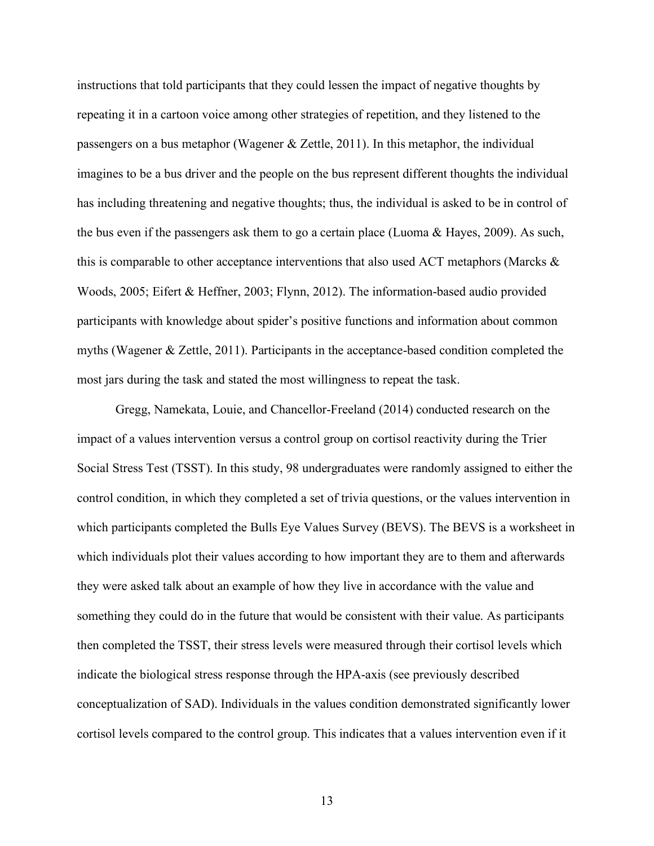instructions that told participants that they could lessen the impact of negative thoughts by repeating it in a cartoon voice among other strategies of repetition, and they listened to the passengers on a bus metaphor (Wagener & Zettle, 2011). In this metaphor, the individual imagines to be a bus driver and the people on the bus represent different thoughts the individual has including threatening and negative thoughts; thus, the individual is asked to be in control of the bus even if the passengers ask them to go a certain place (Luoma & Hayes, 2009). As such, this is comparable to other acceptance interventions that also used ACT metaphors (Marcks  $\&$ Woods, 2005; Eifert & Heffner, 2003; Flynn, 2012). The information-based audio provided participants with knowledge about spider's positive functions and information about common myths (Wagener & Zettle, 2011). Participants in the acceptance-based condition completed the most jars during the task and stated the most willingness to repeat the task.

Gregg, Namekata, Louie, and Chancellor-Freeland (2014) conducted research on the impact of a values intervention versus a control group on cortisol reactivity during the Trier Social Stress Test (TSST). In this study, 98 undergraduates were randomly assigned to either the control condition, in which they completed a set of trivia questions, or the values intervention in which participants completed the Bulls Eye Values Survey (BEVS). The BEVS is a worksheet in which individuals plot their values according to how important they are to them and afterwards they were asked talk about an example of how they live in accordance with the value and something they could do in the future that would be consistent with their value. As participants then completed the TSST, their stress levels were measured through their cortisol levels which indicate the biological stress response through the HPA-axis (see previously described conceptualization of SAD). Individuals in the values condition demonstrated significantly lower cortisol levels compared to the control group. This indicates that a values intervention even if it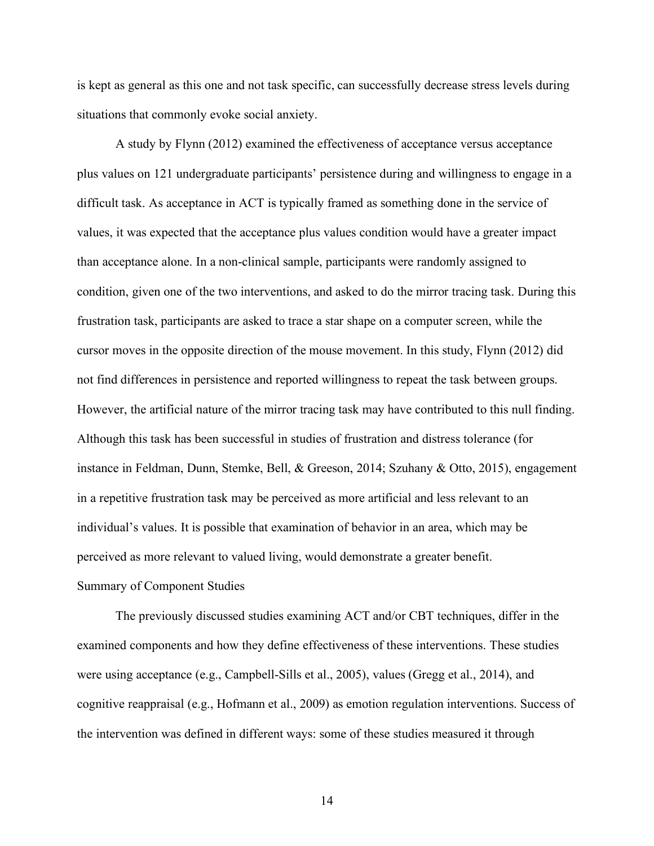is kept as general as this one and not task specific, can successfully decrease stress levels during situations that commonly evoke social anxiety.

A study by Flynn (2012) examined the effectiveness of acceptance versus acceptance plus values on 121 undergraduate participants' persistence during and willingness to engage in a difficult task. As acceptance in ACT is typically framed as something done in the service of values, it was expected that the acceptance plus values condition would have a greater impact than acceptance alone. In a non-clinical sample, participants were randomly assigned to condition, given one of the two interventions, and asked to do the mirror tracing task. During this frustration task, participants are asked to trace a star shape on a computer screen, while the cursor moves in the opposite direction of the mouse movement. In this study, Flynn (2012) did not find differences in persistence and reported willingness to repeat the task between groups. However, the artificial nature of the mirror tracing task may have contributed to this null finding. Although this task has been successful in studies of frustration and distress tolerance (for instance in Feldman, Dunn, Stemke, Bell, & Greeson, 2014; Szuhany & Otto, 2015), engagement in a repetitive frustration task may be perceived as more artificial and less relevant to an individual's values. It is possible that examination of behavior in an area, which may be perceived as more relevant to valued living, would demonstrate a greater benefit. Summary of Component Studies

The previously discussed studies examining ACT and/or CBT techniques, differ in the examined components and how they define effectiveness of these interventions. These studies were using acceptance (e.g., Campbell-Sills et al., 2005), values (Gregg et al., 2014), and cognitive reappraisal (e.g., Hofmann et al., 2009) as emotion regulation interventions. Success of the intervention was defined in different ways: some of these studies measured it through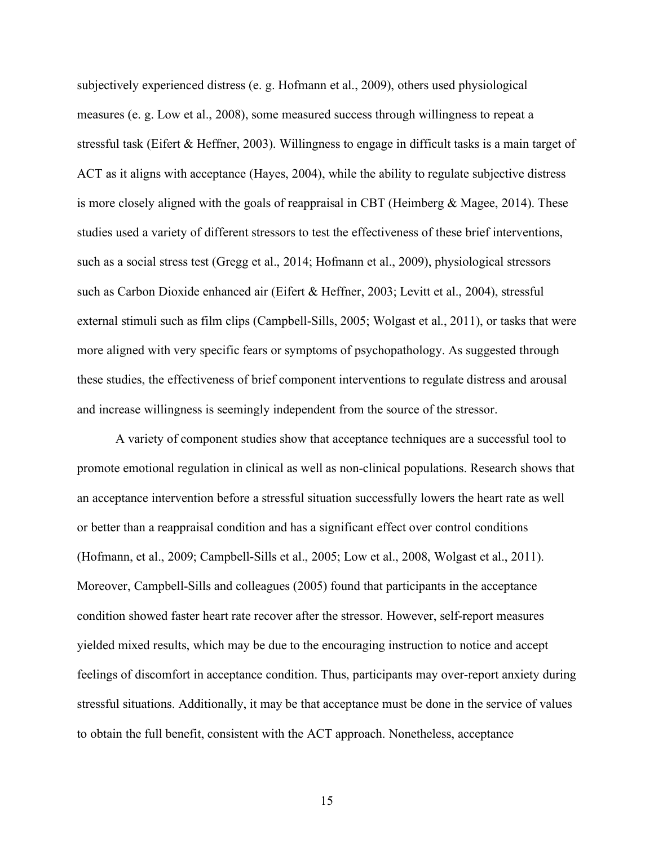subjectively experienced distress (e. g. Hofmann et al., 2009), others used physiological measures (e. g. Low et al., 2008), some measured success through willingness to repeat a stressful task (Eifert & Heffner, 2003). Willingness to engage in difficult tasks is a main target of ACT as it aligns with acceptance (Hayes, 2004), while the ability to regulate subjective distress is more closely aligned with the goals of reappraisal in CBT (Heimberg  $\&$  Magee, 2014). These studies used a variety of different stressors to test the effectiveness of these brief interventions, such as a social stress test (Gregg et al., 2014; Hofmann et al., 2009), physiological stressors such as Carbon Dioxide enhanced air (Eifert & Heffner, 2003; Levitt et al., 2004), stressful external stimuli such as film clips (Campbell-Sills, 2005; Wolgast et al., 2011), or tasks that were more aligned with very specific fears or symptoms of psychopathology. As suggested through these studies, the effectiveness of brief component interventions to regulate distress and arousal and increase willingness is seemingly independent from the source of the stressor.

A variety of component studies show that acceptance techniques are a successful tool to promote emotional regulation in clinical as well as non-clinical populations. Research shows that an acceptance intervention before a stressful situation successfully lowers the heart rate as well or better than a reappraisal condition and has a significant effect over control conditions (Hofmann, et al., 2009; Campbell-Sills et al., 2005; Low et al., 2008, Wolgast et al., 2011). Moreover, Campbell-Sills and colleagues (2005) found that participants in the acceptance condition showed faster heart rate recover after the stressor. However, self-report measures yielded mixed results, which may be due to the encouraging instruction to notice and accept feelings of discomfort in acceptance condition. Thus, participants may over-report anxiety during stressful situations. Additionally, it may be that acceptance must be done in the service of values to obtain the full benefit, consistent with the ACT approach. Nonetheless, acceptance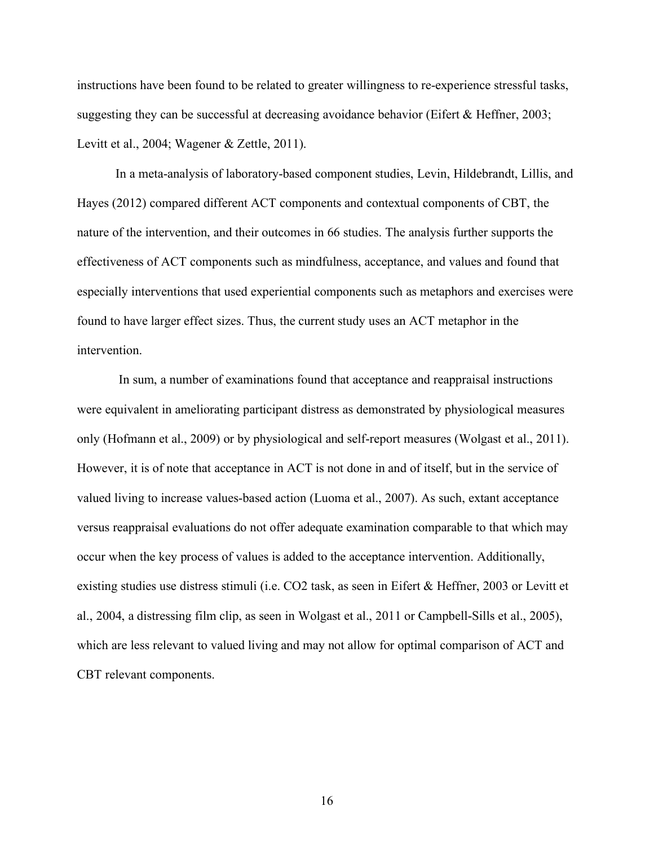instructions have been found to be related to greater willingness to re-experience stressful tasks, suggesting they can be successful at decreasing avoidance behavior (Eifert & Heffner, 2003; Levitt et al., 2004; Wagener & Zettle, 2011).

In a meta-analysis of laboratory-based component studies, Levin, Hildebrandt, Lillis, and Hayes (2012) compared different ACT components and contextual components of CBT, the nature of the intervention, and their outcomes in 66 studies. The analysis further supports the effectiveness of ACT components such as mindfulness, acceptance, and values and found that especially interventions that used experiential components such as metaphors and exercises were found to have larger effect sizes. Thus, the current study uses an ACT metaphor in the intervention.

In sum, a number of examinations found that acceptance and reappraisal instructions were equivalent in ameliorating participant distress as demonstrated by physiological measures only (Hofmann et al., 2009) or by physiological and self-report measures (Wolgast et al., 2011). However, it is of note that acceptance in ACT is not done in and of itself, but in the service of valued living to increase values-based action (Luoma et al., 2007). As such, extant acceptance versus reappraisal evaluations do not offer adequate examination comparable to that which may occur when the key process of values is added to the acceptance intervention. Additionally, existing studies use distress stimuli (i.e. CO2 task, as seen in Eifert & Heffner, 2003 or Levitt et al., 2004, a distressing film clip, as seen in Wolgast et al., 2011 or Campbell-Sills et al., 2005), which are less relevant to valued living and may not allow for optimal comparison of ACT and CBT relevant components.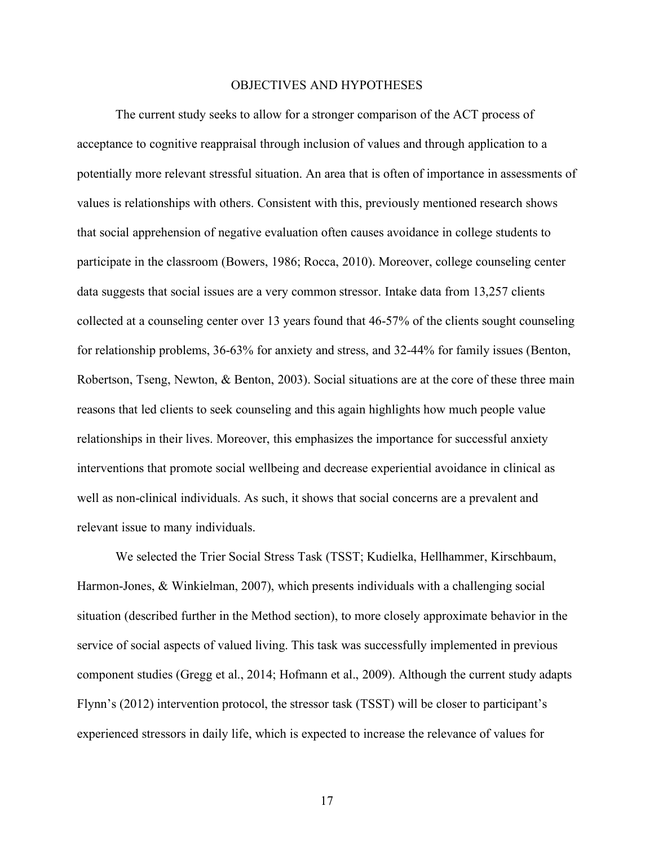### OBJECTIVES AND HYPOTHESES

The current study seeks to allow for a stronger comparison of the ACT process of acceptance to cognitive reappraisal through inclusion of values and through application to a potentially more relevant stressful situation. An area that is often of importance in assessments of values is relationships with others. Consistent with this, previously mentioned research shows that social apprehension of negative evaluation often causes avoidance in college students to participate in the classroom (Bowers, 1986; Rocca, 2010). Moreover, college counseling center data suggests that social issues are a very common stressor. Intake data from 13,257 clients collected at a counseling center over 13 years found that 46-57% of the clients sought counseling for relationship problems, 36-63% for anxiety and stress, and 32-44% for family issues (Benton, Robertson, Tseng, Newton, & Benton, 2003). Social situations are at the core of these three main reasons that led clients to seek counseling and this again highlights how much people value relationships in their lives. Moreover, this emphasizes the importance for successful anxiety interventions that promote social wellbeing and decrease experiential avoidance in clinical as well as non-clinical individuals. As such, it shows that social concerns are a prevalent and relevant issue to many individuals.

We selected the Trier Social Stress Task (TSST; Kudielka, Hellhammer, Kirschbaum, Harmon-Jones, & Winkielman, 2007), which presents individuals with a challenging social situation (described further in the Method section), to more closely approximate behavior in the service of social aspects of valued living. This task was successfully implemented in previous component studies (Gregg et al., 2014; Hofmann et al., 2009). Although the current study adapts Flynn's (2012) intervention protocol, the stressor task (TSST) will be closer to participant's experienced stressors in daily life, which is expected to increase the relevance of values for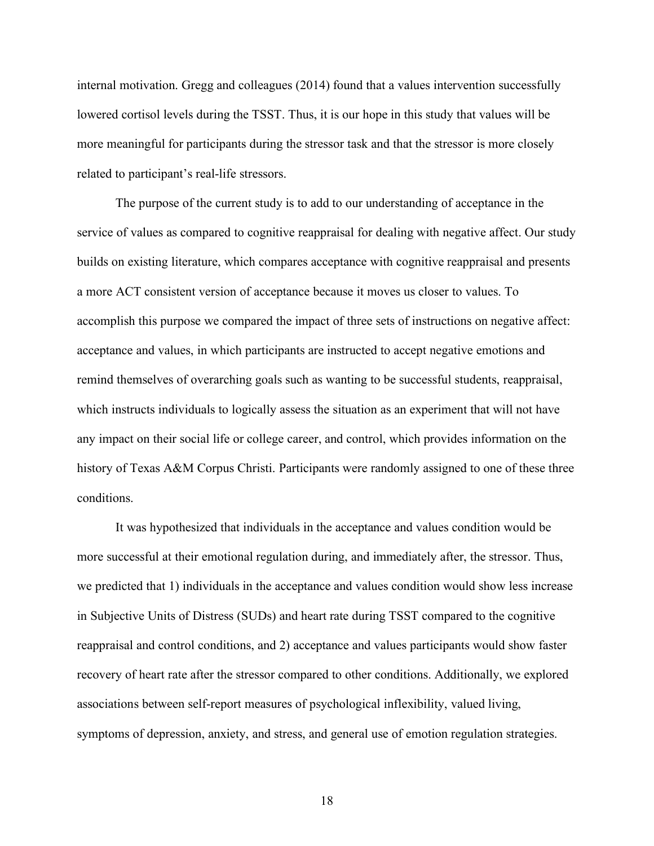internal motivation. Gregg and colleagues (2014) found that a values intervention successfully lowered cortisol levels during the TSST. Thus, it is our hope in this study that values will be more meaningful for participants during the stressor task and that the stressor is more closely related to participant's real-life stressors.

The purpose of the current study is to add to our understanding of acceptance in the service of values as compared to cognitive reappraisal for dealing with negative affect. Our study builds on existing literature, which compares acceptance with cognitive reappraisal and presents a more ACT consistent version of acceptance because it moves us closer to values. To accomplish this purpose we compared the impact of three sets of instructions on negative affect: acceptance and values, in which participants are instructed to accept negative emotions and remind themselves of overarching goals such as wanting to be successful students, reappraisal, which instructs individuals to logically assess the situation as an experiment that will not have any impact on their social life or college career, and control, which provides information on the history of Texas A&M Corpus Christi. Participants were randomly assigned to one of these three conditions.

It was hypothesized that individuals in the acceptance and values condition would be more successful at their emotional regulation during, and immediately after, the stressor. Thus, we predicted that 1) individuals in the acceptance and values condition would show less increase in Subjective Units of Distress (SUDs) and heart rate during TSST compared to the cognitive reappraisal and control conditions, and 2) acceptance and values participants would show faster recovery of heart rate after the stressor compared to other conditions. Additionally, we explored associations between self-report measures of psychological inflexibility, valued living, symptoms of depression, anxiety, and stress, and general use of emotion regulation strategies.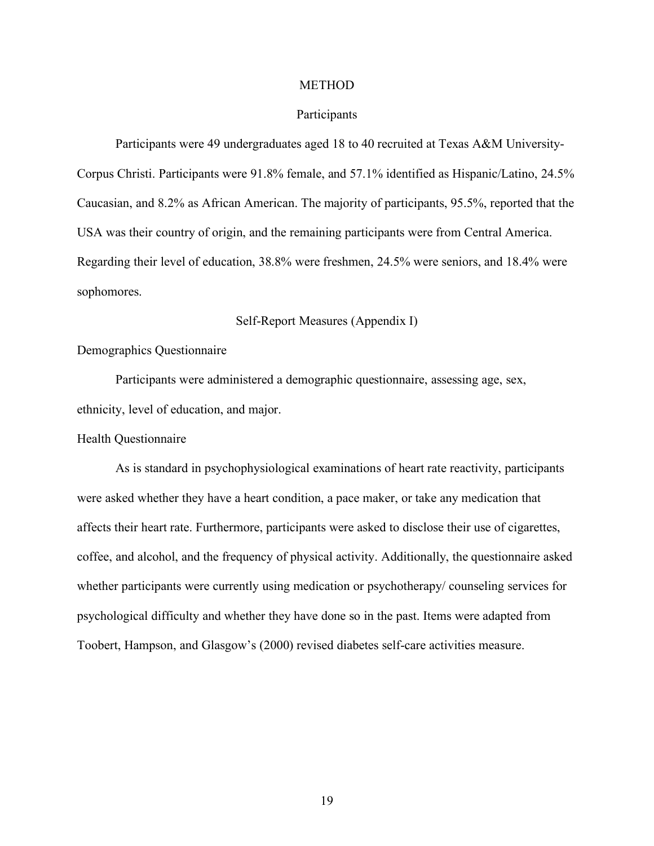#### **METHOD**

## Participants

Participants were 49 undergraduates aged 18 to 40 recruited at Texas A&M University-Corpus Christi. Participants were 91.8% female, and 57.1% identified as Hispanic/Latino, 24.5% Caucasian, and 8.2% as African American. The majority of participants, 95.5%, reported that the USA was their country of origin, and the remaining participants were from Central America. Regarding their level of education, 38.8% were freshmen, 24.5% were seniors, and 18.4% were sophomores.

Self-Report Measures (Appendix I)

Demographics Questionnaire

Participants were administered a demographic questionnaire, assessing age, sex, ethnicity, level of education, and major.

Health Questionnaire

As is standard in psychophysiological examinations of heart rate reactivity, participants were asked whether they have a heart condition, a pace maker, or take any medication that affects their heart rate. Furthermore, participants were asked to disclose their use of cigarettes, coffee, and alcohol, and the frequency of physical activity. Additionally, the questionnaire asked whether participants were currently using medication or psychotherapy/ counseling services for psychological difficulty and whether they have done so in the past. Items were adapted from Toobert, Hampson, and Glasgow's (2000) revised diabetes self-care activities measure.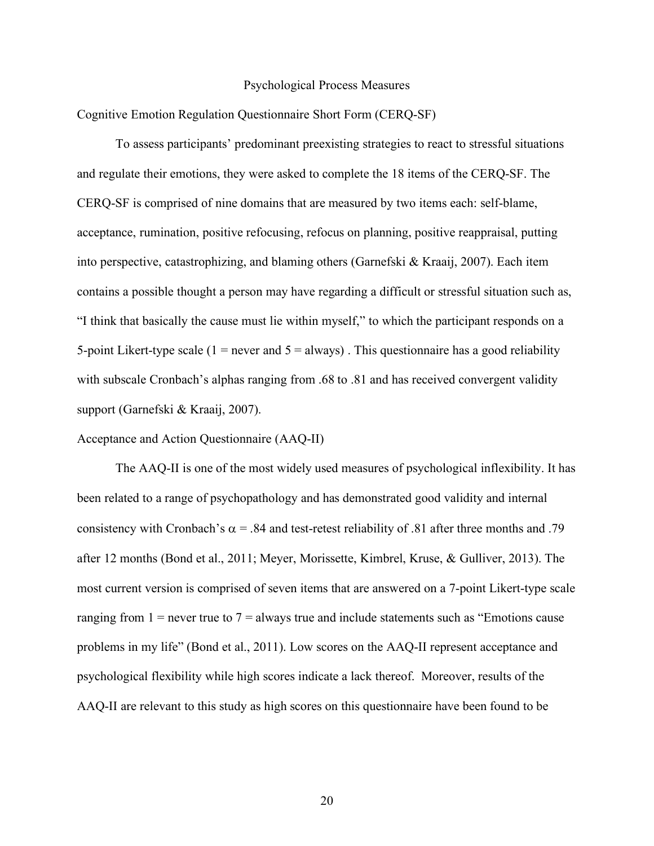### Psychological Process Measures

Cognitive Emotion Regulation Questionnaire Short Form (CERQ-SF)

To assess participants' predominant preexisting strategies to react to stressful situations and regulate their emotions, they were asked to complete the 18 items of the CERQ-SF. The CERQ-SF is comprised of nine domains that are measured by two items each: self-blame, acceptance, rumination, positive refocusing, refocus on planning, positive reappraisal, putting into perspective, catastrophizing, and blaming others (Garnefski & Kraaij, 2007). Each item contains a possible thought a person may have regarding a difficult or stressful situation such as, "I think that basically the cause must lie within myself," to which the participant responds on a 5-point Likert-type scale (1 = never and  $5 =$  always). This questionnaire has a good reliability with subscale Cronbach's alphas ranging from .68 to .81 and has received convergent validity support (Garnefski & Kraaij, 2007).

Acceptance and Action Questionnaire (AAQ-II)

The AAQ-II is one of the most widely used measures of psychological inflexibility. It has been related to a range of psychopathology and has demonstrated good validity and internal consistency with Cronbach's  $\alpha$  = .84 and test-retest reliability of .81 after three months and .79 after 12 months (Bond et al., 2011; Meyer, Morissette, Kimbrel, Kruse, & Gulliver, 2013). The most current version is comprised of seven items that are answered on a 7-point Likert-type scale ranging from  $1 =$  never true to  $7 =$  always true and include statements such as "Emotions cause" problems in my life" (Bond et al., 2011). Low scores on the AAQ-II represent acceptance and psychological flexibility while high scores indicate a lack thereof. Moreover, results of the AAQ-II are relevant to this study as high scores on this questionnaire have been found to be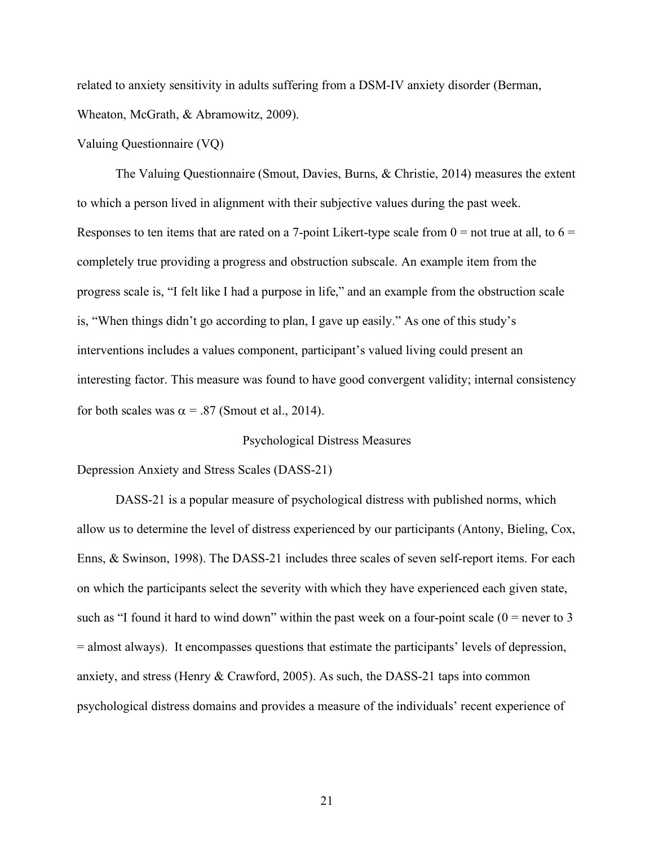related to anxiety sensitivity in adults suffering from a DSM-IV anxiety disorder (Berman, Wheaton, McGrath, & Abramowitz, 2009).

## Valuing Questionnaire (VQ)

The Valuing Questionnaire (Smout, Davies, Burns, & Christie, 2014) measures the extent to which a person lived in alignment with their subjective values during the past week. Responses to ten items that are rated on a 7-point Likert-type scale from  $0 =$  not true at all, to  $6 =$ completely true providing a progress and obstruction subscale. An example item from the progress scale is, "I felt like I had a purpose in life," and an example from the obstruction scale is, "When things didn't go according to plan, I gave up easily." As one of this study's interventions includes a values component, participant's valued living could present an interesting factor. This measure was found to have good convergent validity; internal consistency for both scales was  $\alpha$  = .87 (Smout et al., 2014).

Psychological Distress Measures

Depression Anxiety and Stress Scales (DASS-21)

DASS-21 is a popular measure of psychological distress with published norms, which allow us to determine the level of distress experienced by our participants (Antony, Bieling, Cox, Enns, & Swinson, 1998). The DASS-21 includes three scales of seven self-report items. For each on which the participants select the severity with which they have experienced each given state, such as "I found it hard to wind down" within the past week on a four-point scale  $(0 =$  never to 3 = almost always). It encompasses questions that estimate the participants' levels of depression, anxiety, and stress (Henry & Crawford, 2005). As such, the DASS-21 taps into common psychological distress domains and provides a measure of the individuals' recent experience of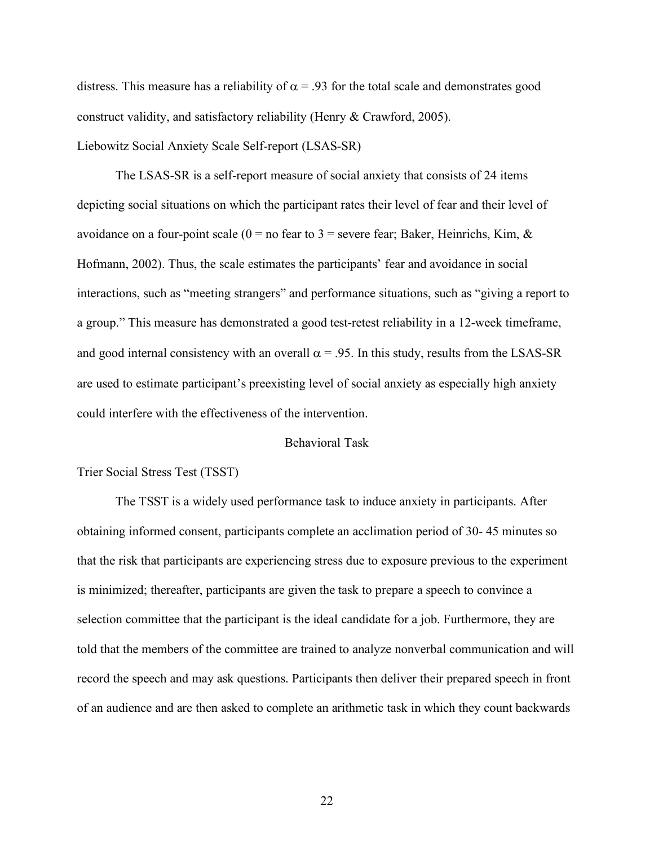distress. This measure has a reliability of  $\alpha$  = .93 for the total scale and demonstrates good construct validity, and satisfactory reliability (Henry & Crawford, 2005). Liebowitz Social Anxiety Scale Self-report (LSAS-SR)

The LSAS-SR is a self-report measure of social anxiety that consists of 24 items depicting social situations on which the participant rates their level of fear and their level of avoidance on a four-point scale ( $0 =$  no fear to 3 = severe fear; Baker, Heinrichs, Kim, & Hofmann, 2002). Thus, the scale estimates the participants' fear and avoidance in social interactions, such as "meeting strangers" and performance situations, such as "giving a report to a group." This measure has demonstrated a good test-retest reliability in a 12-week timeframe, and good internal consistency with an overall  $\alpha$  = .95. In this study, results from the LSAS-SR are used to estimate participant's preexisting level of social anxiety as especially high anxiety could interfere with the effectiveness of the intervention.

# Behavioral Task

# Trier Social Stress Test (TSST)

The TSST is a widely used performance task to induce anxiety in participants. After obtaining informed consent, participants complete an acclimation period of 30- 45 minutes so that the risk that participants are experiencing stress due to exposure previous to the experiment is minimized; thereafter, participants are given the task to prepare a speech to convince a selection committee that the participant is the ideal candidate for a job. Furthermore, they are told that the members of the committee are trained to analyze nonverbal communication and will record the speech and may ask questions. Participants then deliver their prepared speech in front of an audience and are then asked to complete an arithmetic task in which they count backwards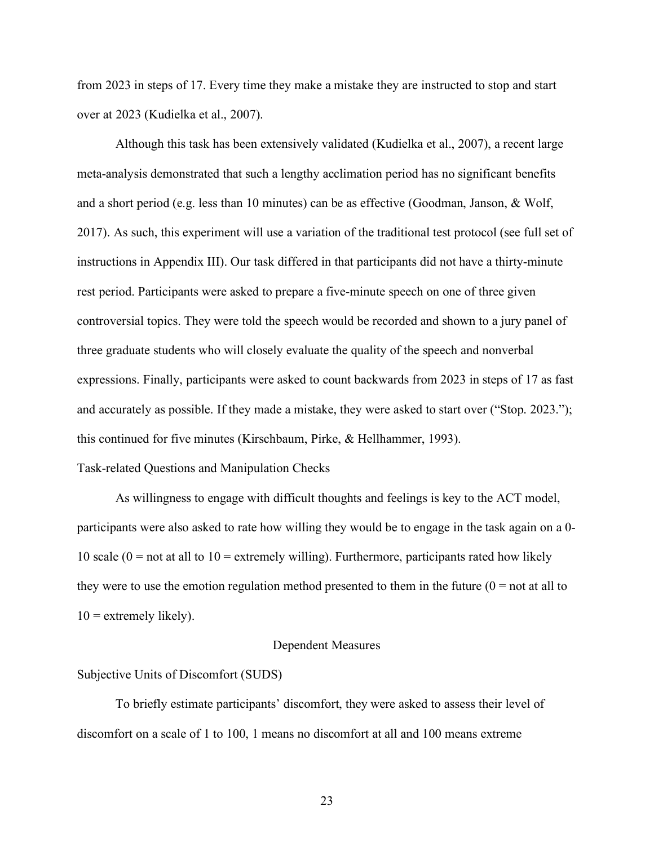from 2023 in steps of 17. Every time they make a mistake they are instructed to stop and start over at 2023 (Kudielka et al., 2007).

Although this task has been extensively validated (Kudielka et al., 2007), a recent large meta-analysis demonstrated that such a lengthy acclimation period has no significant benefits and a short period (e.g. less than 10 minutes) can be as effective (Goodman, Janson, & Wolf, 2017). As such, this experiment will use a variation of the traditional test protocol (see full set of instructions in Appendix III). Our task differed in that participants did not have a thirty-minute rest period. Participants were asked to prepare a five-minute speech on one of three given controversial topics. They were told the speech would be recorded and shown to a jury panel of three graduate students who will closely evaluate the quality of the speech and nonverbal expressions. Finally, participants were asked to count backwards from 2023 in steps of 17 as fast and accurately as possible. If they made a mistake, they were asked to start over ("Stop. 2023."); this continued for five minutes (Kirschbaum, Pirke, & Hellhammer, 1993).

# Task-related Questions and Manipulation Checks

As willingness to engage with difficult thoughts and feelings is key to the ACT model, participants were also asked to rate how willing they would be to engage in the task again on a 0- 10 scale ( $0 =$  not at all to  $10 =$  extremely willing). Furthermore, participants rated how likely they were to use the emotion regulation method presented to them in the future  $(0 = not at all to$  $10 =$  extremely likely).

## Dependent Measures

## Subjective Units of Discomfort (SUDS)

To briefly estimate participants' discomfort, they were asked to assess their level of discomfort on a scale of 1 to 100, 1 means no discomfort at all and 100 means extreme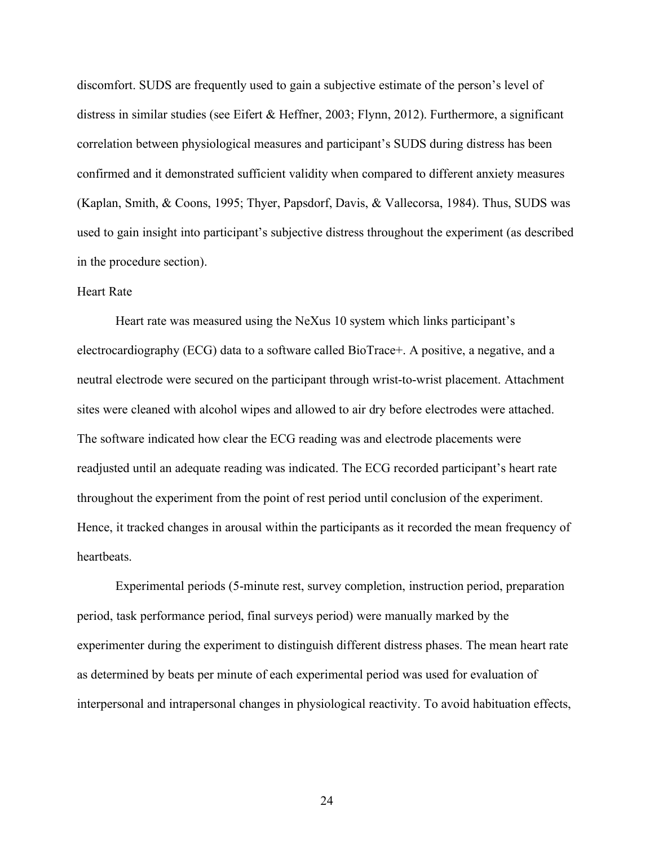discomfort. SUDS are frequently used to gain a subjective estimate of the person's level of distress in similar studies (see Eifert & Heffner, 2003; Flynn, 2012). Furthermore, a significant correlation between physiological measures and participant's SUDS during distress has been confirmed and it demonstrated sufficient validity when compared to different anxiety measures (Kaplan, Smith, & Coons, 1995; Thyer, Papsdorf, Davis, & Vallecorsa, 1984). Thus, SUDS was used to gain insight into participant's subjective distress throughout the experiment (as described in the procedure section).

# Heart Rate

Heart rate was measured using the NeXus 10 system which links participant's electrocardiography (ECG) data to a software called BioTrace+. A positive, a negative, and a neutral electrode were secured on the participant through wrist-to-wrist placement. Attachment sites were cleaned with alcohol wipes and allowed to air dry before electrodes were attached. The software indicated how clear the ECG reading was and electrode placements were readjusted until an adequate reading was indicated. The ECG recorded participant's heart rate throughout the experiment from the point of rest period until conclusion of the experiment. Hence, it tracked changes in arousal within the participants as it recorded the mean frequency of heartbeats.

Experimental periods (5-minute rest, survey completion, instruction period, preparation period, task performance period, final surveys period) were manually marked by the experimenter during the experiment to distinguish different distress phases. The mean heart rate as determined by beats per minute of each experimental period was used for evaluation of interpersonal and intrapersonal changes in physiological reactivity. To avoid habituation effects,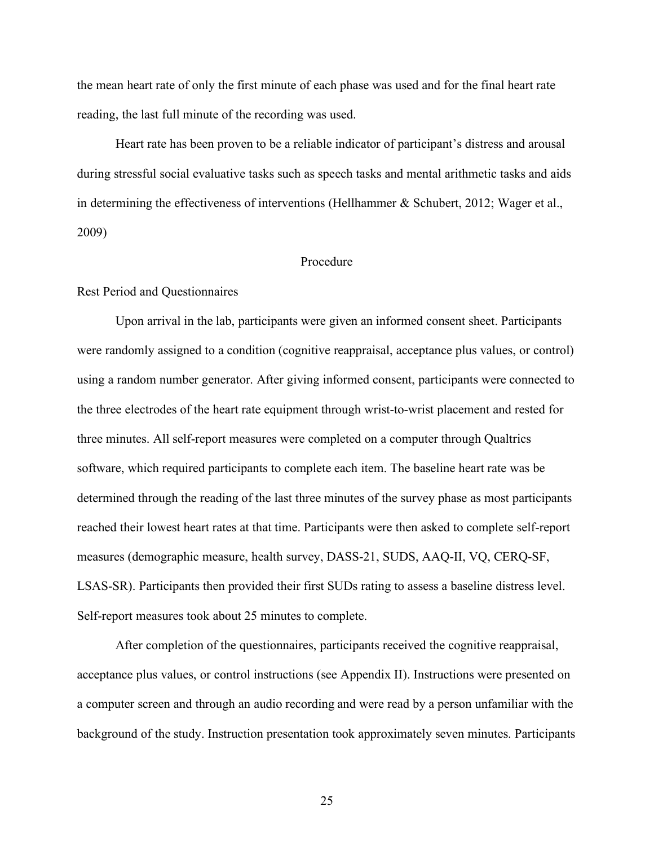the mean heart rate of only the first minute of each phase was used and for the final heart rate reading, the last full minute of the recording was used.

Heart rate has been proven to be a reliable indicator of participant's distress and arousal during stressful social evaluative tasks such as speech tasks and mental arithmetic tasks and aids in determining the effectiveness of interventions (Hellhammer  $\&$  Schubert, 2012; Wager et al., 2009)

### Procedure

## Rest Period and Questionnaires

Upon arrival in the lab, participants were given an informed consent sheet. Participants were randomly assigned to a condition (cognitive reappraisal, acceptance plus values, or control) using a random number generator. After giving informed consent, participants were connected to the three electrodes of the heart rate equipment through wrist-to-wrist placement and rested for three minutes. All self-report measures were completed on a computer through Qualtrics software, which required participants to complete each item. The baseline heart rate was be determined through the reading of the last three minutes of the survey phase as most participants reached their lowest heart rates at that time. Participants were then asked to complete self-report measures (demographic measure, health survey, DASS-21, SUDS, AAQ-II, VQ, CERQ-SF, LSAS-SR). Participants then provided their first SUDs rating to assess a baseline distress level. Self-report measures took about 25 minutes to complete.

After completion of the questionnaires, participants received the cognitive reappraisal, acceptance plus values, or control instructions (see Appendix II). Instructions were presented on a computer screen and through an audio recording and were read by a person unfamiliar with the background of the study. Instruction presentation took approximately seven minutes. Participants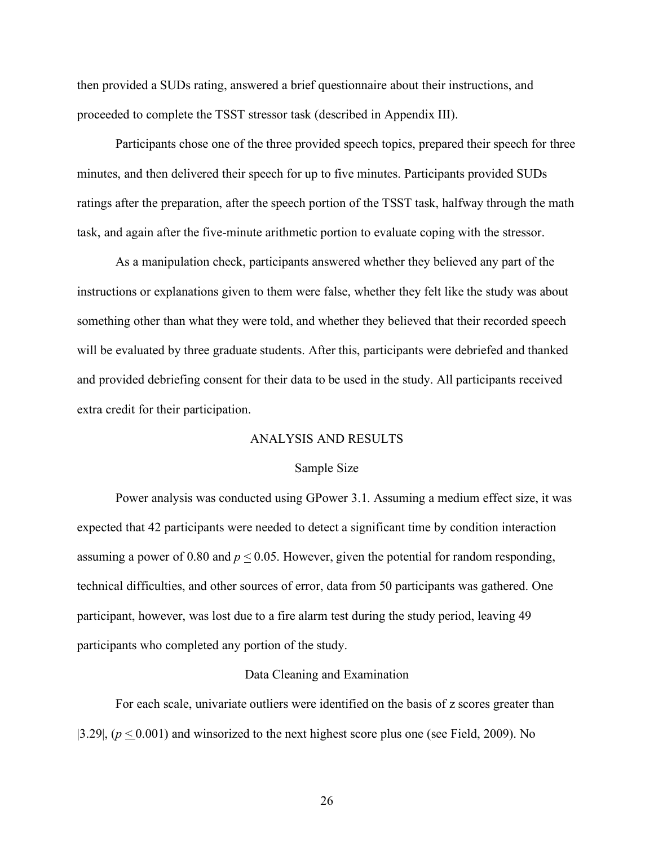then provided a SUDs rating, answered a brief questionnaire about their instructions, and proceeded to complete the TSST stressor task (described in Appendix III).

Participants chose one of the three provided speech topics, prepared their speech for three minutes, and then delivered their speech for up to five minutes. Participants provided SUDs ratings after the preparation, after the speech portion of the TSST task, halfway through the math task, and again after the five-minute arithmetic portion to evaluate coping with the stressor.

As a manipulation check, participants answered whether they believed any part of the instructions or explanations given to them were false, whether they felt like the study was about something other than what they were told, and whether they believed that their recorded speech will be evaluated by three graduate students. After this, participants were debriefed and thanked and provided debriefing consent for their data to be used in the study. All participants received extra credit for their participation.

#### ANALYSIS AND RESULTS

#### Sample Size

Power analysis was conducted using GPower 3.1. Assuming a medium effect size, it was expected that 42 participants were needed to detect a significant time by condition interaction assuming a power of 0.80 and  $p \le 0.05$ . However, given the potential for random responding, technical difficulties, and other sources of error, data from 50 participants was gathered. One participant, however, was lost due to a fire alarm test during the study period, leaving 49 participants who completed any portion of the study.

#### Data Cleaning and Examination

For each scale, univariate outliers were identified on the basis of z scores greater than  $|3.29|$ ,  $(p \le 0.001)$  and winsorized to the next highest score plus one (see Field, 2009). No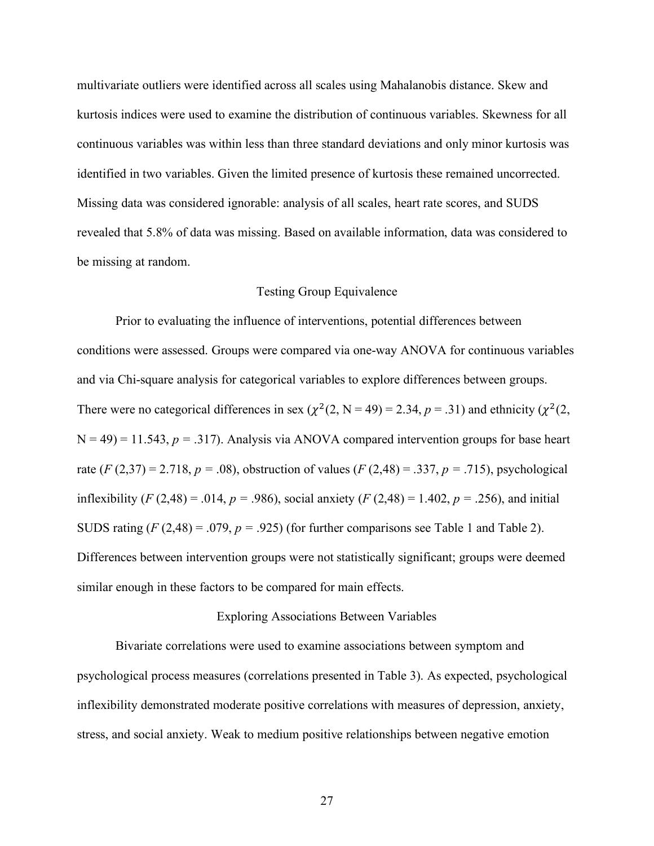multivariate outliers were identified across all scales using Mahalanobis distance. Skew and kurtosis indices were used to examine the distribution of continuous variables. Skewness for all continuous variables was within less than three standard deviations and only minor kurtosis was identified in two variables. Given the limited presence of kurtosis these remained uncorrected. Missing data was considered ignorable: analysis of all scales, heart rate scores, and SUDS revealed that 5.8% of data was missing. Based on available information, data was considered to be missing at random.

## Testing Group Equivalence

Prior to evaluating the influence of interventions, potential differences between conditions were assessed. Groups were compared via one-way ANOVA for continuous variables and via Chi-square analysis for categorical variables to explore differences between groups. There were no categorical differences in sex ( $\chi^2(2, N = 49) = 2.34$ ,  $p = .31$ ) and ethnicity ( $\chi^2(2, N = 49)$ )  $N = 49$ ) = 11.543,  $p = .317$ ). Analysis via ANOVA compared intervention groups for base heart rate  $(F(2,37) = 2.718, p = .08)$ , obstruction of values  $(F(2,48) = .337, p = .715)$ , psychological inflexibility (*F* (2,48) = .014, *p* = .986), social anxiety (*F* (2,48) = 1.402, *p* = .256), and initial SUDS rating  $(F(2,48) = .079, p = .925)$  (for further comparisons see Table 1 and Table 2). Differences between intervention groups were not statistically significant; groups were deemed similar enough in these factors to be compared for main effects.

# Exploring Associations Between Variables

Bivariate correlations were used to examine associations between symptom and psychological process measures (correlations presented in Table 3). As expected, psychological inflexibility demonstrated moderate positive correlations with measures of depression, anxiety, stress, and social anxiety. Weak to medium positive relationships between negative emotion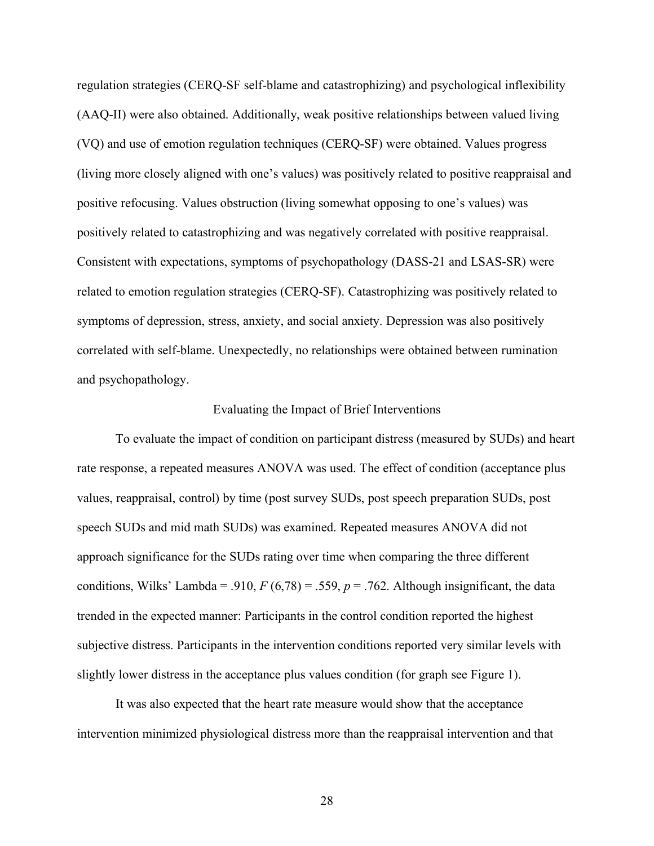regulation strategies (CERQ-SF self-blame and catastrophizing) and psychological inflexibility (AAQ-II) were also obtained. Additionally, weak positive relationships between valued living (VQ) and use of emotion regulation techniques (CERQ-SF) were obtained. Values progress (living more closely aligned with one's values) was positively related to positive reappraisal and positive refocusing. Values obstruction (living somewhat opposing to one's values) was positively related to catastrophizing and was negatively correlated with positive reappraisal. Consistent with expectations, symptoms of psychopathology (DASS-21 and LSAS-SR) were related to emotion regulation strategies (CERQ-SF). Catastrophizing was positively related to symptoms of depression, stress, anxiety, and social anxiety. Depression was also positively correlated with self-blame. Unexpectedly, no relationships were obtained between rumination and psychopathology.

### Evaluating the Impact of Brief Interventions

To evaluate the impact of condition on participant distress (measured by SUDs) and heart rate response, a repeated measures ANOVA was used. The effect of condition (acceptance plus values, reappraisal, control) by time (post survey SUDs, post speech preparation SUDs, post speech SUDs and mid math SUDs) was examined. Repeated measures ANOVA did not approach significance for the SUDs rating over time when comparing the three different conditions, Wilks' Lambda = .910,  $F(6,78) = .559$ ,  $p = .762$ . Although insignificant, the data trended in the expected manner: Participants in the control condition reported the highest subjective distress. Participants in the intervention conditions reported very similar levels with slightly lower distress in the acceptance plus values condition (for graph see Figure 1).

It was also expected that the heart rate measure would show that the acceptance intervention minimized physiological distress more than the reappraisal intervention and that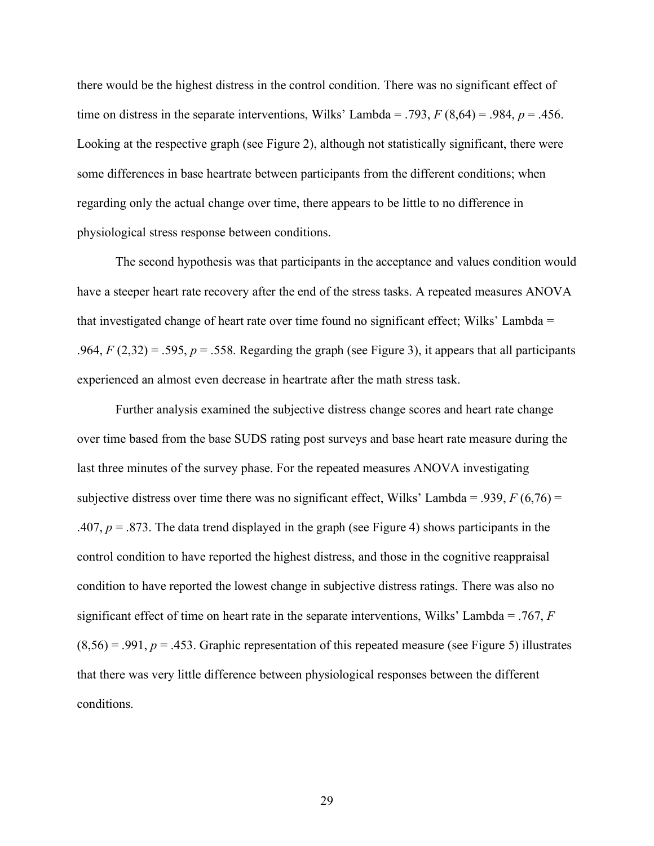there would be the highest distress in the control condition. There was no significant effect of time on distress in the separate interventions, Wilks' Lambda = .793,  $F(8,64) = .984$ ,  $p = .456$ . Looking at the respective graph (see Figure 2), although not statistically significant, there were some differences in base heartrate between participants from the different conditions; when regarding only the actual change over time, there appears to be little to no difference in physiological stress response between conditions.

The second hypothesis was that participants in the acceptance and values condition would have a steeper heart rate recovery after the end of the stress tasks. A repeated measures ANOVA that investigated change of heart rate over time found no significant effect; Wilks' Lambda = .964,  $F(2,32) = .595$ ,  $p = .558$ . Regarding the graph (see Figure 3), it appears that all participants experienced an almost even decrease in heartrate after the math stress task.

Further analysis examined the subjective distress change scores and heart rate change over time based from the base SUDS rating post surveys and base heart rate measure during the last three minutes of the survey phase. For the repeated measures ANOVA investigating subjective distress over time there was no significant effect, Wilks' Lambda = .939,  $F(6,76)$  = .407,  $p = 0.873$ . The data trend displayed in the graph (see Figure 4) shows participants in the control condition to have reported the highest distress, and those in the cognitive reappraisal condition to have reported the lowest change in subjective distress ratings. There was also no significant effect of time on heart rate in the separate interventions, Wilks' Lambda = .767, *F*  $(8,56) = .991$ ,  $p = .453$ . Graphic representation of this repeated measure (see Figure 5) illustrates that there was very little difference between physiological responses between the different conditions.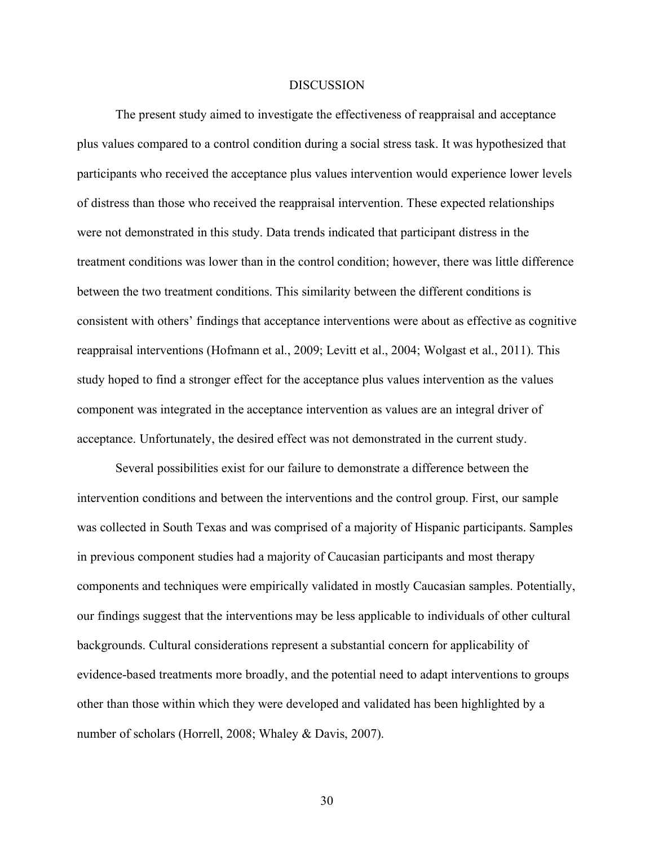#### **DISCUSSION**

The present study aimed to investigate the effectiveness of reappraisal and acceptance plus values compared to a control condition during a social stress task. It was hypothesized that participants who received the acceptance plus values intervention would experience lower levels of distress than those who received the reappraisal intervention. These expected relationships were not demonstrated in this study. Data trends indicated that participant distress in the treatment conditions was lower than in the control condition; however, there was little difference between the two treatment conditions. This similarity between the different conditions is consistent with others' findings that acceptance interventions were about as effective as cognitive reappraisal interventions (Hofmann et al., 2009; Levitt et al., 2004; Wolgast et al., 2011). This study hoped to find a stronger effect for the acceptance plus values intervention as the values component was integrated in the acceptance intervention as values are an integral driver of acceptance. Unfortunately, the desired effect was not demonstrated in the current study.

Several possibilities exist for our failure to demonstrate a difference between the intervention conditions and between the interventions and the control group. First, our sample was collected in South Texas and was comprised of a majority of Hispanic participants. Samples in previous component studies had a majority of Caucasian participants and most therapy components and techniques were empirically validated in mostly Caucasian samples. Potentially, our findings suggest that the interventions may be less applicable to individuals of other cultural backgrounds. Cultural considerations represent a substantial concern for applicability of evidence-based treatments more broadly, and the potential need to adapt interventions to groups other than those within which they were developed and validated has been highlighted by a number of scholars (Horrell, 2008; Whaley & Davis, 2007).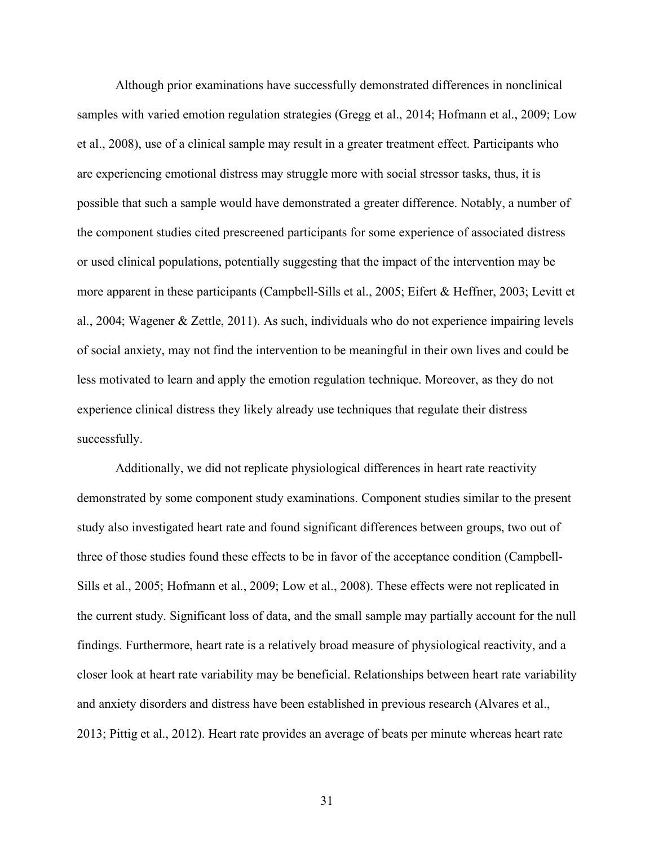Although prior examinations have successfully demonstrated differences in nonclinical samples with varied emotion regulation strategies (Gregg et al., 2014; Hofmann et al., 2009; Low et al., 2008), use of a clinical sample may result in a greater treatment effect. Participants who are experiencing emotional distress may struggle more with social stressor tasks, thus, it is possible that such a sample would have demonstrated a greater difference. Notably, a number of the component studies cited prescreened participants for some experience of associated distress or used clinical populations, potentially suggesting that the impact of the intervention may be more apparent in these participants (Campbell-Sills et al., 2005; Eifert & Heffner, 2003; Levitt et al., 2004; Wagener & Zettle, 2011). As such, individuals who do not experience impairing levels of social anxiety, may not find the intervention to be meaningful in their own lives and could be less motivated to learn and apply the emotion regulation technique. Moreover, as they do not experience clinical distress they likely already use techniques that regulate their distress successfully.

Additionally, we did not replicate physiological differences in heart rate reactivity demonstrated by some component study examinations. Component studies similar to the present study also investigated heart rate and found significant differences between groups, two out of three of those studies found these effects to be in favor of the acceptance condition (Campbell-Sills et al., 2005; Hofmann et al., 2009; Low et al., 2008). These effects were not replicated in the current study. Significant loss of data, and the small sample may partially account for the null findings. Furthermore, heart rate is a relatively broad measure of physiological reactivity, and a closer look at heart rate variability may be beneficial. Relationships between heart rate variability and anxiety disorders and distress have been established in previous research (Alvares et al., 2013; Pittig et al., 2012). Heart rate provides an average of beats per minute whereas heart rate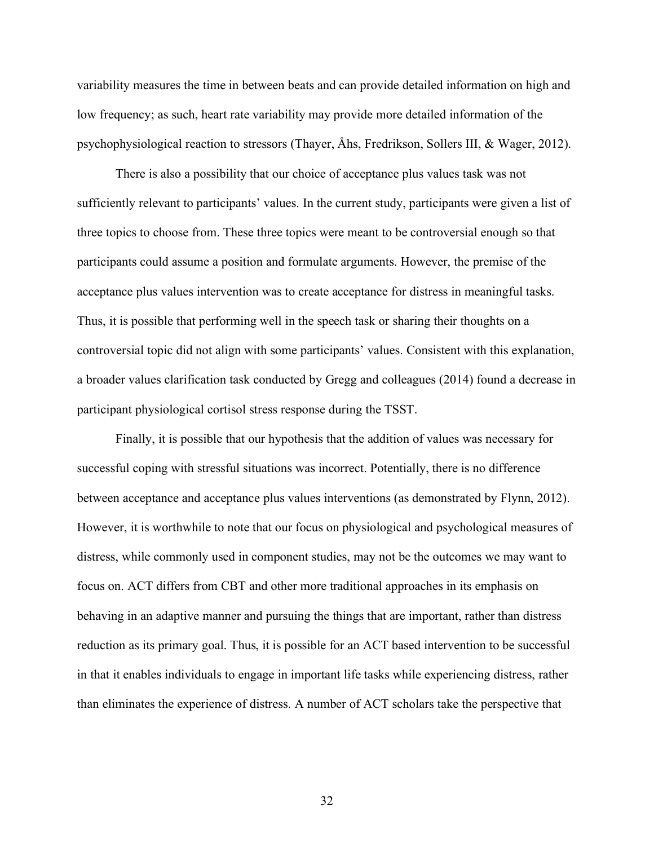variability measures the time in between beats and can provide detailed information on high and low frequency; as such, heart rate variability may provide more detailed information of the psychophysiological reaction to stressors (Thayer, Åhs, Fredrikson, Sollers III, & Wager, 2012).

There is also a possibility that our choice of acceptance plus values task was not sufficiently relevant to participants' values. In the current study, participants were given a list of three topics to choose from. These three topics were meant to be controversial enough so that participants could assume a position and formulate arguments. However, the premise of the acceptance plus values intervention was to create acceptance for distress in meaningful tasks. Thus, it is possible that performing well in the speech task or sharing their thoughts on a controversial topic did not align with some participants' values. Consistent with this explanation, a broader values clarification task conducted by Gregg and colleagues (2014) found a decrease in participant physiological cortisol stress response during the TSST.

Finally, it is possible that our hypothesis that the addition of values was necessary for successful coping with stressful situations was incorrect. Potentially, there is no difference between acceptance and acceptance plus values interventions (as demonstrated by Flynn, 2012). However, it is worthwhile to note that our focus on physiological and psychological measures of distress, while commonly used in component studies, may not be the outcomes we may want to focus on. ACT differs from CBT and other more traditional approaches in its emphasis on behaving in an adaptive manner and pursuing the things that are important, rather than distress reduction as its primary goal. Thus, it is possible for an ACT based intervention to be successful in that it enables individuals to engage in important life tasks while experiencing distress, rather than eliminates the experience of distress. A number of ACT scholars take the perspective that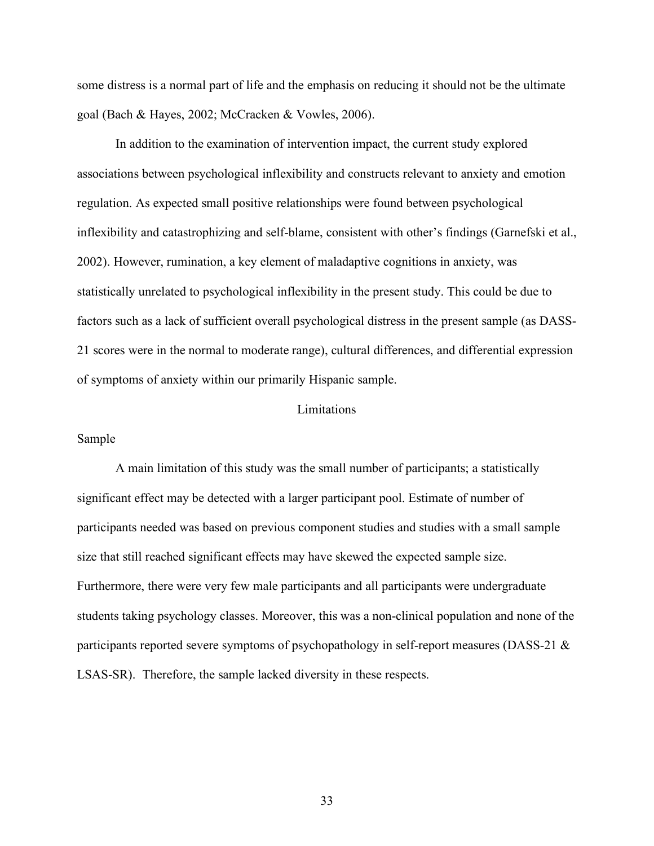some distress is a normal part of life and the emphasis on reducing it should not be the ultimate goal (Bach & Hayes, 2002; McCracken & Vowles, 2006).

In addition to the examination of intervention impact, the current study explored associations between psychological inflexibility and constructs relevant to anxiety and emotion regulation. As expected small positive relationships were found between psychological inflexibility and catastrophizing and self-blame, consistent with other's findings (Garnefski et al., 2002). However, rumination, a key element of maladaptive cognitions in anxiety, was statistically unrelated to psychological inflexibility in the present study. This could be due to factors such as a lack of sufficient overall psychological distress in the present sample (as DASS-21 scores were in the normal to moderate range), cultural differences, and differential expression of symptoms of anxiety within our primarily Hispanic sample.

#### **Limitations**

#### Sample

A main limitation of this study was the small number of participants; a statistically significant effect may be detected with a larger participant pool. Estimate of number of participants needed was based on previous component studies and studies with a small sample size that still reached significant effects may have skewed the expected sample size. Furthermore, there were very few male participants and all participants were undergraduate students taking psychology classes. Moreover, this was a non-clinical population and none of the participants reported severe symptoms of psychopathology in self-report measures (DASS-21 & LSAS-SR). Therefore, the sample lacked diversity in these respects.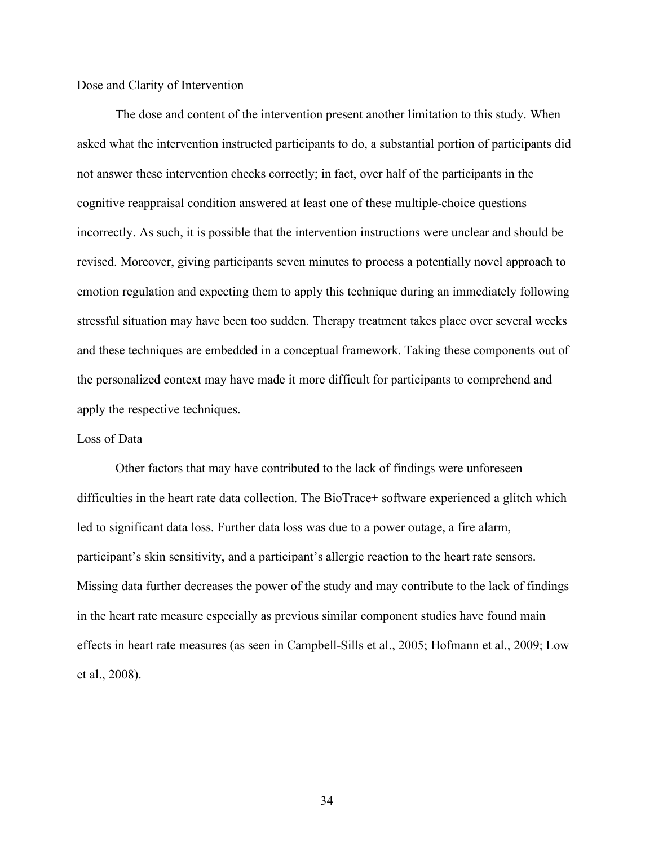#### Dose and Clarity of Intervention

The dose and content of the intervention present another limitation to this study. When asked what the intervention instructed participants to do, a substantial portion of participants did not answer these intervention checks correctly; in fact, over half of the participants in the cognitive reappraisal condition answered at least one of these multiple-choice questions incorrectly. As such, it is possible that the intervention instructions were unclear and should be revised. Moreover, giving participants seven minutes to process a potentially novel approach to emotion regulation and expecting them to apply this technique during an immediately following stressful situation may have been too sudden. Therapy treatment takes place over several weeks and these techniques are embedded in a conceptual framework. Taking these components out of the personalized context may have made it more difficult for participants to comprehend and apply the respective techniques.

#### Loss of Data

Other factors that may have contributed to the lack of findings were unforeseen difficulties in the heart rate data collection. The BioTrace+ software experienced a glitch which led to significant data loss. Further data loss was due to a power outage, a fire alarm, participant's skin sensitivity, and a participant's allergic reaction to the heart rate sensors. Missing data further decreases the power of the study and may contribute to the lack of findings in the heart rate measure especially as previous similar component studies have found main effects in heart rate measures (as seen in Campbell-Sills et al., 2005; Hofmann et al., 2009; Low et al., 2008).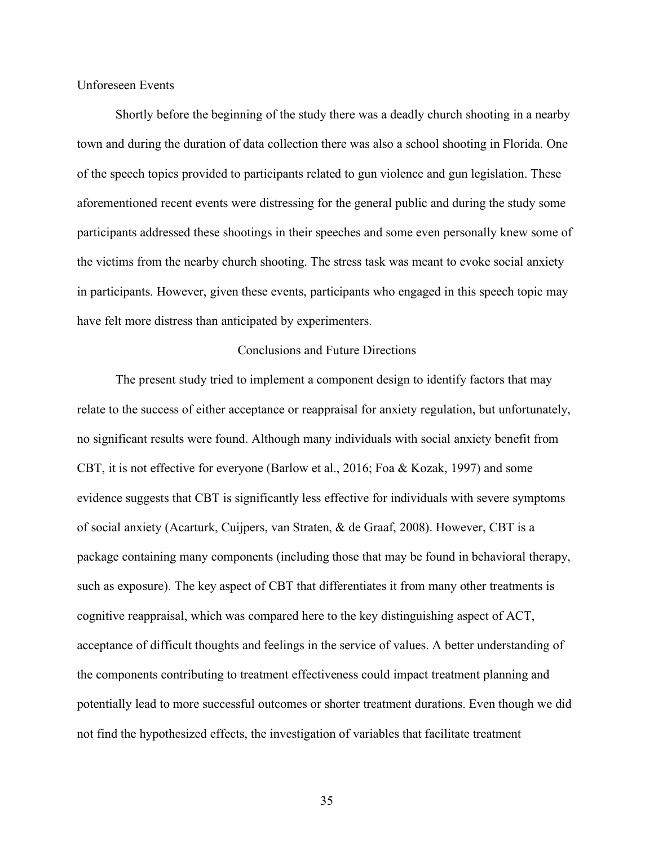Unforeseen Events

Shortly before the beginning of the study there was a deadly church shooting in a nearby town and during the duration of data collection there was also a school shooting in Florida. One of the speech topics provided to participants related to gun violence and gun legislation. These aforementioned recent events were distressing for the general public and during the study some participants addressed these shootings in their speeches and some even personally knew some of the victims from the nearby church shooting. The stress task was meant to evoke social anxiety in participants. However, given these events, participants who engaged in this speech topic may have felt more distress than anticipated by experimenters.

#### Conclusions and Future Directions

The present study tried to implement a component design to identify factors that may relate to the success of either acceptance or reappraisal for anxiety regulation, but unfortunately, no significant results were found. Although many individuals with social anxiety benefit from CBT, it is not effective for everyone (Barlow et al., 2016; Foa & Kozak, 1997) and some evidence suggests that CBT is significantly less effective for individuals with severe symptoms of social anxiety (Acarturk, Cuijpers, van Straten, & de Graaf, 2008). However, CBT is a package containing many components (including those that may be found in behavioral therapy, such as exposure). The key aspect of CBT that differentiates it from many other treatments is cognitive reappraisal, which was compared here to the key distinguishing aspect of ACT, acceptance of difficult thoughts and feelings in the service of values. A better understanding of the components contributing to treatment effectiveness could impact treatment planning and potentially lead to more successful outcomes or shorter treatment durations. Even though we did not find the hypothesized effects, the investigation of variables that facilitate treatment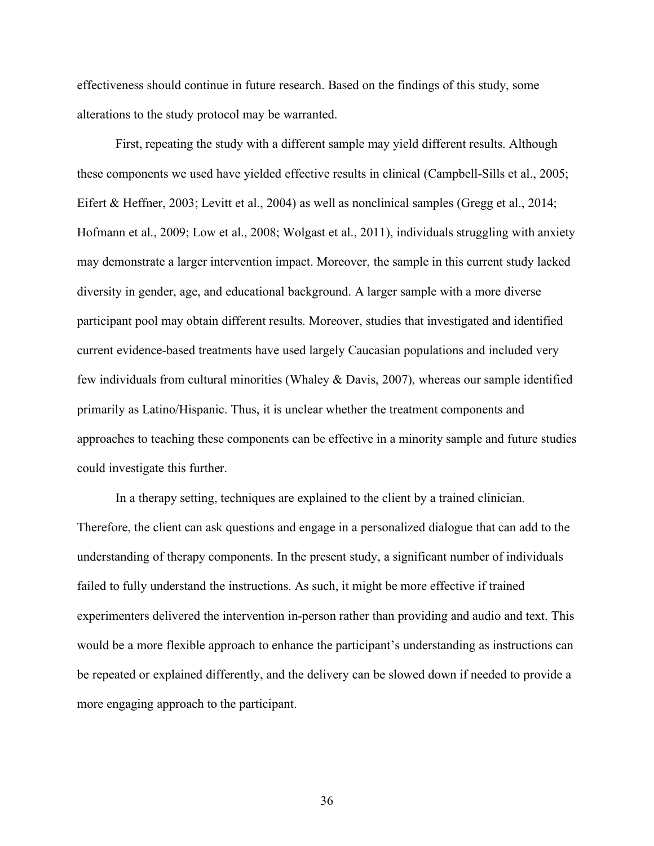effectiveness should continue in future research. Based on the findings of this study, some alterations to the study protocol may be warranted.

First, repeating the study with a different sample may yield different results. Although these components we used have yielded effective results in clinical (Campbell-Sills et al., 2005; Eifert & Heffner, 2003; Levitt et al., 2004) as well as nonclinical samples (Gregg et al., 2014; Hofmann et al., 2009; Low et al., 2008; Wolgast et al., 2011), individuals struggling with anxiety may demonstrate a larger intervention impact. Moreover, the sample in this current study lacked diversity in gender, age, and educational background. A larger sample with a more diverse participant pool may obtain different results. Moreover, studies that investigated and identified current evidence-based treatments have used largely Caucasian populations and included very few individuals from cultural minorities (Whaley & Davis, 2007), whereas our sample identified primarily as Latino/Hispanic. Thus, it is unclear whether the treatment components and approaches to teaching these components can be effective in a minority sample and future studies could investigate this further.

In a therapy setting, techniques are explained to the client by a trained clinician. Therefore, the client can ask questions and engage in a personalized dialogue that can add to the understanding of therapy components. In the present study, a significant number of individuals failed to fully understand the instructions. As such, it might be more effective if trained experimenters delivered the intervention in-person rather than providing and audio and text. This would be a more flexible approach to enhance the participant's understanding as instructions can be repeated or explained differently, and the delivery can be slowed down if needed to provide a more engaging approach to the participant.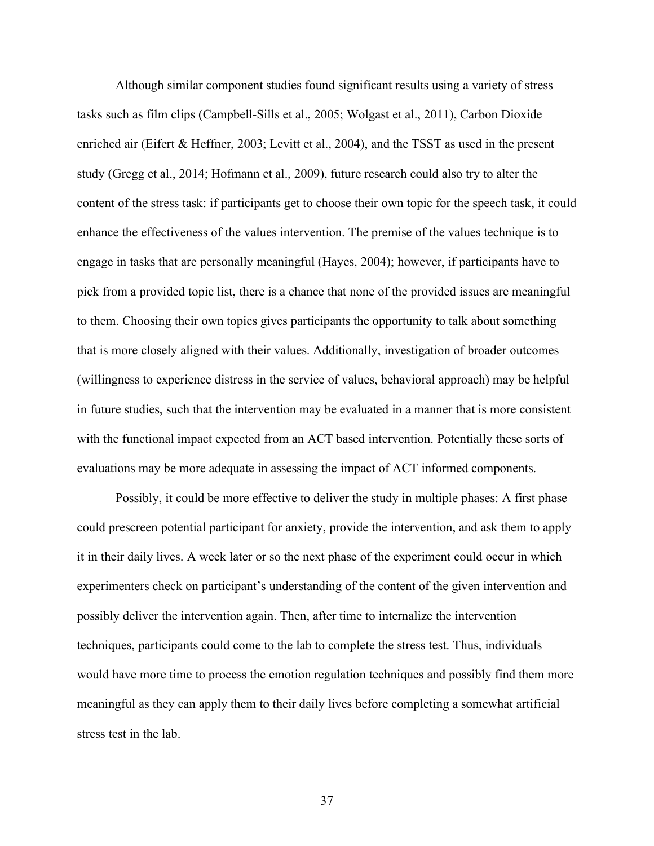Although similar component studies found significant results using a variety of stress tasks such as film clips (Campbell-Sills et al., 2005; Wolgast et al., 2011), Carbon Dioxide enriched air (Eifert & Heffner, 2003; Levitt et al., 2004), and the TSST as used in the present study (Gregg et al., 2014; Hofmann et al., 2009), future research could also try to alter the content of the stress task: if participants get to choose their own topic for the speech task, it could enhance the effectiveness of the values intervention. The premise of the values technique is to engage in tasks that are personally meaningful (Hayes, 2004); however, if participants have to pick from a provided topic list, there is a chance that none of the provided issues are meaningful to them. Choosing their own topics gives participants the opportunity to talk about something that is more closely aligned with their values. Additionally, investigation of broader outcomes (willingness to experience distress in the service of values, behavioral approach) may be helpful in future studies, such that the intervention may be evaluated in a manner that is more consistent with the functional impact expected from an ACT based intervention. Potentially these sorts of evaluations may be more adequate in assessing the impact of ACT informed components.

Possibly, it could be more effective to deliver the study in multiple phases: A first phase could prescreen potential participant for anxiety, provide the intervention, and ask them to apply it in their daily lives. A week later or so the next phase of the experiment could occur in which experimenters check on participant's understanding of the content of the given intervention and possibly deliver the intervention again. Then, after time to internalize the intervention techniques, participants could come to the lab to complete the stress test. Thus, individuals would have more time to process the emotion regulation techniques and possibly find them more meaningful as they can apply them to their daily lives before completing a somewhat artificial stress test in the lab.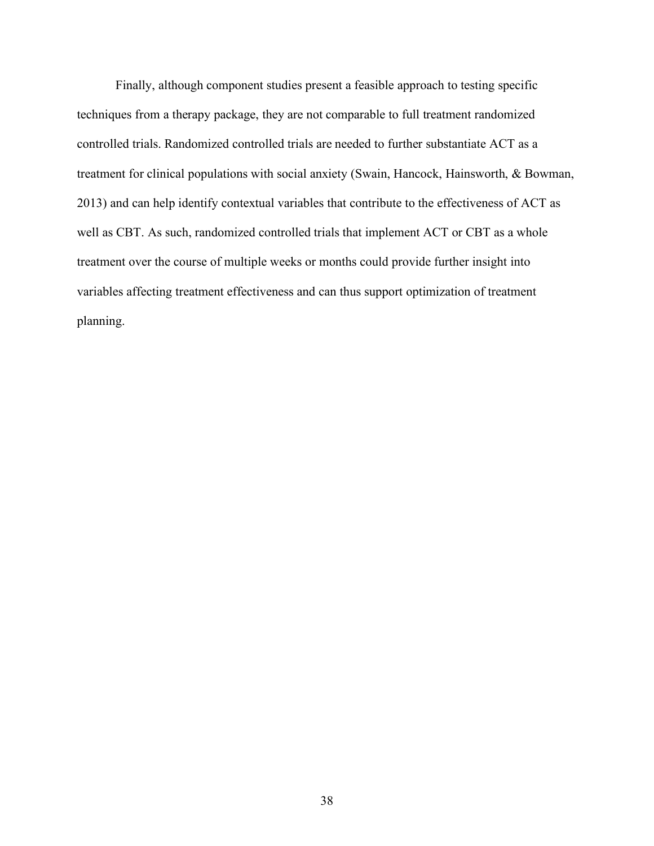Finally, although component studies present a feasible approach to testing specific techniques from a therapy package, they are not comparable to full treatment randomized controlled trials. Randomized controlled trials are needed to further substantiate ACT as a treatment for clinical populations with social anxiety (Swain, Hancock, Hainsworth, & Bowman, 2013) and can help identify contextual variables that contribute to the effectiveness of ACT as well as CBT. As such, randomized controlled trials that implement ACT or CBT as a whole treatment over the course of multiple weeks or months could provide further insight into variables affecting treatment effectiveness and can thus support optimization of treatment planning.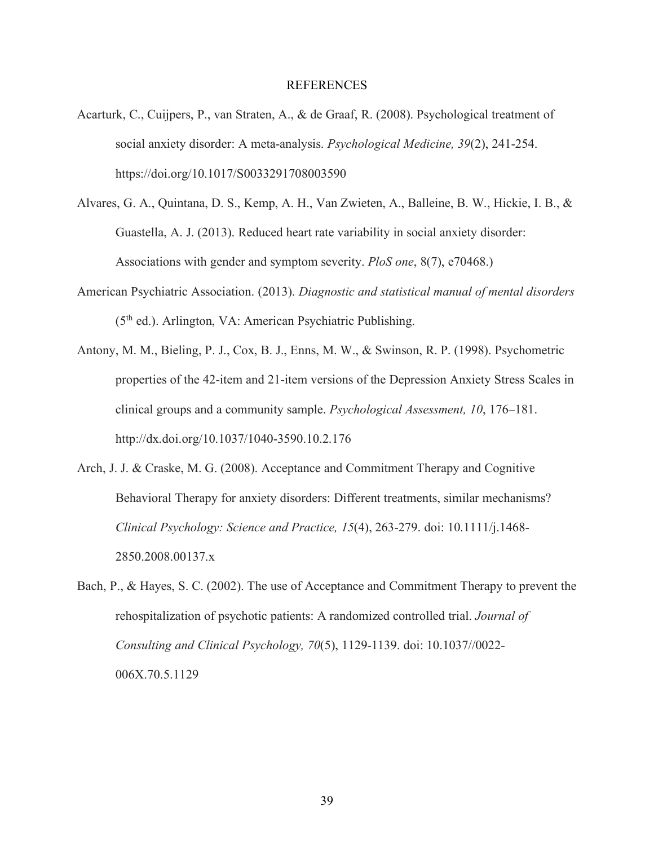#### REFERENCES

- Acarturk, C., Cuijpers, P., van Straten, A., & de Graaf, R. (2008). Psychological treatment of social anxiety disorder: A meta-analysis. *Psychological Medicine, 39*(2), 241-254. https://doi.org/10.1017/S0033291708003590
- Alvares, G. A., Quintana, D. S., Kemp, A. H., Van Zwieten, A., Balleine, B. W., Hickie, I. B., & Guastella, A. J. (2013). Reduced heart rate variability in social anxiety disorder: Associations with gender and symptom severity. *PloS one*, 8(7), e70468.)
- American Psychiatric Association. (2013). *Diagnostic and statistical manual of mental disorders*  (5th ed.). Arlington, VA: American Psychiatric Publishing.
- Antony, M. M., Bieling, P. J., Cox, B. J., Enns, M. W., & Swinson, R. P. (1998). Psychometric properties of the 42-item and 21-item versions of the Depression Anxiety Stress Scales in clinical groups and a community sample. *Psychological Assessment, 10*, 176–181. http://dx.doi.org/10.1037/1040-3590.10.2.176
- Arch, J. J. & Craske, M. G. (2008). Acceptance and Commitment Therapy and Cognitive Behavioral Therapy for anxiety disorders: Different treatments, similar mechanisms? *Clinical Psychology: Science and Practice, 15*(4), 263-279. doi: 10.1111/j.1468- 2850.2008.00137.x
- Bach, P., & Hayes, S. C. (2002). The use of Acceptance and Commitment Therapy to prevent the rehospitalization of psychotic patients: A randomized controlled trial. *Journal of Consulting and Clinical Psychology, 70*(5), 1129-1139. doi: 10.1037//0022- 006X.70.5.1129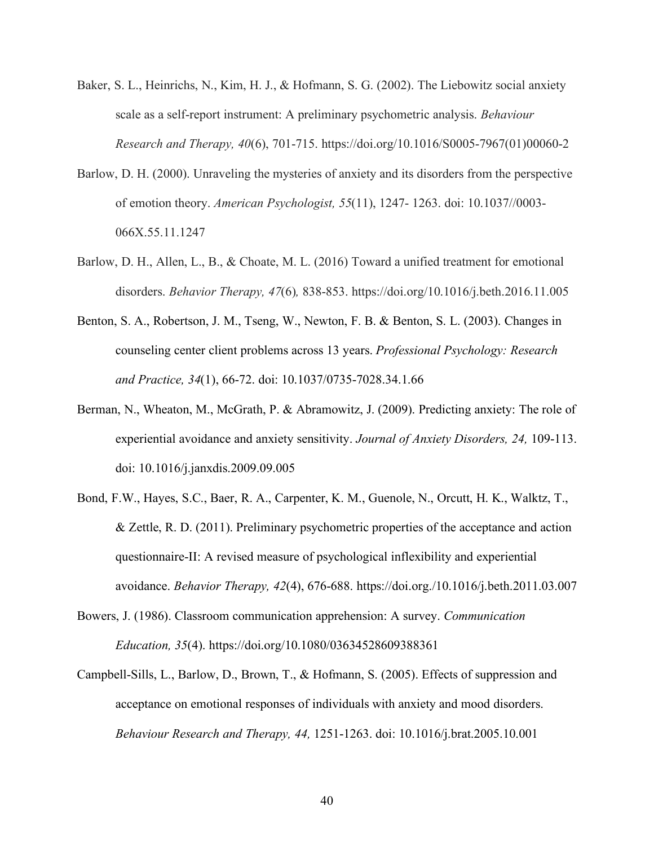- Baker, S. L., Heinrichs, N., Kim, H. J., & Hofmann, S. G. (2002). The Liebowitz social anxiety scale as a self-report instrument: A preliminary psychometric analysis. *Behaviour Research and Therapy, 40*(6), 701-715. https://doi.org/10.1016/S0005-7967(01)00060-2
- Barlow, D. H. (2000). Unraveling the mysteries of anxiety and its disorders from the perspective of emotion theory. *American Psychologist, 55*(11), 1247- 1263. doi: 10.1037//0003- 066X.55.11.1247
- Barlow, D. H., Allen, L., B., & Choate, M. L. (2016) Toward a unified treatment for emotional disorders. *Behavior Therapy, 47*(6)*,* 838-853. https://doi.org/10.1016/j.beth.2016.11.005
- Benton, S. A., Robertson, J. M., Tseng, W., Newton, F. B. & Benton, S. L. (2003). Changes in counseling center client problems across 13 years. *Professional Psychology: Research and Practice, 34*(1), 66-72. doi: 10.1037/0735-7028.34.1.66
- Berman, N., Wheaton, M., McGrath, P. & Abramowitz, J. (2009). Predicting anxiety: The role of experiential avoidance and anxiety sensitivity. *Journal of Anxiety Disorders, 24,* 109-113. doi: 10.1016/j.janxdis.2009.09.005
- Bond, F.W., Hayes, S.C., Baer, R. A., Carpenter, K. M., Guenole, N., Orcutt, H. K., Walktz, T., & Zettle, R. D. (2011). Preliminary psychometric properties of the acceptance and action questionnaire-II: A revised measure of psychological inflexibility and experiential avoidance. *Behavior Therapy, 42*(4), 676-688. https://doi.org./10.1016/j.beth.2011.03.007
- Bowers, J. (1986). Classroom communication apprehension: A survey. *Communication Education, 35*(4). https://doi.org/10.1080/03634528609388361
- Campbell-Sills, L., Barlow, D., Brown, T., & Hofmann, S. (2005). Effects of suppression and acceptance on emotional responses of individuals with anxiety and mood disorders. *Behaviour Research and Therapy, 44,* 1251-1263. doi: 10.1016/j.brat.2005.10.001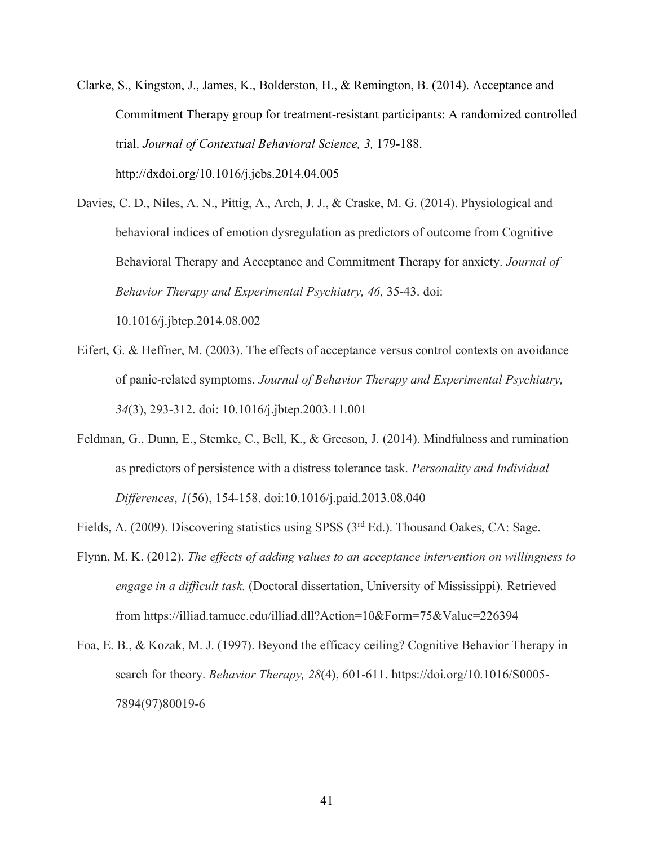- Clarke, S., Kingston, J., James, K., Bolderston, H., & Remington, B. (2014). Acceptance and Commitment Therapy group for treatment-resistant participants: A randomized controlled trial. *Journal of Contextual Behavioral Science, 3,* 179-188. http://dxdoi.org/10.1016/j.jcbs.2014.04.005
- Davies, C. D., Niles, A. N., Pittig, A., Arch, J. J., & Craske, M. G. (2014). Physiological and behavioral indices of emotion dysregulation as predictors of outcome from Cognitive Behavioral Therapy and Acceptance and Commitment Therapy for anxiety. *Journal of Behavior Therapy and Experimental Psychiatry, 46, 35-43. doi:* 10.1016/j.jbtep.2014.08.002
- Eifert, G. & Heffner, M. (2003). The effects of acceptance versus control contexts on avoidance of panic-related symptoms. *Journal of Behavior Therapy and Experimental Psychiatry, 34*(3), 293-312. doi: 10.1016/j.jbtep.2003.11.001
- Feldman, G., Dunn, E., Stemke, C., Bell, K., & Greeson, J. (2014). Mindfulness and rumination as predictors of persistence with a distress tolerance task. *Personality and Individual Differences*, *1*(56), 154-158. doi:10.1016/j.paid.2013.08.040
- Fields, A. (2009). Discovering statistics using SPSS (3<sup>rd</sup> Ed.). Thousand Oakes, CA: Sage.
- Flynn, M. K. (2012). *The effects of adding values to an acceptance intervention on willingness to engage in a difficult task.* (Doctoral dissertation, University of Mississippi). Retrieved from https://illiad.tamucc.edu/illiad.dll?Action=10&Form=75&Value=226394
- Foa, E. B., & Kozak, M. J. (1997). Beyond the efficacy ceiling? Cognitive Behavior Therapy in search for theory. *Behavior Therapy, 28*(4), 601-611. https://doi.org/10.1016/S0005- 7894(97)80019-6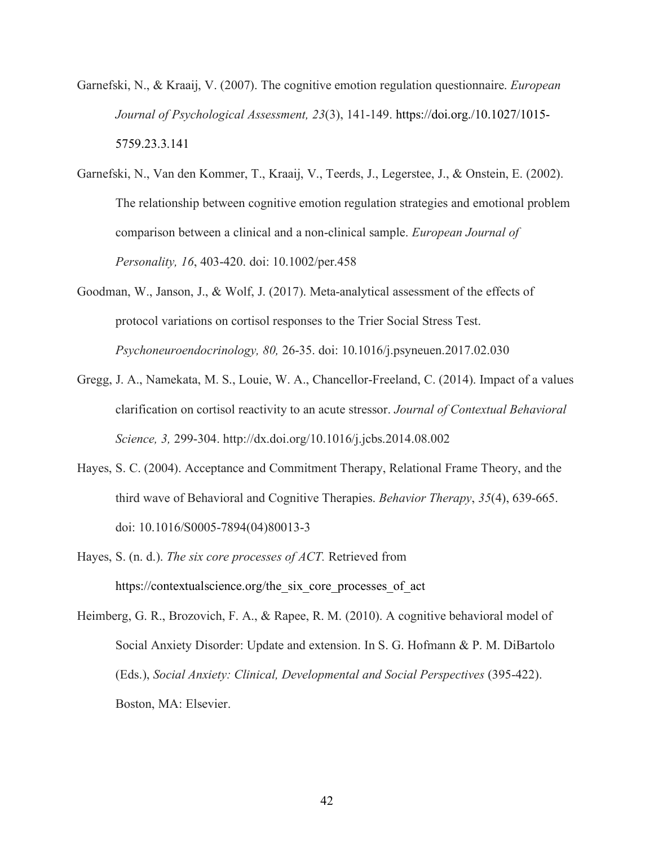- Garnefski, N., & Kraaij, V. (2007). The cognitive emotion regulation questionnaire. *European Journal of Psychological Assessment, 23*(3), 141-149. https://doi.org./10.1027/1015- 5759.23.3.141
- Garnefski, N., Van den Kommer, T., Kraaij, V., Teerds, J., Legerstee, J., & Onstein, E. (2002). The relationship between cognitive emotion regulation strategies and emotional problem comparison between a clinical and a non-clinical sample. *European Journal of Personality, 16*, 403-420. doi: 10.1002/per.458
- Goodman, W., Janson, J., & Wolf, J. (2017). Meta-analytical assessment of the effects of protocol variations on cortisol responses to the Trier Social Stress Test. *Psychoneuroendocrinology, 80,* 26-35. doi: 10.1016/j.psyneuen.2017.02.030
- Gregg, J. A., Namekata, M. S., Louie, W. A., Chancellor-Freeland, C. (2014). Impact of a values clarification on cortisol reactivity to an acute stressor. *Journal of Contextual Behavioral Science, 3,* 299-304. http://dx.doi.org/10.1016/j.jcbs.2014.08.002
- Hayes, S. C. (2004). Acceptance and Commitment Therapy, Relational Frame Theory, and the third wave of Behavioral and Cognitive Therapies. *Behavior Therapy*, *35*(4), 639-665. doi: 10.1016/S0005-7894(04)80013-3
- Hayes, S. (n. d.). *The six core processes of ACT.* Retrieved from https://contextualscience.org/the\_six\_core\_processes\_of\_act

Heimberg, G. R., Brozovich, F. A., & Rapee, R. M. (2010). A cognitive behavioral model of Social Anxiety Disorder: Update and extension. In S. G. Hofmann & P. M. DiBartolo (Eds.), *Social Anxiety: Clinical, Developmental and Social Perspectives* (395-422). Boston, MA: Elsevier.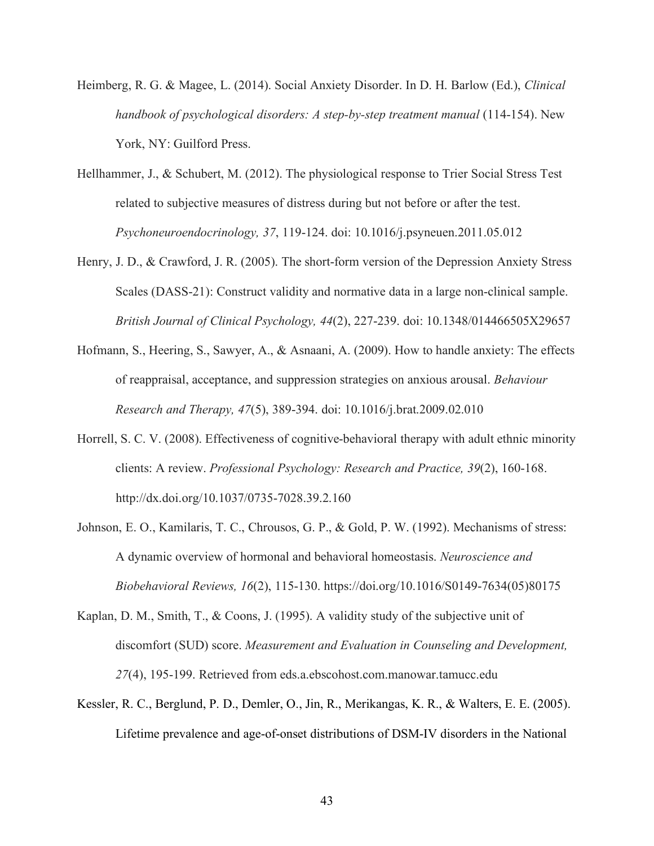- Heimberg, R. G. & Magee, L. (2014). Social Anxiety Disorder. In D. H. Barlow (Ed.), *Clinical handbook of psychological disorders: A step-by-step treatment manual* (114-154). New York, NY: Guilford Press.
- Hellhammer, J., & Schubert, M. (2012). The physiological response to Trier Social Stress Test related to subjective measures of distress during but not before or after the test. *Psychoneuroendocrinology, 37*, 119-124. doi: 10.1016/j.psyneuen.2011.05.012
- Henry, J. D., & Crawford, J. R. (2005). The short-form version of the Depression Anxiety Stress Scales (DASS-21): Construct validity and normative data in a large non-clinical sample. *British Journal of Clinical Psychology, 44*(2), 227-239. doi: 10.1348/014466505X29657
- Hofmann, S., Heering, S., Sawyer, A., & Asnaani, A. (2009). How to handle anxiety: The effects of reappraisal, acceptance, and suppression strategies on anxious arousal. *Behaviour Research and Therapy, 47*(5), 389-394. doi: 10.1016/j.brat.2009.02.010
- Horrell, S. C. V. (2008). Effectiveness of cognitive-behavioral therapy with adult ethnic minority clients: A review. *Professional Psychology: Research and Practice, 39*(2), 160-168. http://dx.doi.org/10.1037/0735-7028.39.2.160
- Johnson, E. O., Kamilaris, T. C., Chrousos, G. P., & Gold, P. W. (1992). Mechanisms of stress: A dynamic overview of hormonal and behavioral homeostasis. *Neuroscience and Biobehavioral Reviews, 16*(2), 115-130. https://doi.org/10.1016/S0149-7634(05)80175
- Kaplan, D. M., Smith, T., & Coons, J. (1995). A validity study of the subjective unit of discomfort (SUD) score. *Measurement and Evaluation in Counseling and Development, 27*(4), 195-199. Retrieved from eds.a.ebscohost.com.manowar.tamucc.edu
- Kessler, R. C., Berglund, P. D., Demler, O., Jin, R., Merikangas, K. R., & Walters, E. E. (2005). Lifetime prevalence and age-of-onset distributions of DSM-IV disorders in the National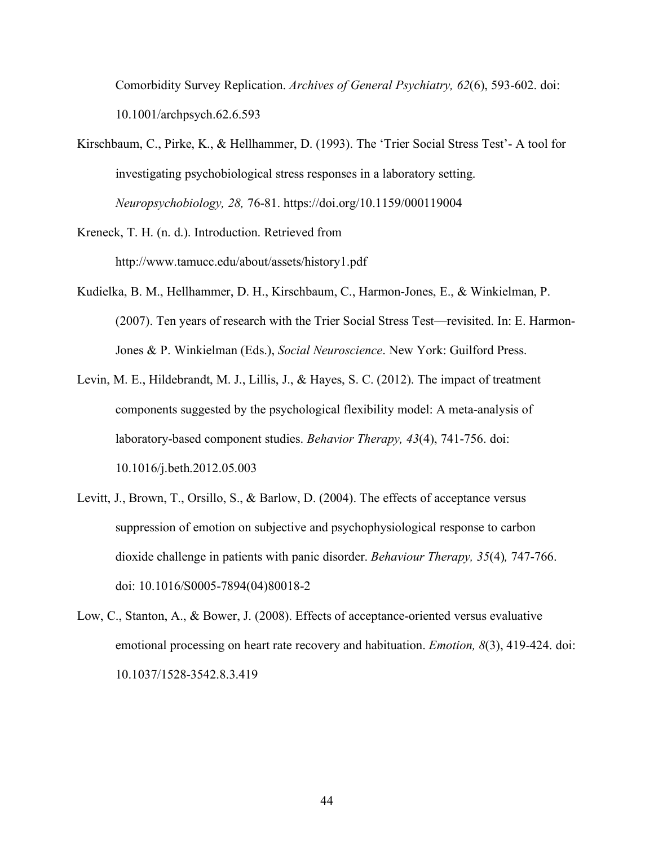Comorbidity Survey Replication. *Archives of General Psychiatry, 62*(6), 593-602. doi: 10.1001/archpsych.62.6.593

- Kirschbaum, C., Pirke, K., & Hellhammer, D. (1993). The 'Trier Social Stress Test'- A tool for investigating psychobiological stress responses in a laboratory setting. *Neuropsychobiology, 28,* 76-81. https://doi.org/10.1159/000119004
- Kreneck, T. H. (n. d.). Introduction. Retrieved from http://www.tamucc.edu/about/assets/history1.pdf
- Kudielka, B. M., Hellhammer, D. H., Kirschbaum, C., Harmon-Jones, E., & Winkielman, P. (2007). Ten years of research with the Trier Social Stress Test—revisited. In: E. Harmon-Jones & P. Winkielman (Eds.), *Social Neuroscience*. New York: Guilford Press.
- Levin, M. E., Hildebrandt, M. J., Lillis, J., & Hayes, S. C. (2012). The impact of treatment components suggested by the psychological flexibility model: A meta-analysis of laboratory-based component studies. *Behavior Therapy, 43*(4), 741-756. doi: 10.1016/j.beth.2012.05.003
- Levitt, J., Brown, T., Orsillo, S., & Barlow, D. (2004). The effects of acceptance versus suppression of emotion on subjective and psychophysiological response to carbon dioxide challenge in patients with panic disorder. *Behaviour Therapy, 35*(4)*,* 747-766. doi: 10.1016/S0005-7894(04)80018-2
- Low, C., Stanton, A., & Bower, J. (2008). Effects of acceptance-oriented versus evaluative emotional processing on heart rate recovery and habituation. *Emotion, 8*(3), 419-424. doi: 10.1037/1528-3542.8.3.419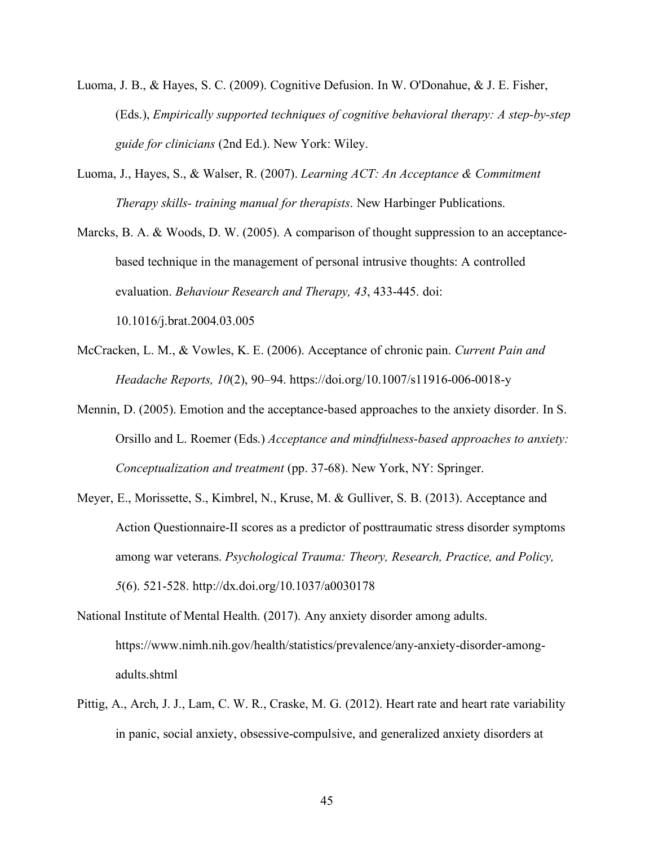- Luoma, J. B., & Hayes, S. C. (2009). Cognitive Defusion. In W. O'Donahue, & J. E. Fisher, (Eds.), *Empirically supported techniques of cognitive behavioral therapy: A step-by-step guide for clinicians* (2nd Ed.). New York: Wiley.
- Luoma, J., Hayes, S., & Walser, R. (2007). *Learning ACT: An Acceptance & Commitment Therapy skills- training manual for therapists*. New Harbinger Publications.

Marcks, B. A. & Woods, D. W. (2005). A comparison of thought suppression to an acceptancebased technique in the management of personal intrusive thoughts: A controlled evaluation. *Behaviour Research and Therapy, 43*, 433-445. doi: 10.1016/j.brat.2004.03.005

- McCracken, L. M., & Vowles, K. E. (2006). Acceptance of chronic pain. *Current Pain and Headache Reports, 10*(2), 90–94. https://doi.org/10.1007/s11916-006-0018-y
- Mennin, D. (2005). Emotion and the acceptance-based approaches to the anxiety disorder. In S. Orsillo and L. Roemer (Eds.) *Acceptance and mindfulness-based approaches to anxiety: Conceptualization and treatment* (pp. 37-68). New York, NY: Springer.
- Meyer, E., Morissette, S., Kimbrel, N., Kruse, M. & Gulliver, S. B. (2013). Acceptance and Action Questionnaire-II scores as a predictor of posttraumatic stress disorder symptoms among war veterans. *Psychological Trauma: Theory, Research, Practice, and Policy, 5*(6). 521-528. http://dx.doi.org/10.1037/a0030178
- National Institute of Mental Health. (2017). Any anxiety disorder among adults. https://www.nimh.nih.gov/health/statistics/prevalence/any-anxiety-disorder-amongadults.shtml
- Pittig, A., Arch, J. J., Lam, C. W. R., Craske, M. G. (2012). Heart rate and heart rate variability in panic, social anxiety, obsessive-compulsive, and generalized anxiety disorders at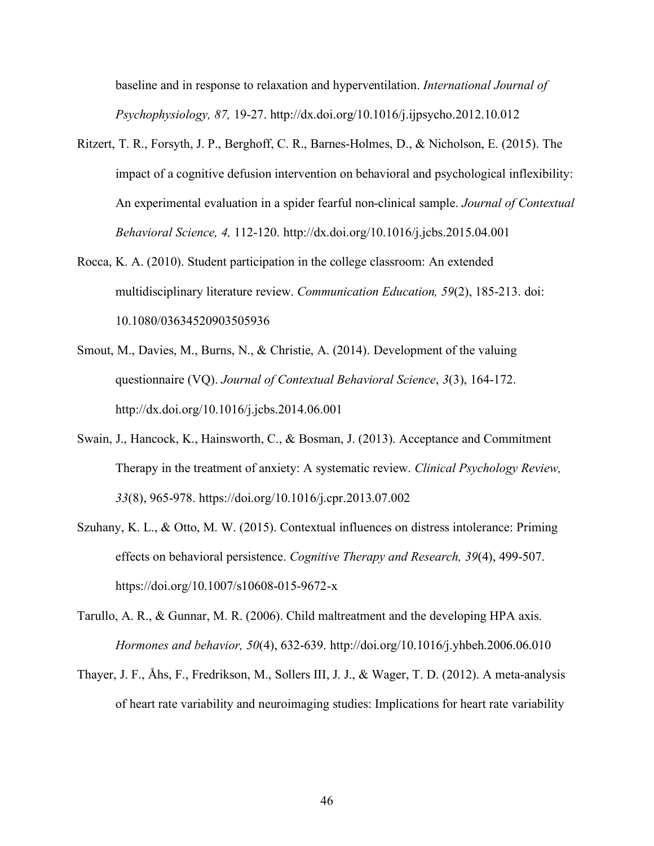baseline and in response to relaxation and hyperventilation. *International Journal of Psychophysiology, 87,* 19-27. http://dx.doi.org/10.1016/j.ijpsycho.2012.10.012

- Ritzert, T. R., Forsyth, J. P., Berghoff, C. R., Barnes-Holmes, D., & Nicholson, E. (2015). The impact of a cognitive defusion intervention on behavioral and psychological inflexibility: An experimental evaluation in a spider fearful non-clinical sample. *Journal of Contextual Behavioral Science, 4,* 112-120. http://dx.doi.org/10.1016/j.jcbs.2015.04.001
- Rocca, K. A. (2010). Student participation in the college classroom: An extended multidisciplinary literature review. *Communication Education, 59*(2), 185-213. doi: 10.1080/03634520903505936
- Smout, M., Davies, M., Burns, N., & Christie, A. (2014). Development of the valuing questionnaire (VQ). *Journal of Contextual Behavioral Science*, *3*(3), 164-172. http://dx.doi.org/10.1016/j.jcbs.2014.06.001
- Swain, J., Hancock, K., Hainsworth, C., & Bosman, J. (2013). Acceptance and Commitment Therapy in the treatment of anxiety: A systematic review. *Clinical Psychology Review, 33*(8), 965-978. https://doi.org/10.1016/j.cpr.2013.07.002
- Szuhany, K. L., & Otto, M. W. (2015). Contextual influences on distress intolerance: Priming effects on behavioral persistence. *Cognitive Therapy and Research, 39*(4), 499-507. https://doi.org/10.1007/s10608-015-9672-x
- Tarullo, A. R., & Gunnar, M. R. (2006). Child maltreatment and the developing HPA axis. *Hormones and behavior, 50*(4), 632-639. http://doi.org/10.1016/j.yhbeh.2006.06.010
- Thayer, J. F., Åhs, F., Fredrikson, M., Sollers III, J. J., & Wager, T. D. (2012). A meta-analysis of heart rate variability and neuroimaging studies: Implications for heart rate variability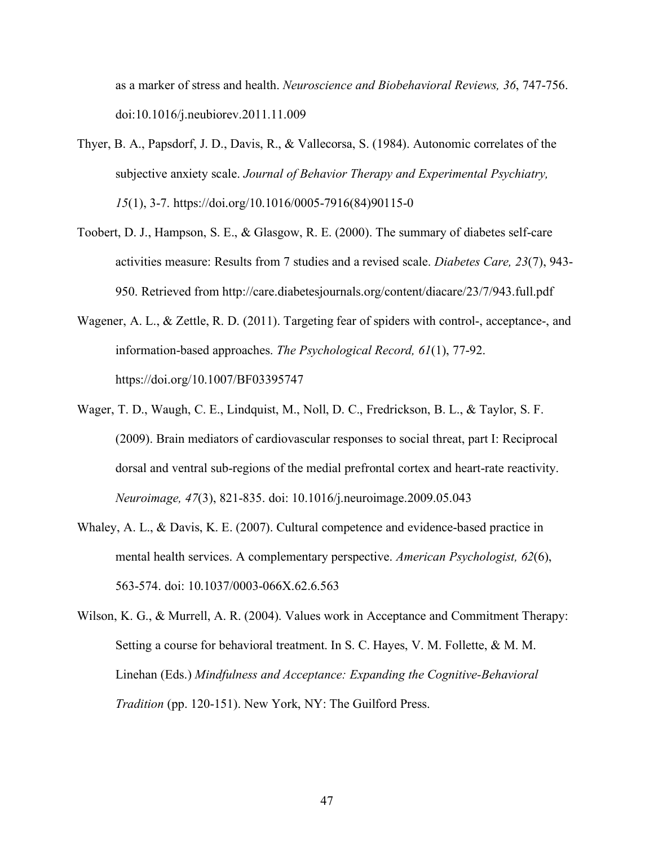as a marker of stress and health. *Neuroscience and Biobehavioral Reviews, 36*, 747-756. doi:10.1016/j.neubiorev.2011.11.009

- Thyer, B. A., Papsdorf, J. D., Davis, R., & Vallecorsa, S. (1984). Autonomic correlates of the subjective anxiety scale. *Journal of Behavior Therapy and Experimental Psychiatry, 15*(1), 3-7. https://doi.org/10.1016/0005-7916(84)90115-0
- Toobert, D. J., Hampson, S. E., & Glasgow, R. E. (2000). The summary of diabetes self-care activities measure: Results from 7 studies and a revised scale. *Diabetes Care, 23*(7), 943- 950. Retrieved from http://care.diabetesjournals.org/content/diacare/23/7/943.full.pdf
- Wagener, A. L., & Zettle, R. D. (2011). Targeting fear of spiders with control-, acceptance-, and information-based approaches. *The Psychological Record, 61*(1), 77-92. https://doi.org/10.1007/BF03395747
- Wager, T. D., Waugh, C. E., Lindquist, M., Noll, D. C., Fredrickson, B. L., & Taylor, S. F. (2009). Brain mediators of cardiovascular responses to social threat, part I: Reciprocal dorsal and ventral sub-regions of the medial prefrontal cortex and heart-rate reactivity. *Neuroimage, 47*(3), 821-835. doi: 10.1016/j.neuroimage.2009.05.043
- Whaley, A. L., & Davis, K. E. (2007). Cultural competence and evidence-based practice in mental health services. A complementary perspective. *American Psychologist, 62*(6), 563-574. doi: 10.1037/0003-066X.62.6.563
- Wilson, K. G., & Murrell, A. R. (2004). Values work in Acceptance and Commitment Therapy: Setting a course for behavioral treatment. In S. C. Hayes, V. M. Follette, & M. M. Linehan (Eds.) *Mindfulness and Acceptance: Expanding the Cognitive-Behavioral Tradition* (pp. 120-151). New York, NY: The Guilford Press.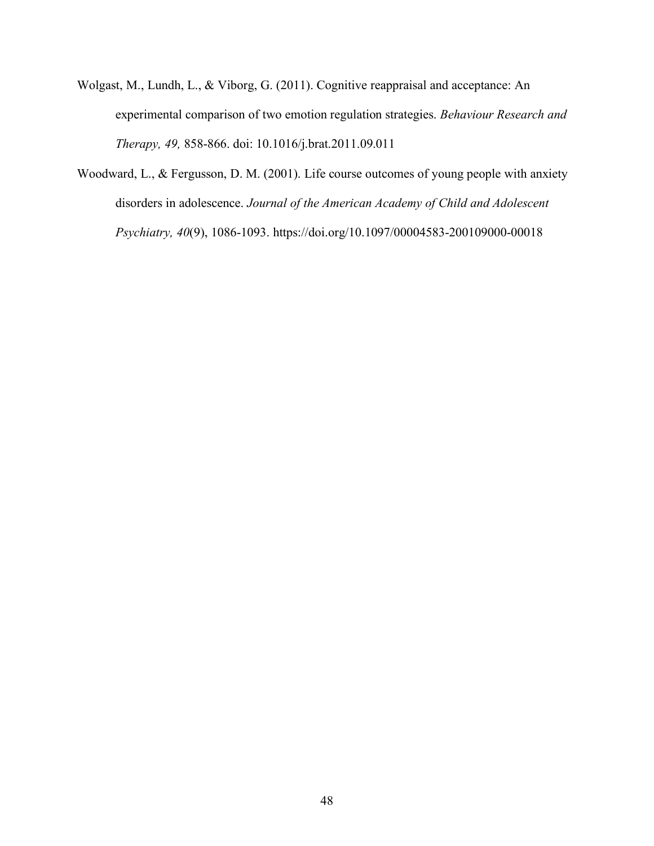- Wolgast, M., Lundh, L., & Viborg, G. (2011). Cognitive reappraisal and acceptance: An experimental comparison of two emotion regulation strategies. *Behaviour Research and Therapy, 49,* 858-866. doi: 10.1016/j.brat.2011.09.011
- Woodward, L., & Fergusson, D. M. (2001). Life course outcomes of young people with anxiety disorders in adolescence. *Journal of the American Academy of Child and Adolescent Psychiatry, 40*(9), 1086-1093. https://doi.org/10.1097/00004583-200109000-00018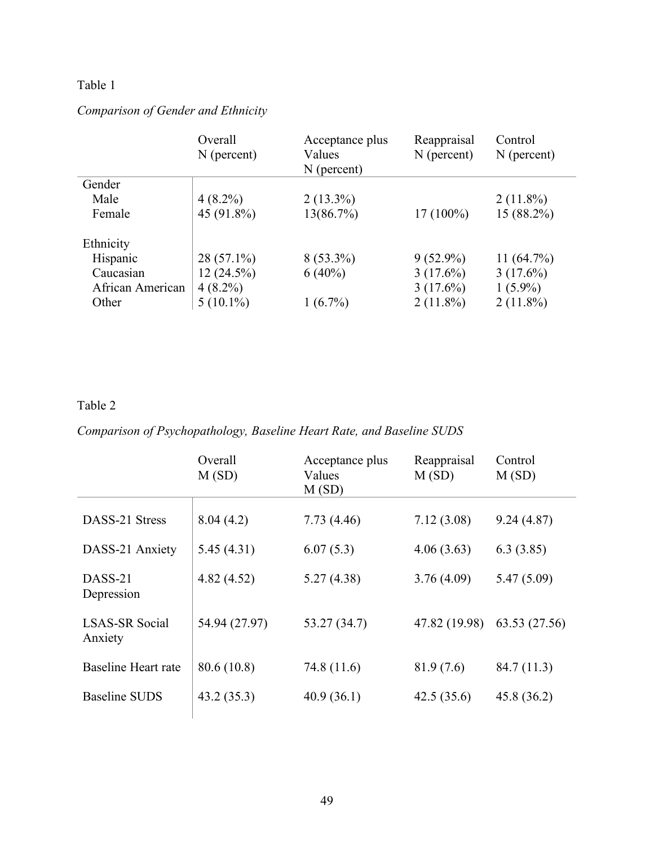### Table 1

# *Comparison of Gender and Ethnicity*

|                  | Overall<br>$N$ (percent) | Acceptance plus<br>Values<br>$N$ (percent) | Reappraisal<br>$N$ (percent) | Control<br>$N$ (percent) |
|------------------|--------------------------|--------------------------------------------|------------------------------|--------------------------|
| Gender           |                          |                                            |                              |                          |
| Male             | $4(8.2\%)$               | $2(13.3\%)$                                |                              | $2(11.8\%)$              |
| Female           | 45 (91.8%)               | 13(86.7%)                                  | $17(100\%)$                  | 15 (88.2%)               |
| Ethnicity        |                          |                                            |                              |                          |
| Hispanic         | $28(57.1\%)$             | $8(53.3\%)$                                | $9(52.9\%)$                  | 11(64.7%)                |
| Caucasian        | 12(24.5%)                | $6(40\%)$                                  | $3(17.6\%)$                  | $3(17.6\%)$              |
| African American | $4(8.2\%)$               |                                            | $3(17.6\%)$                  | $1(5.9\%)$               |
| Other            | $5(10.1\%)$              | $1(6.7\%)$                                 | $2(11.8\%)$                  | $2(11.8\%)$              |

### Table 2

*Comparison of Psychopathology, Baseline Heart Rate, and Baseline SUDS*

|                                  | Overall<br>M(SD) | Acceptance plus<br>Values<br>M(SD) | Reappraisal<br>M(SD) | Control<br>M(SD) |
|----------------------------------|------------------|------------------------------------|----------------------|------------------|
| DASS-21 Stress                   | 8.04(4.2)        | 7.73(4.46)                         | 7.12(3.08)           | 9.24(4.87)       |
| DASS-21 Anxiety                  | 5.45(4.31)       | 6.07(5.3)                          | 4.06(3.63)           | 6.3(3.85)        |
| DASS-21<br>Depression            | 4.82(4.52)       | 5.27(4.38)                         | 3.76(4.09)           | 5.47(5.09)       |
| <b>LSAS-SR Social</b><br>Anxiety | 54.94 (27.97)    | 53.27(34.7)                        | 47.82 (19.98)        | 63.53 (27.56)    |
| Baseline Heart rate              | 80.6 (10.8)      | 74.8 (11.6)                        | 81.9(7.6)            | 84.7(11.3)       |
| <b>Baseline SUDS</b>             | 43.2(35.3)       | 40.9(36.1)                         | 42.5(35.6)           | 45.8(36.2)       |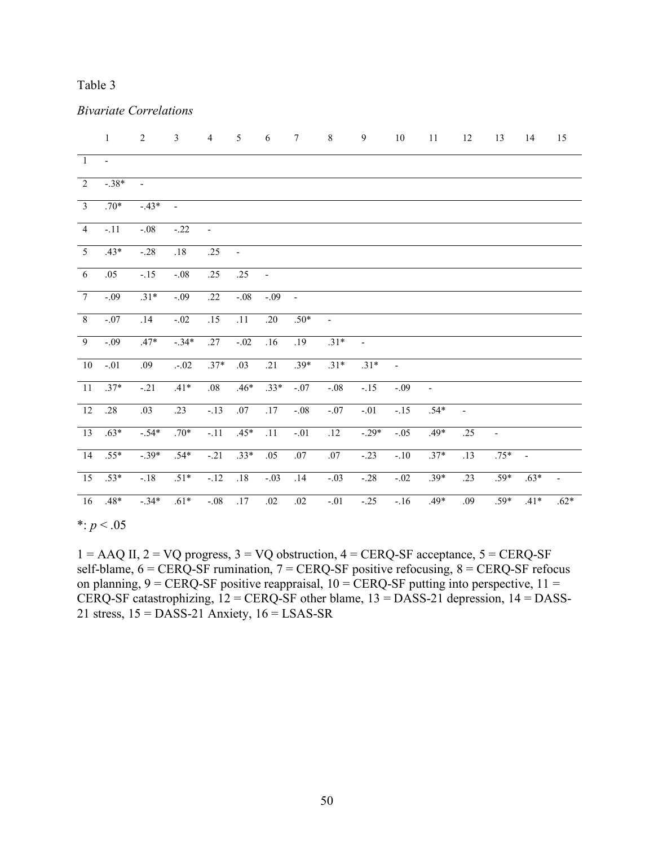### Table 3

|                 | $\mathbf{1}$ | $\sqrt{2}$     | $\mathfrak{Z}$ | $\overline{4}$ | 5              | $\sqrt{6}$     | $\overline{7}$   | $\,8\,$                  | $\boldsymbol{9}$         | $10\,$         | $11\,$                   | 12                       | 13                       | 14                       | 15     |
|-----------------|--------------|----------------|----------------|----------------|----------------|----------------|------------------|--------------------------|--------------------------|----------------|--------------------------|--------------------------|--------------------------|--------------------------|--------|
| $\overline{1}$  | $\sim$       |                |                |                |                |                |                  |                          |                          |                |                          |                          |                          |                          |        |
| 2               | $-.38*$      | $\overline{a}$ |                |                |                |                |                  |                          |                          |                |                          |                          |                          |                          |        |
| $\overline{3}$  | $.70*$       | $-43*$         |                |                |                |                |                  |                          |                          |                |                          |                          |                          |                          |        |
| $\overline{4}$  | $-.11$       | $-.08$         | $-.22$         | $\blacksquare$ |                |                |                  |                          |                          |                |                          |                          |                          |                          |        |
| $\overline{5}$  | $.43*$       | $-.28$         | .18            | .25            | $\blacksquare$ |                |                  |                          |                          |                |                          |                          |                          |                          |        |
| $\overline{6}$  | .05          | $-.15$         | $-.08$         | .25            | .25            | $\blacksquare$ |                  |                          |                          |                |                          |                          |                          |                          |        |
| $\overline{7}$  | $-.09$       | $.31*$         | $-.09$         | .22            | $-0.08$        | $-0.09$        |                  |                          |                          |                |                          |                          |                          |                          |        |
| $\sqrt{8}$      | $-.07$       | .14            | $-.02$         | .15            | .11            | .20            | $.50*$           | $\overline{\phantom{a}}$ |                          |                |                          |                          |                          |                          |        |
| $\overline{9}$  | $-0.09$      | $.47*$         | $-34*$         | .27            | $-0.02$        | .16            | $\overline{.19}$ | $.31*$                   | $\overline{\phantom{a}}$ |                |                          |                          |                          |                          |        |
| 10              | $-.01$       | .09            | $-.02$         | $.37*$         | .03            | .21            | $.39*$           | $.31*$                   | $.31*$                   | $\overline{a}$ |                          |                          |                          |                          |        |
| $\overline{11}$ | $.37*$       | $-21$          | $.41*$         | .08            | $.46*$         | $.33*$         | $-0.07$          | $-.08$                   | $-15$                    | $-0.09$        | $\overline{\phantom{a}}$ |                          |                          |                          |        |
| $\overline{12}$ | .28          | .03            | .23            | $-13$          | .07            | .17            | $-.08$           | $-.07$                   | $-.01$                   | $-.15$         | $.54*$                   | $\overline{\phantom{a}}$ |                          |                          |        |
| $\overline{13}$ | $.63*$       | $-.54*$        | $.70*$         | $-11$          | $.45*$         | .11            | $-.01$           | .12                      | $-29*$                   | $-0.05$        | $.49*$                   | .25                      | $\overline{\phantom{a}}$ |                          |        |
| 14              | $.55*$       | $-39*$         | $.54*$         | $-.21$         | $.33*$         | .05            | .07              | .07                      | $-23$                    | $-.10$         | $.37*$                   | .13                      | $.75*$                   | $\overline{\phantom{a}}$ |        |
| $\overline{15}$ | $.53*$       | $-.18$         | $.51*$         | $-.12$         | .18            | $-.03$         | .14              | $-.03$                   | $-.28$                   | $-.02$         | $.39*$                   | .23                      | $.59*$                   | $.63*$                   | -      |
| 16              | $.48*$       | $-.34*$        | $.61*$         | $-.08$         | $.17\,$        | $.02\,$        | $.02\,$          | $-.01$                   | $-.25$                   | $-.16$         | $.49*$                   | .09                      | $.59*$                   | $.41*$                   | $.62*$ |

#### *Bivariate Correlations*

 $*$ :  $p < .05$ 

 $1 = AAQ$  II,  $2 = VQ$  progress,  $3 = VQ$  obstruction,  $4 = CERQ-SF$  acceptance,  $5 = CERQ-SF$ self-blame,  $6 = CERQ-SF$  rumination,  $7 = CERQ-SF$  positive refocusing,  $8 = CERQ-SF$  refocus on planning,  $9 = CERQ-SF$  positive reappraisal,  $10 = CERQ-SF$  putting into perspective,  $11 =$ CERQ-SF catastrophizing,  $12 = CERQ-SF$  other blame,  $13 = DASS-21$  depression,  $14 = DASS-$ 21 stress,  $15 = DASS-21$  Anxiety,  $16 = LSAS-SR$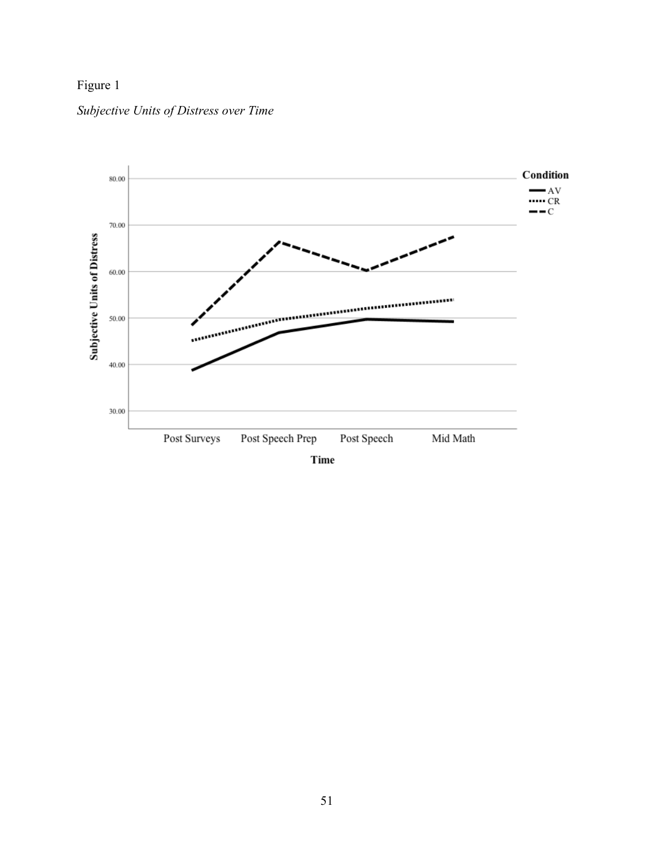## Figure 1



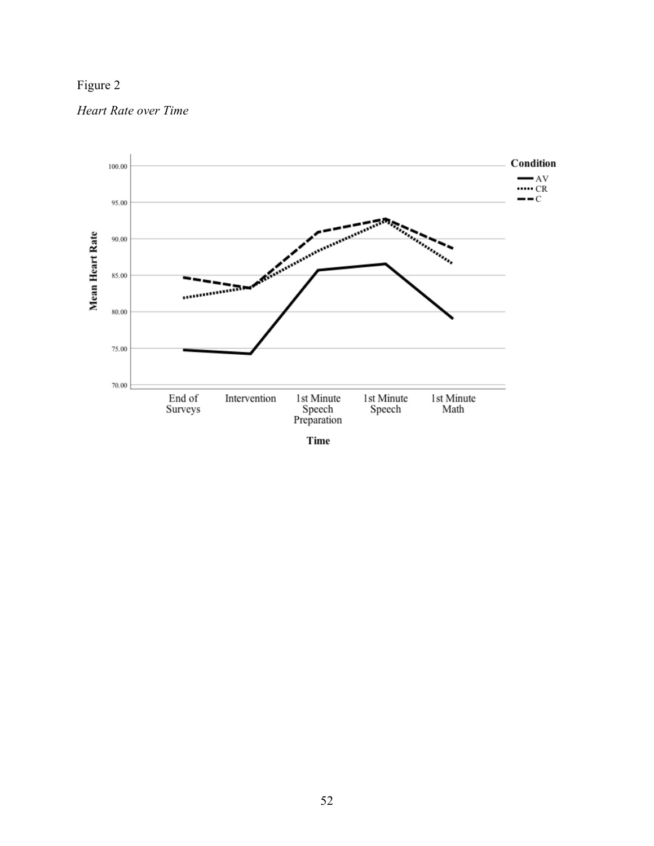## Figure 2

*Heart Rate over Time*



Time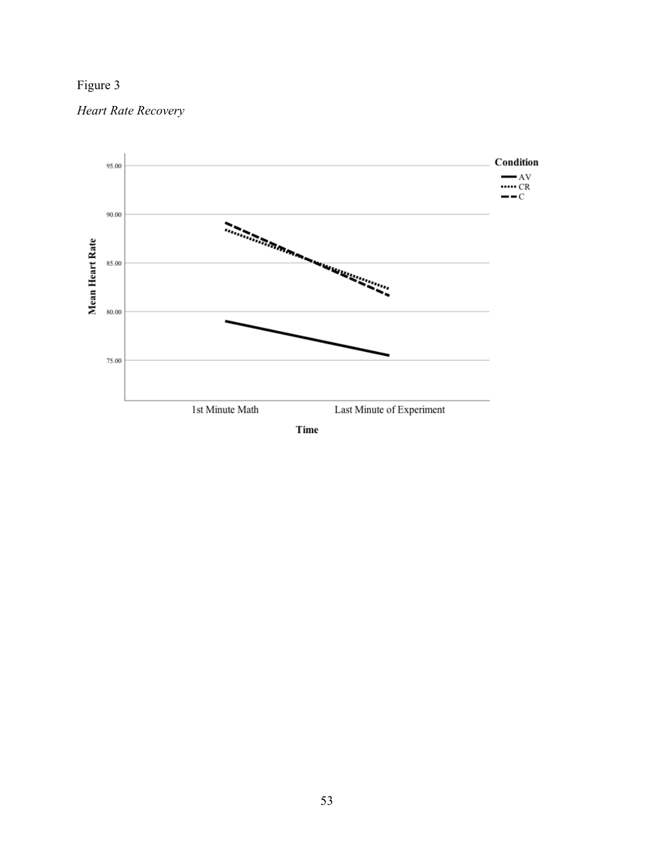

### *Heart Rate Recovery*



Time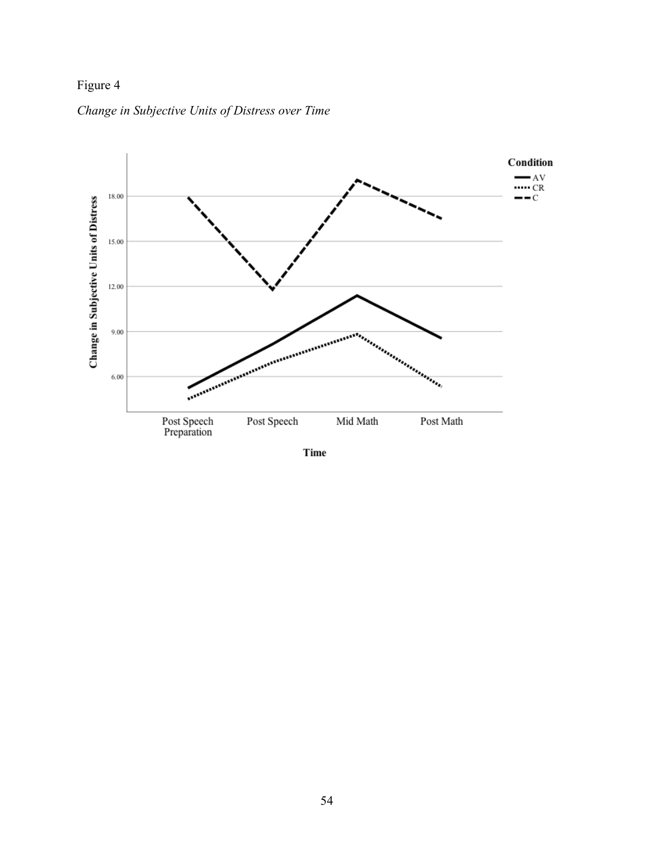## Figure 4

### *Change in Subjective Units of Distress over Time*



Time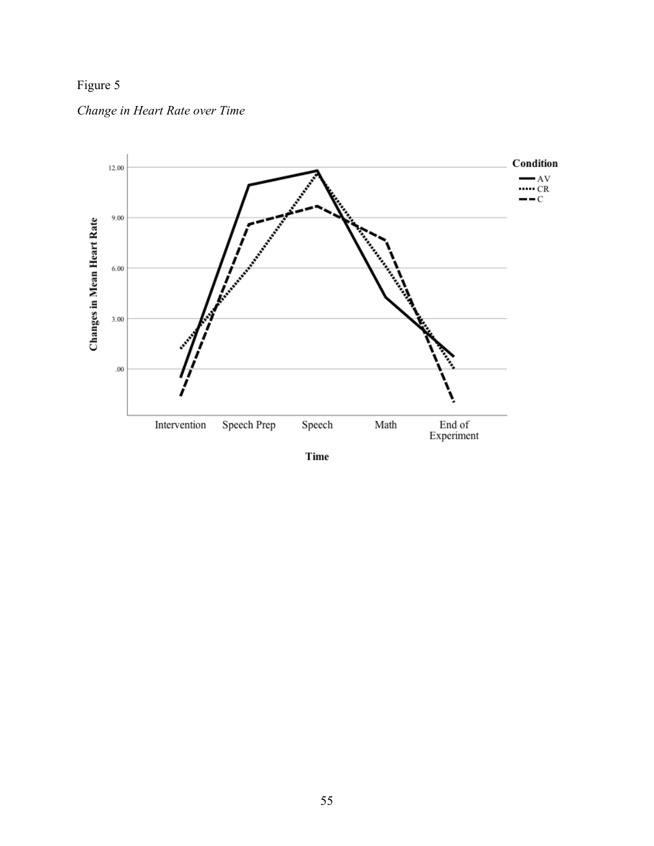

*Change in Heart Rate over Time*



Time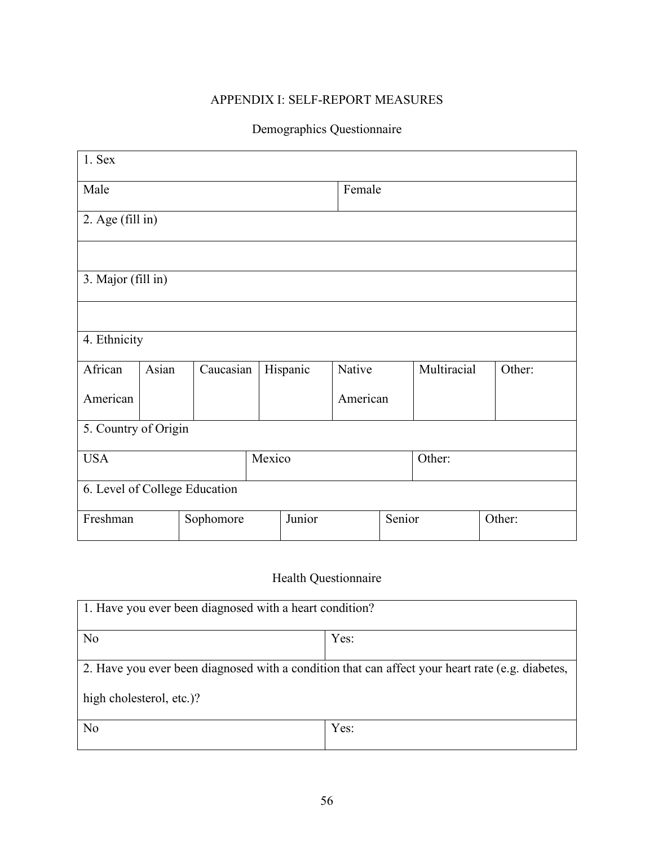## APPENDIX I: SELF-REPORT MEASURES

## Demographics Questionnaire

| $1.$ Sex                       |                      |                               |  |          |          |        |             |  |        |  |  |
|--------------------------------|----------------------|-------------------------------|--|----------|----------|--------|-------------|--|--------|--|--|
| Male                           |                      |                               |  |          | Female   |        |             |  |        |  |  |
| 2. Age (fill in)               |                      |                               |  |          |          |        |             |  |        |  |  |
|                                |                      |                               |  |          |          |        |             |  |        |  |  |
| 3. Major (fill in)             |                      |                               |  |          |          |        |             |  |        |  |  |
|                                |                      |                               |  |          |          |        |             |  |        |  |  |
| 4. Ethnicity                   |                      |                               |  |          |          |        |             |  |        |  |  |
| African                        | Asian                | Caucasian                     |  | Hispanic | Native   |        | Multiracial |  | Other: |  |  |
| American                       |                      |                               |  |          | American |        |             |  |        |  |  |
|                                | 5. Country of Origin |                               |  |          |          |        |             |  |        |  |  |
| Mexico<br><b>USA</b><br>Other: |                      |                               |  |          |          |        |             |  |        |  |  |
|                                |                      | 6. Level of College Education |  |          |          |        |             |  |        |  |  |
| Freshman                       |                      | Sophomore                     |  | Junior   |          | Senior |             |  | Other: |  |  |

## Health Questionnaire

| 1. Have you ever been diagnosed with a heart condition?                                          |      |  |  |  |  |  |  |  |
|--------------------------------------------------------------------------------------------------|------|--|--|--|--|--|--|--|
| N <sub>0</sub>                                                                                   | Yes: |  |  |  |  |  |  |  |
| 2. Have you ever been diagnosed with a condition that can affect your heart rate (e.g. diabetes, |      |  |  |  |  |  |  |  |
| high cholesterol, etc.)?                                                                         |      |  |  |  |  |  |  |  |
| N <sub>0</sub>                                                                                   | Yes: |  |  |  |  |  |  |  |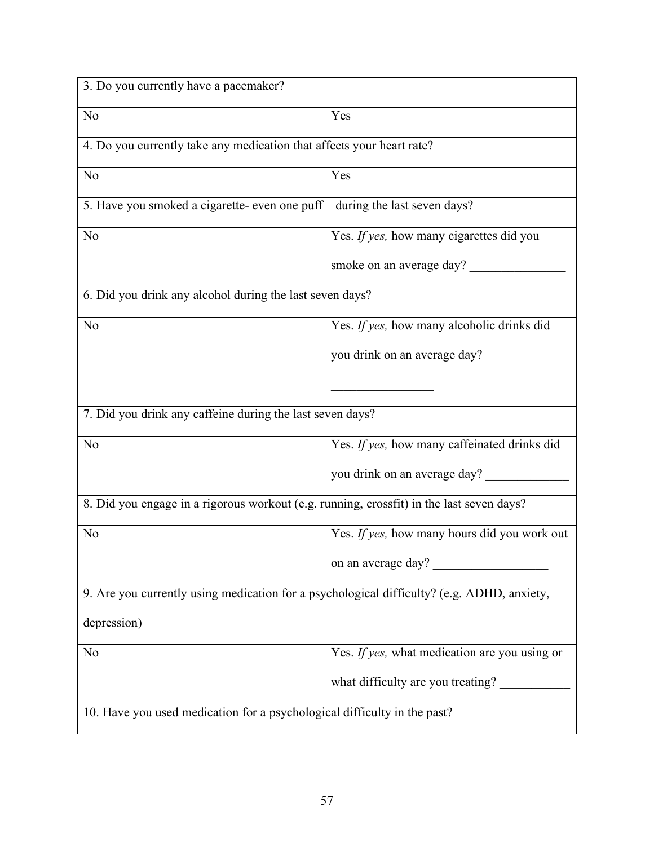| 3. Do you currently have a pacemaker?                                                      |                                               |  |  |  |  |  |  |  |
|--------------------------------------------------------------------------------------------|-----------------------------------------------|--|--|--|--|--|--|--|
| N <sub>o</sub>                                                                             | Yes                                           |  |  |  |  |  |  |  |
| 4. Do you currently take any medication that affects your heart rate?                      |                                               |  |  |  |  |  |  |  |
| N <sub>o</sub>                                                                             | Yes                                           |  |  |  |  |  |  |  |
| 5. Have you smoked a cigarette- even one puff – during the last seven days?                |                                               |  |  |  |  |  |  |  |
| N <sub>o</sub>                                                                             | Yes. If yes, how many cigarettes did you      |  |  |  |  |  |  |  |
|                                                                                            | smoke on an average day?                      |  |  |  |  |  |  |  |
| 6. Did you drink any alcohol during the last seven days?                                   |                                               |  |  |  |  |  |  |  |
| N <sub>o</sub>                                                                             | Yes. If yes, how many alcoholic drinks did    |  |  |  |  |  |  |  |
|                                                                                            | you drink on an average day?                  |  |  |  |  |  |  |  |
|                                                                                            |                                               |  |  |  |  |  |  |  |
| 7. Did you drink any caffeine during the last seven days?                                  |                                               |  |  |  |  |  |  |  |
| N <sub>o</sub>                                                                             | Yes. If yes, how many caffeinated drinks did  |  |  |  |  |  |  |  |
|                                                                                            | you drink on an average day?                  |  |  |  |  |  |  |  |
| 8. Did you engage in a rigorous workout (e.g. running, crossfit) in the last seven days?   |                                               |  |  |  |  |  |  |  |
| N <sub>o</sub>                                                                             | Yes. If yes, how many hours did you work out  |  |  |  |  |  |  |  |
|                                                                                            | on an average day?                            |  |  |  |  |  |  |  |
| 9. Are you currently using medication for a psychological difficulty? (e.g. ADHD, anxiety, |                                               |  |  |  |  |  |  |  |
| depression)                                                                                |                                               |  |  |  |  |  |  |  |
| N <sub>o</sub>                                                                             | Yes. If yes, what medication are you using or |  |  |  |  |  |  |  |
|                                                                                            | what difficulty are you treating?             |  |  |  |  |  |  |  |
| 10. Have you used medication for a psychological difficulty in the past?                   |                                               |  |  |  |  |  |  |  |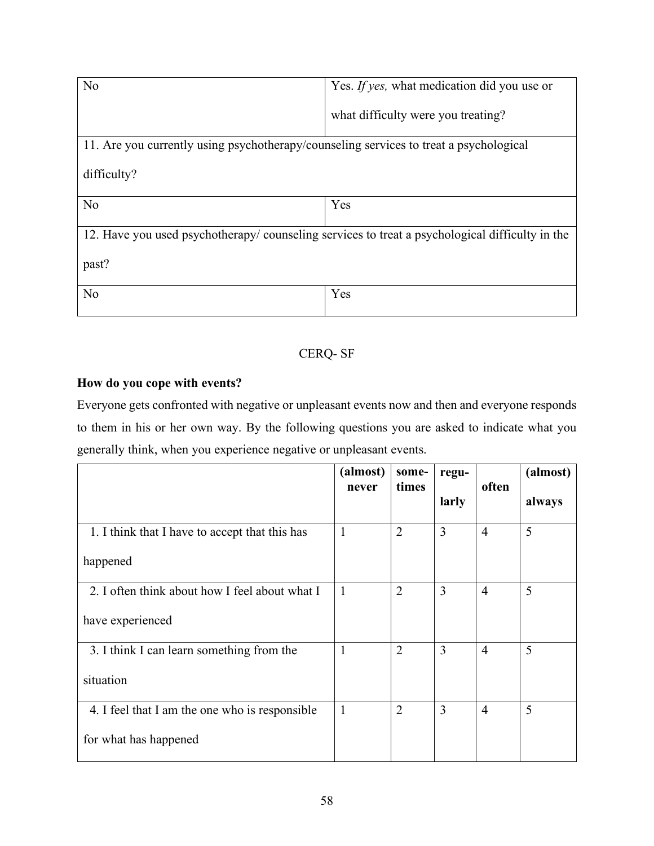| N <sub>0</sub>                                                                         | Yes. If yes, what medication did you use or                                                    |  |  |  |  |  |  |  |
|----------------------------------------------------------------------------------------|------------------------------------------------------------------------------------------------|--|--|--|--|--|--|--|
|                                                                                        | what difficulty were you treating?                                                             |  |  |  |  |  |  |  |
| 11. Are you currently using psychotherapy/counseling services to treat a psychological |                                                                                                |  |  |  |  |  |  |  |
| difficulty?                                                                            |                                                                                                |  |  |  |  |  |  |  |
| N <sub>0</sub>                                                                         | Yes                                                                                            |  |  |  |  |  |  |  |
|                                                                                        | 12. Have you used psychotherapy/counseling services to treat a psychological difficulty in the |  |  |  |  |  |  |  |
| past?                                                                                  |                                                                                                |  |  |  |  |  |  |  |
| N <sub>0</sub>                                                                         | Yes                                                                                            |  |  |  |  |  |  |  |

### CERQ- SF

### **How do you cope with events?**

Everyone gets confronted with negative or unpleasant events now and then and everyone responds to them in his or her own way. By the following questions you are asked to indicate what you generally think, when you experience negative or unpleasant events.

|                                                | (almost)<br>never | some-<br>times | regu-          | often          | (almost) |
|------------------------------------------------|-------------------|----------------|----------------|----------------|----------|
|                                                |                   |                | larly          |                | always   |
| 1. I think that I have to accept that this has | $\mathbf{1}$      | $\overline{2}$ | $\overline{3}$ | $\overline{4}$ | 5        |
| happened                                       |                   |                |                |                |          |
| 2. I often think about how I feel about what I | $\mathbf{1}$      | $\overline{2}$ | 3              | $\overline{4}$ | 5        |
| have experienced                               |                   |                |                |                |          |
| 3. I think I can learn something from the      | 1                 | $\overline{2}$ | 3              | $\overline{4}$ | 5        |
| situation                                      |                   |                |                |                |          |
| 4. I feel that I am the one who is responsible | 1                 | $\overline{2}$ | $\overline{3}$ | $\overline{4}$ | 5        |
| for what has happened                          |                   |                |                |                |          |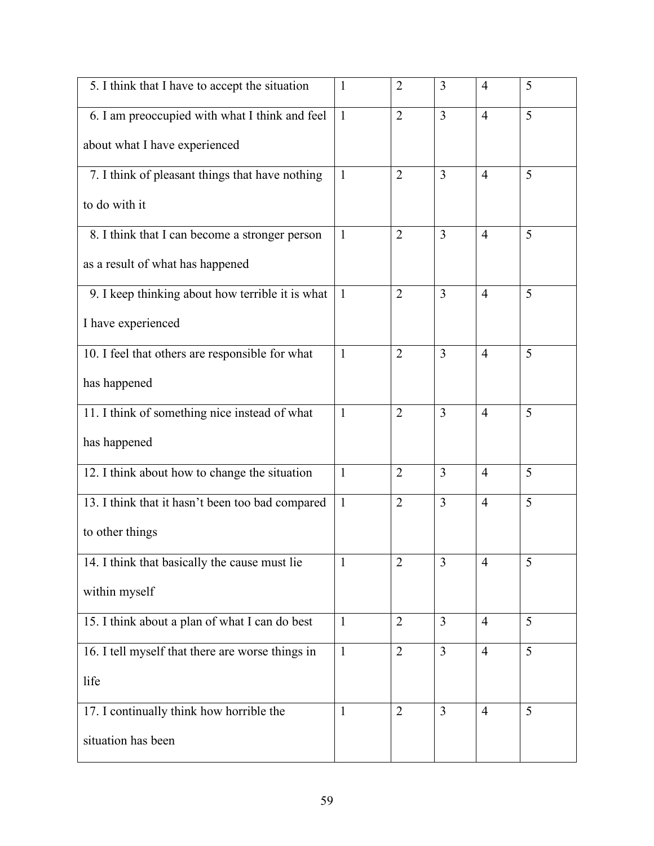| 5. I think that I have to accept the situation   | $\mathbf{1}$ | $\overline{2}$ | 3                       | $\overline{4}$ | 5 |
|--------------------------------------------------|--------------|----------------|-------------------------|----------------|---|
| 6. I am preoccupied with what I think and feel   | $\mathbf{1}$ | $\overline{2}$ | $\overline{3}$          | $\overline{4}$ | 5 |
| about what I have experienced                    |              |                |                         |                |   |
| 7. I think of pleasant things that have nothing  | $\mathbf{1}$ | $\overline{2}$ | 3                       | $\overline{4}$ | 5 |
| to do with it                                    |              |                |                         |                |   |
| 8. I think that I can become a stronger person   | $\mathbf{1}$ | $\overline{2}$ | $\overline{3}$          | $\overline{4}$ | 5 |
| as a result of what has happened                 |              |                |                         |                |   |
| 9. I keep thinking about how terrible it is what | $\mathbf{1}$ | $\overline{2}$ | $\overline{3}$          | $\overline{4}$ | 5 |
| I have experienced                               |              |                |                         |                |   |
| 10. I feel that others are responsible for what  | $\mathbf{1}$ | $\overline{2}$ | 3                       | $\overline{4}$ | 5 |
| has happened                                     |              |                |                         |                |   |
| 11. I think of something nice instead of what    | $\mathbf{1}$ | $\overline{2}$ | 3                       | $\overline{4}$ | 5 |
| has happened                                     |              |                |                         |                |   |
| 12. I think about how to change the situation    | $\mathbf{1}$ | $\overline{2}$ | 3                       | $\overline{4}$ | 5 |
| 13. I think that it hasn't been too bad compared | $\mathbf{1}$ | $\overline{2}$ | 3                       | $\overline{4}$ | 5 |
| to other things                                  |              |                |                         |                |   |
| 14. I think that basically the cause must lie    | 1            | $\overline{2}$ | $\overline{\mathbf{3}}$ | $\overline{4}$ | 5 |
| within myself                                    |              |                |                         |                |   |
| 15. I think about a plan of what I can do best   | $\mathbf{1}$ | $\overline{2}$ | $\overline{3}$          | $\overline{4}$ | 5 |
| 16. I tell myself that there are worse things in | $\mathbf{1}$ | $\overline{2}$ | $\overline{3}$          | $\overline{4}$ | 5 |
| life                                             |              |                |                         |                |   |
| 17. I continually think how horrible the         | $\mathbf{1}$ | $\overline{2}$ | 3                       | $\overline{4}$ | 5 |
| situation has been                               |              |                |                         |                |   |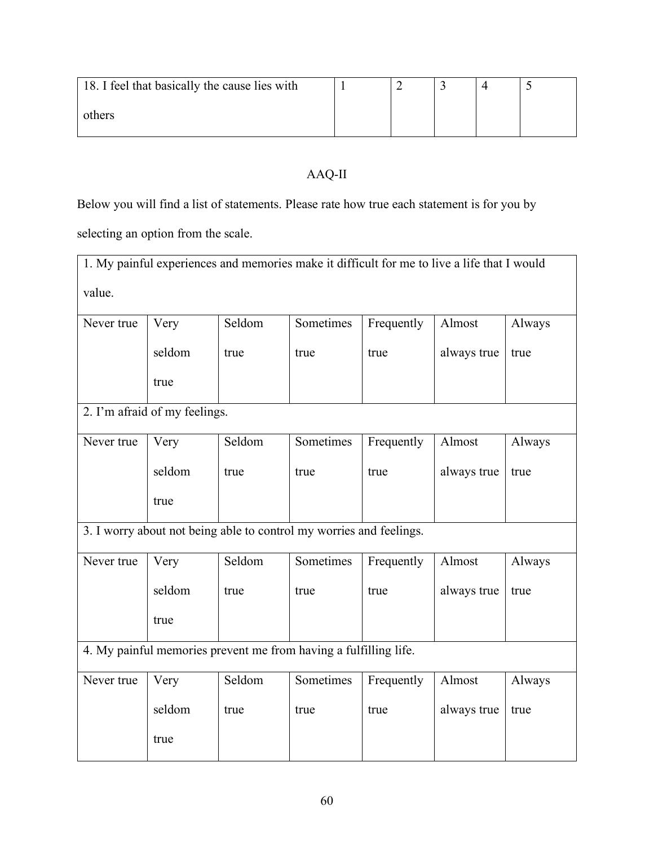| 18. I feel that basically the cause lies with |  |  |  |
|-----------------------------------------------|--|--|--|
| others                                        |  |  |  |

## AAQ-II

Below you will find a list of statements. Please rate how true each statement is for you by

selecting an option from the scale.

| 1. My painful experiences and memories make it difficult for me to live a life that I would |                               |        |                                                                     |            |             |        |  |  |  |  |  |  |
|---------------------------------------------------------------------------------------------|-------------------------------|--------|---------------------------------------------------------------------|------------|-------------|--------|--|--|--|--|--|--|
| value.                                                                                      |                               |        |                                                                     |            |             |        |  |  |  |  |  |  |
| Never true                                                                                  | Very                          | Seldom | Sometimes                                                           | Frequently | Almost      | Always |  |  |  |  |  |  |
|                                                                                             | seldom                        | true   | true                                                                | true       | always true | true   |  |  |  |  |  |  |
|                                                                                             | true                          |        |                                                                     |            |             |        |  |  |  |  |  |  |
|                                                                                             | 2. I'm afraid of my feelings. |        |                                                                     |            |             |        |  |  |  |  |  |  |
| Never true                                                                                  | Very                          | Seldom | Sometimes                                                           | Frequently | Almost      | Always |  |  |  |  |  |  |
|                                                                                             | seldom                        | true   | true                                                                | true       | always true | true   |  |  |  |  |  |  |
|                                                                                             | true                          |        |                                                                     |            |             |        |  |  |  |  |  |  |
|                                                                                             |                               |        | 3. I worry about not being able to control my worries and feelings. |            |             |        |  |  |  |  |  |  |
| Never true                                                                                  | Very                          | Seldom | Sometimes                                                           | Frequently | Almost      | Always |  |  |  |  |  |  |
|                                                                                             | seldom                        | true   | true                                                                | true       | always true | true   |  |  |  |  |  |  |
|                                                                                             | true                          |        |                                                                     |            |             |        |  |  |  |  |  |  |
|                                                                                             |                               |        | 4. My painful memories prevent me from having a fulfilling life.    |            |             |        |  |  |  |  |  |  |
| Never true                                                                                  | Very                          | Seldom | Sometimes                                                           | Frequently | Almost      | Always |  |  |  |  |  |  |
|                                                                                             | seldom                        | true   | true                                                                | true       | always true | true   |  |  |  |  |  |  |
|                                                                                             | true                          |        |                                                                     |            |             |        |  |  |  |  |  |  |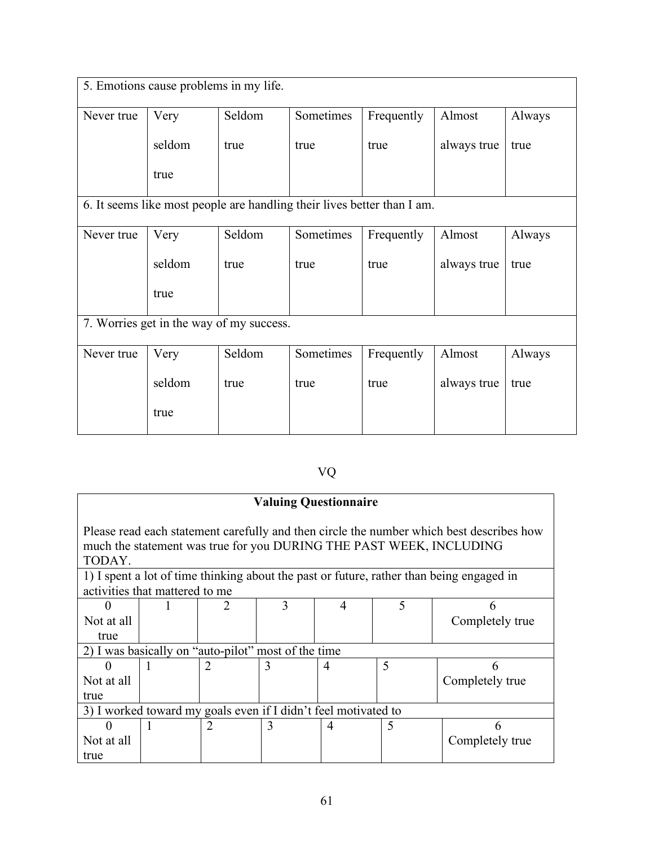| 5. Emotions cause problems in my life. |                                          |        |                                                                         |            |             |        |  |  |  |  |
|----------------------------------------|------------------------------------------|--------|-------------------------------------------------------------------------|------------|-------------|--------|--|--|--|--|
| Never true                             | Very                                     | Seldom | Sometimes                                                               | Frequently | Almost      | Always |  |  |  |  |
|                                        | seldom                                   | true   | true                                                                    | true       | always true | true   |  |  |  |  |
|                                        | true                                     |        |                                                                         |            |             |        |  |  |  |  |
|                                        |                                          |        | 6. It seems like most people are handling their lives better than I am. |            |             |        |  |  |  |  |
| Never true                             | Very                                     | Seldom | Sometimes                                                               | Frequently | Almost      | Always |  |  |  |  |
|                                        | seldom                                   | true   | true                                                                    | true       | always true | true   |  |  |  |  |
|                                        | true                                     |        |                                                                         |            |             |        |  |  |  |  |
|                                        | 7. Worries get in the way of my success. |        |                                                                         |            |             |        |  |  |  |  |
| Never true                             | Very                                     | Seldom | Sometimes                                                               | Frequently | Almost      | Always |  |  |  |  |
|                                        | seldom                                   | true   | true                                                                    | true       | always true | true   |  |  |  |  |
|                                        | true                                     |        |                                                                         |            |             |        |  |  |  |  |

# VQ

| <b>Valuing Questionnaire</b>                                                                                                                                              |   |                |   |                |   |                 |  |
|---------------------------------------------------------------------------------------------------------------------------------------------------------------------------|---|----------------|---|----------------|---|-----------------|--|
| Please read each statement carefully and then circle the number which best describes how<br>much the statement was true for you DURING THE PAST WEEK, INCLUDING<br>TODAY. |   |                |   |                |   |                 |  |
| 1) I spent a lot of time thinking about the past or future, rather than being engaged in<br>activities that mattered to me                                                |   |                |   |                |   |                 |  |
|                                                                                                                                                                           |   |                | 3 | 4              | 5 |                 |  |
| Not at all                                                                                                                                                                |   |                |   |                |   | Completely true |  |
| true                                                                                                                                                                      |   |                |   |                |   |                 |  |
| 2) I was basically on "auto-pilot" most of the time                                                                                                                       |   |                |   |                |   |                 |  |
|                                                                                                                                                                           |   | $\overline{2}$ | 3 | $\overline{4}$ | 5 | 6               |  |
| Not at all                                                                                                                                                                |   |                |   |                |   | Completely true |  |
| true                                                                                                                                                                      |   |                |   |                |   |                 |  |
| 3) I worked toward my goals even if I didn't feel motivated to                                                                                                            |   |                |   |                |   |                 |  |
|                                                                                                                                                                           | 1 | 2              | 3 | $\overline{4}$ | 5 | 6               |  |
| Not at all                                                                                                                                                                |   |                |   |                |   | Completely true |  |
| true                                                                                                                                                                      |   |                |   |                |   |                 |  |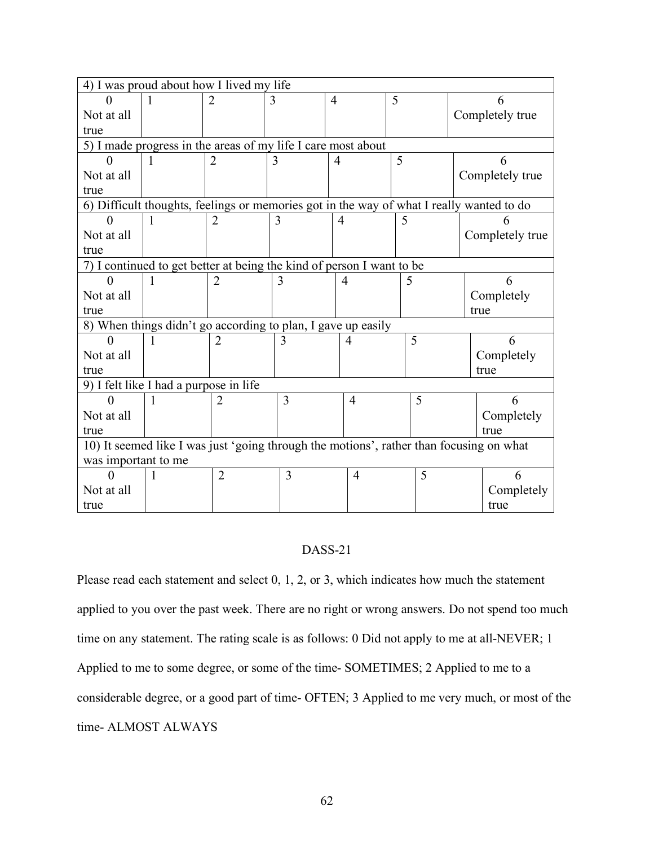|                                                                                          | 4) I was proud about how I lived my life |                |   |                |   |  |                 |  |
|------------------------------------------------------------------------------------------|------------------------------------------|----------------|---|----------------|---|--|-----------------|--|
|                                                                                          |                                          | $\mathfrak{D}$ | 3 | $\overline{4}$ | 5 |  |                 |  |
| Not at all                                                                               |                                          |                |   |                |   |  | Completely true |  |
| true                                                                                     |                                          |                |   |                |   |  |                 |  |
| 5) I made progress in the areas of my life I care most about                             |                                          |                |   |                |   |  |                 |  |
| 0                                                                                        | 1                                        | $\overline{2}$ | 3 | $\overline{4}$ | 5 |  | h               |  |
| Not at all                                                                               |                                          |                |   |                |   |  | Completely true |  |
| true                                                                                     |                                          |                |   |                |   |  |                 |  |
| 6) Difficult thoughts, feelings or memories got in the way of what I really wanted to do |                                          |                |   |                |   |  |                 |  |
| $\mathbf{0}$                                                                             | 1                                        | $\overline{2}$ | 3 | 4              | 5 |  |                 |  |
| Not at all                                                                               |                                          |                |   |                |   |  | Completely true |  |
| true                                                                                     |                                          |                |   |                |   |  |                 |  |
| 7) I continued to get better at being the kind of person I want to be                    |                                          |                |   |                |   |  |                 |  |
|                                                                                          | $\mathbf{I}$                             | $\overline{2}$ | 3 | 4              | 5 |  | 6               |  |
| Not at all                                                                               |                                          |                |   |                |   |  | Completely      |  |
| true                                                                                     |                                          |                |   |                |   |  | true            |  |
| 8) When things didn't go according to plan, I gave up easily                             |                                          |                |   |                |   |  |                 |  |
| 0                                                                                        | 1                                        | $\overline{2}$ | 3 | 4              | 5 |  | 6               |  |
| Not at all                                                                               |                                          |                |   |                |   |  | Completely      |  |
| true                                                                                     |                                          |                |   |                |   |  | true            |  |
|                                                                                          | 9) I felt like I had a purpose in life   |                |   |                |   |  |                 |  |
|                                                                                          |                                          | 2              | 3 | $\overline{4}$ | 5 |  | 6               |  |
| Not at all                                                                               |                                          |                |   |                |   |  | Completely      |  |
| true                                                                                     |                                          |                |   |                |   |  | true            |  |
| 10) It seemed like I was just 'going through the motions', rather than focusing on what  |                                          |                |   |                |   |  |                 |  |
| was important to me                                                                      |                                          |                |   |                |   |  |                 |  |
| $\Omega$                                                                                 | 1                                        | $\overline{2}$ | 3 | $\overline{4}$ | 5 |  | 6               |  |
| Not at all                                                                               |                                          |                |   |                |   |  | Completely      |  |
| true                                                                                     |                                          |                |   |                |   |  | true            |  |

### DASS-21

Please read each statement and select 0, 1, 2, or 3, which indicates how much the statement applied to you over the past week. There are no right or wrong answers. Do not spend too much time on any statement. The rating scale is as follows: 0 Did not apply to me at all-NEVER; 1 Applied to me to some degree, or some of the time- SOMETIMES; 2 Applied to me to a considerable degree, or a good part of time- OFTEN; 3 Applied to me very much, or most of the time- ALMOST ALWAYS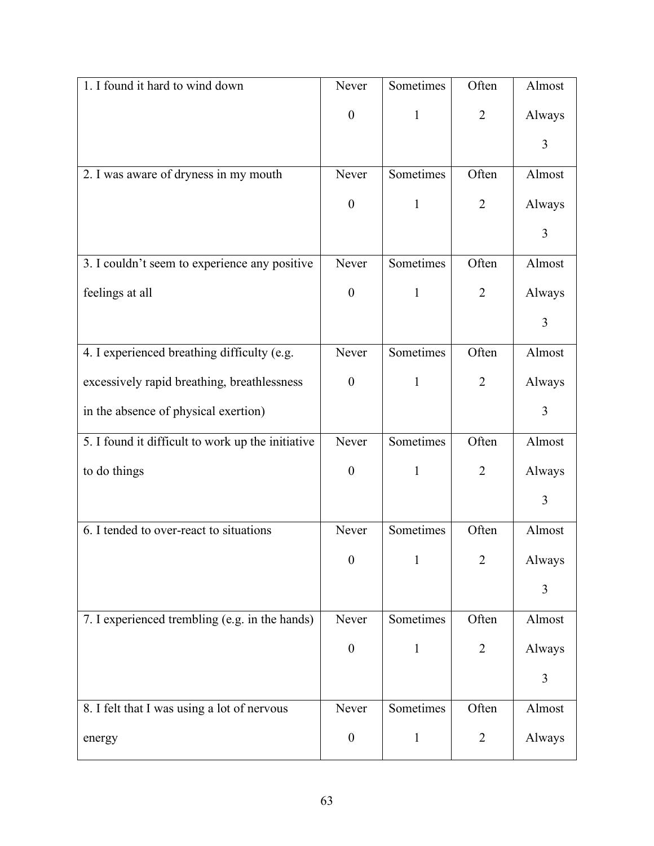| 1. I found it hard to wind down                   | Never            | Sometimes    | Often          | Almost |
|---------------------------------------------------|------------------|--------------|----------------|--------|
|                                                   | $\boldsymbol{0}$ | $\mathbf{1}$ | $\overline{2}$ | Always |
|                                                   |                  |              |                | 3      |
| 2. I was aware of dryness in my mouth             | Never            | Sometimes    | Often          | Almost |
|                                                   | $\boldsymbol{0}$ | $\mathbf{1}$ | $\overline{2}$ | Always |
|                                                   |                  |              |                | 3      |
| 3. I couldn't seem to experience any positive     | Never            | Sometimes    | Often          | Almost |
| feelings at all                                   | $\boldsymbol{0}$ | $\mathbf{1}$ | $\overline{2}$ | Always |
|                                                   |                  |              |                | 3      |
| 4. I experienced breathing difficulty (e.g.       | Never            | Sometimes    | Often          | Almost |
| excessively rapid breathing, breathlessness       | $\boldsymbol{0}$ | $\mathbf{1}$ | $\overline{2}$ | Always |
| in the absence of physical exertion)              |                  |              |                | 3      |
| 5. I found it difficult to work up the initiative | Never            | Sometimes    | Often          | Almost |
| to do things                                      | $\boldsymbol{0}$ | $\mathbf{1}$ | $\overline{2}$ | Always |
|                                                   |                  |              |                | 3      |
| 6. I tended to over-react to situations           | Never            | Sometimes    | Often          | Almost |
|                                                   | $\boldsymbol{0}$ | $\mathbf{1}$ | $\overline{2}$ | Always |
|                                                   |                  |              |                | 3      |
| 7. I experienced trembling (e.g. in the hands)    | Never            | Sometimes    | Often          | Almost |
|                                                   | $\boldsymbol{0}$ | $\mathbf{1}$ | $\overline{2}$ | Always |
|                                                   |                  |              |                | 3      |
| 8. I felt that I was using a lot of nervous       | Never            | Sometimes    | Often          | Almost |
| energy                                            | $\boldsymbol{0}$ | $\mathbf{1}$ | $\overline{2}$ | Always |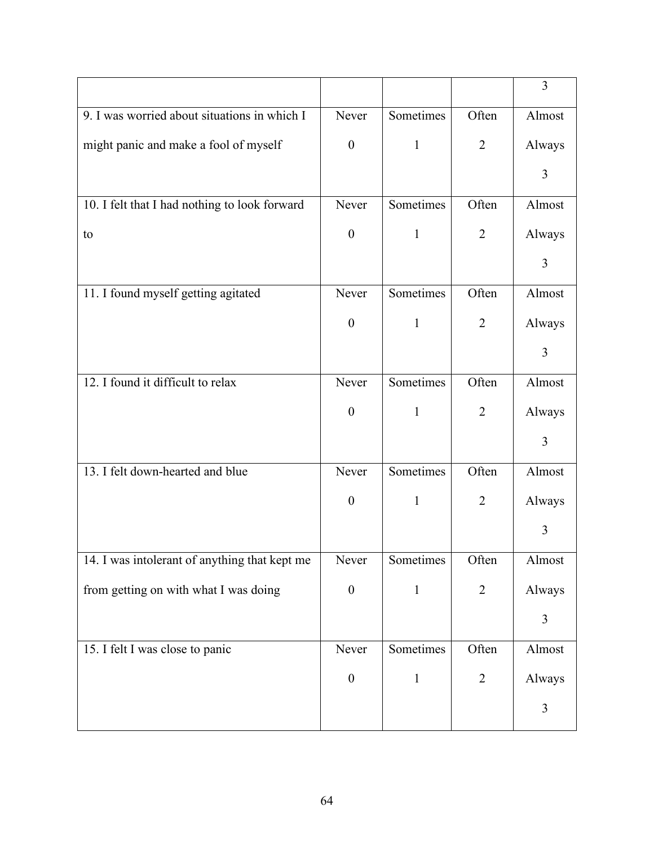|                                               |                  |              |                | 3      |
|-----------------------------------------------|------------------|--------------|----------------|--------|
| 9. I was worried about situations in which I  | Never            | Sometimes    | Often          | Almost |
| might panic and make a fool of myself         | $\boldsymbol{0}$ | $\mathbf{1}$ | $\overline{2}$ | Always |
|                                               |                  |              |                | 3      |
| 10. I felt that I had nothing to look forward | Never            | Sometimes    | Often          | Almost |
| to                                            | $\boldsymbol{0}$ | $\mathbf{1}$ | $\overline{2}$ | Always |
|                                               |                  |              |                | 3      |
| 11. I found myself getting agitated           | Never            | Sometimes    | Often          | Almost |
|                                               | $\boldsymbol{0}$ | $\mathbf{1}$ | $\overline{2}$ | Always |
|                                               |                  |              |                | 3      |
| 12. I found it difficult to relax             | Never            | Sometimes    | Often          | Almost |
|                                               | $\boldsymbol{0}$ | $\mathbf{1}$ | $\overline{2}$ | Always |
|                                               |                  |              |                | 3      |
| 13. I felt down-hearted and blue              | Never            | Sometimes    | Often          | Almost |
|                                               | $\boldsymbol{0}$ | $\mathbf{1}$ | $\overline{2}$ | Always |
|                                               |                  |              |                | 3      |
| 14. I was intolerant of anything that kept me | Never            | Sometimes    | Often          | Almost |
| from getting on with what I was doing         | $\boldsymbol{0}$ | $\mathbf{1}$ | $\overline{2}$ | Always |
|                                               |                  |              |                | 3      |
| 15. I felt I was close to panic               | Never            | Sometimes    | Often          | Almost |
|                                               | $\boldsymbol{0}$ | $\mathbf{1}$ | $\overline{2}$ | Always |
|                                               |                  |              |                | 3      |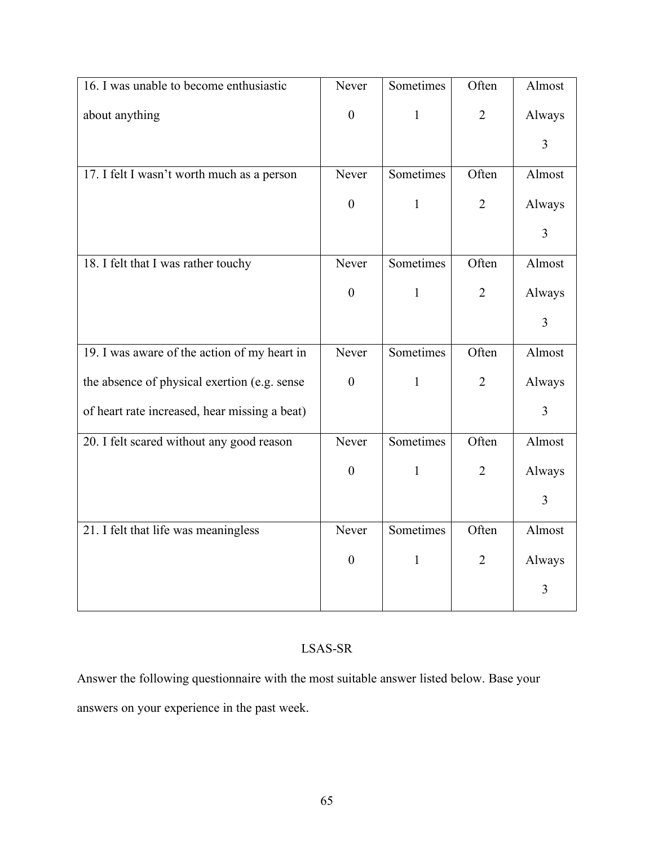| 16. I was unable to become enthusiastic       | Never            | Sometimes    | Often          | Almost         |
|-----------------------------------------------|------------------|--------------|----------------|----------------|
| about anything                                | $\boldsymbol{0}$ | $\mathbf{1}$ | $\overline{2}$ | Always         |
|                                               |                  |              |                | 3              |
| 17. I felt I wasn't worth much as a person    | Never            | Sometimes    | Often          | Almost         |
|                                               | $\boldsymbol{0}$ | $\mathbf{1}$ | $\overline{2}$ | Always         |
|                                               |                  |              |                | $\overline{3}$ |
| 18. I felt that I was rather touchy           | Never            | Sometimes    | Often          | Almost         |
|                                               | $\boldsymbol{0}$ | $\mathbf{1}$ | $\overline{2}$ | Always         |
|                                               |                  |              |                | $\overline{3}$ |
| 19. I was aware of the action of my heart in  | Never            | Sometimes    | Often          | Almost         |
| the absence of physical exertion (e.g. sense  | $\boldsymbol{0}$ | $\mathbf{1}$ | $\overline{2}$ | Always         |
| of heart rate increased, hear missing a beat) |                  |              |                | $\overline{3}$ |
| 20. I felt scared without any good reason     | Never            | Sometimes    | Often          | Almost         |
|                                               | $\boldsymbol{0}$ | $\mathbf{1}$ | $\overline{2}$ | Always         |
|                                               |                  |              |                | 3              |
| 21. I felt that life was meaningless          | Never            | Sometimes    | Often          | Almost         |
|                                               | $\boldsymbol{0}$ | $\mathbf{1}$ | $\overline{2}$ | Always         |
|                                               |                  |              |                | 3              |

# LSAS-SR

Answer the following questionnaire with the most suitable answer listed below. Base your answers on your experience in the past week.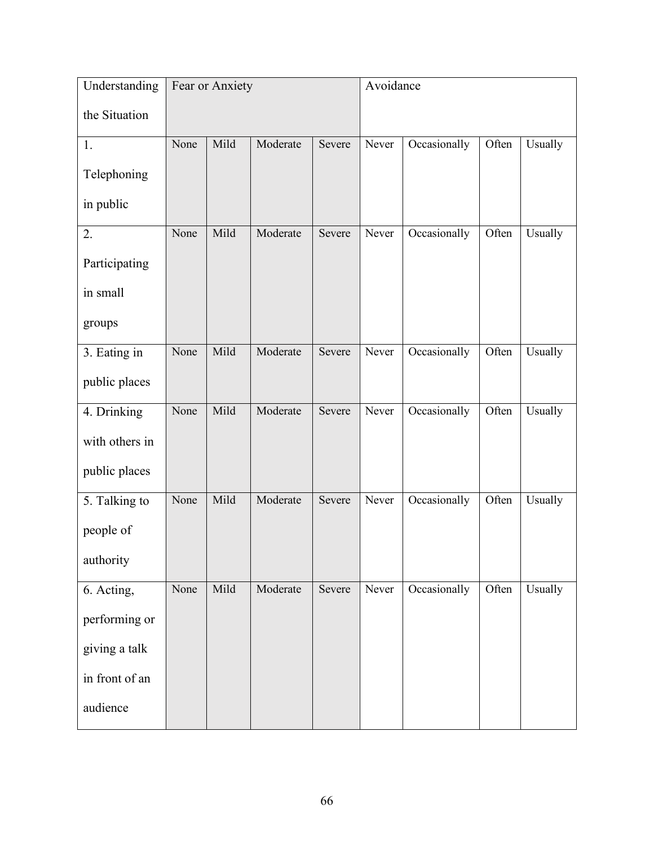| Understanding  | Fear or Anxiety |      |          |        | Avoidance |              |       |         |
|----------------|-----------------|------|----------|--------|-----------|--------------|-------|---------|
| the Situation  |                 |      |          |        |           |              |       |         |
| 1.             | None            | Mild | Moderate | Severe | Never     | Occasionally | Often | Usually |
| Telephoning    |                 |      |          |        |           |              |       |         |
| in public      |                 |      |          |        |           |              |       |         |
| 2.             | None            | Mild | Moderate | Severe | Never     | Occasionally | Often | Usually |
| Participating  |                 |      |          |        |           |              |       |         |
| in small       |                 |      |          |        |           |              |       |         |
| groups         |                 |      |          |        |           |              |       |         |
| 3. Eating in   | None            | Mild | Moderate | Severe | Never     | Occasionally | Often | Usually |
| public places  |                 |      |          |        |           |              |       |         |
| 4. Drinking    | None            | Mild | Moderate | Severe | Never     | Occasionally | Often | Usually |
| with others in |                 |      |          |        |           |              |       |         |
| public places  |                 |      |          |        |           |              |       |         |
| 5. Talking to  | None            | Mild | Moderate | Severe | Never     | Occasionally | Often | Usually |
| people of      |                 |      |          |        |           |              |       |         |
| authority      |                 |      |          |        |           |              |       |         |
| 6. Acting,     | None            | Mild | Moderate | Severe | Never     | Occasionally | Often | Usually |
| performing or  |                 |      |          |        |           |              |       |         |
| giving a talk  |                 |      |          |        |           |              |       |         |
| in front of an |                 |      |          |        |           |              |       |         |
| audience       |                 |      |          |        |           |              |       |         |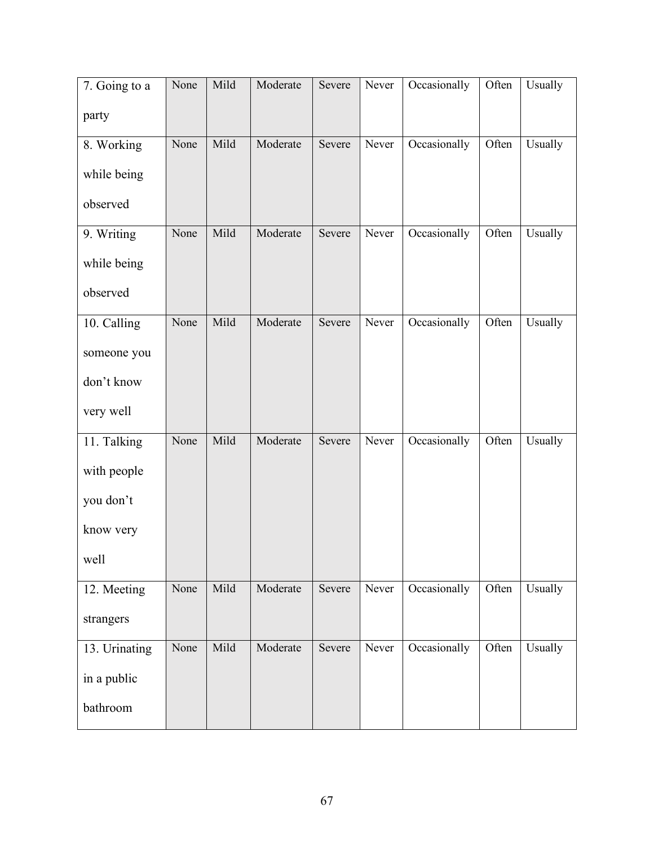| 7. Going to a | None | Mild | Moderate | Severe | Never | Occasionally | Often | Usually |
|---------------|------|------|----------|--------|-------|--------------|-------|---------|
| party         |      |      |          |        |       |              |       |         |
| 8. Working    | None | Mild | Moderate | Severe | Never | Occasionally | Often | Usually |
| while being   |      |      |          |        |       |              |       |         |
| observed      |      |      |          |        |       |              |       |         |
| 9. Writing    | None | Mild | Moderate | Severe | Never | Occasionally | Often | Usually |
| while being   |      |      |          |        |       |              |       |         |
| observed      |      |      |          |        |       |              |       |         |
| 10. Calling   | None | Mild | Moderate | Severe | Never | Occasionally | Often | Usually |
| someone you   |      |      |          |        |       |              |       |         |
| don't know    |      |      |          |        |       |              |       |         |
| very well     |      |      |          |        |       |              |       |         |
| 11. Talking   | None | Mild | Moderate | Severe | Never | Occasionally | Often | Usually |
| with people   |      |      |          |        |       |              |       |         |
| you don't     |      |      |          |        |       |              |       |         |
| know very     |      |      |          |        |       |              |       |         |
| well          |      |      |          |        |       |              |       |         |
| 12. Meeting   | None | Mild | Moderate | Severe | Never | Occasionally | Often | Usually |
| strangers     |      |      |          |        |       |              |       |         |
| 13. Urinating | None | Mild | Moderate | Severe | Never | Occasionally | Often | Usually |
| in a public   |      |      |          |        |       |              |       |         |
| bathroom      |      |      |          |        |       |              |       |         |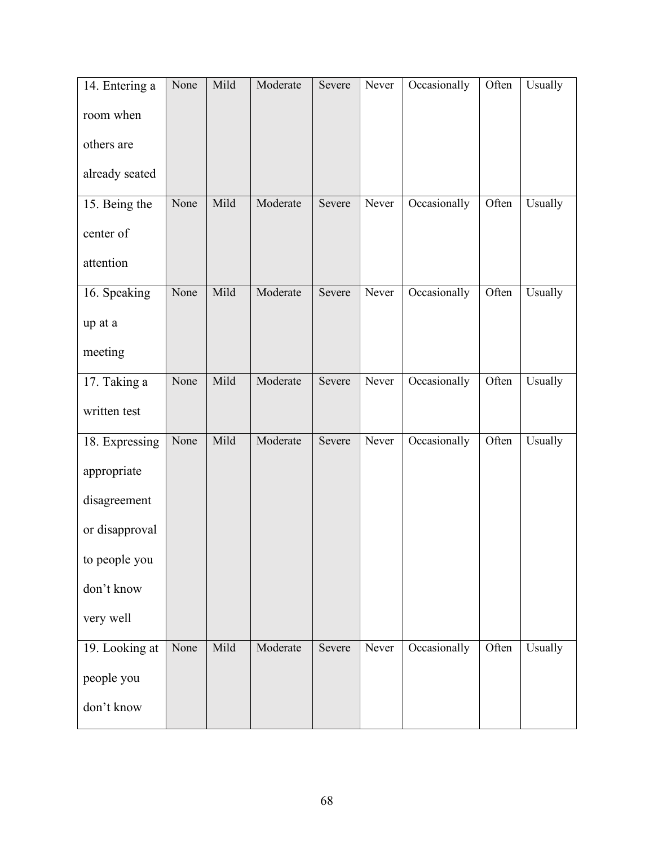| 14. Entering a | None | Mild | Moderate | Severe | Never | Occasionally | Often | Usually |
|----------------|------|------|----------|--------|-------|--------------|-------|---------|
| room when      |      |      |          |        |       |              |       |         |
| others are     |      |      |          |        |       |              |       |         |
| already seated |      |      |          |        |       |              |       |         |
| 15. Being the  | None | Mild | Moderate | Severe | Never | Occasionally | Often | Usually |
| center of      |      |      |          |        |       |              |       |         |
| attention      |      |      |          |        |       |              |       |         |
| 16. Speaking   | None | Mild | Moderate | Severe | Never | Occasionally | Often | Usually |
| up at a        |      |      |          |        |       |              |       |         |
| meeting        |      |      |          |        |       |              |       |         |
| 17. Taking a   | None | Mild | Moderate | Severe | Never | Occasionally | Often | Usually |
| written test   |      |      |          |        |       |              |       |         |
| 18. Expressing | None | Mild | Moderate | Severe | Never | Occasionally | Often | Usually |
| appropriate    |      |      |          |        |       |              |       |         |
| disagreement   |      |      |          |        |       |              |       |         |
| or disapproval |      |      |          |        |       |              |       |         |
| to people you  |      |      |          |        |       |              |       |         |
| don't know     |      |      |          |        |       |              |       |         |
| very well      |      |      |          |        |       |              |       |         |
| 19. Looking at | None | Mild | Moderate | Severe | Never | Occasionally | Often | Usually |
| people you     |      |      |          |        |       |              |       |         |
| don't know     |      |      |          |        |       |              |       |         |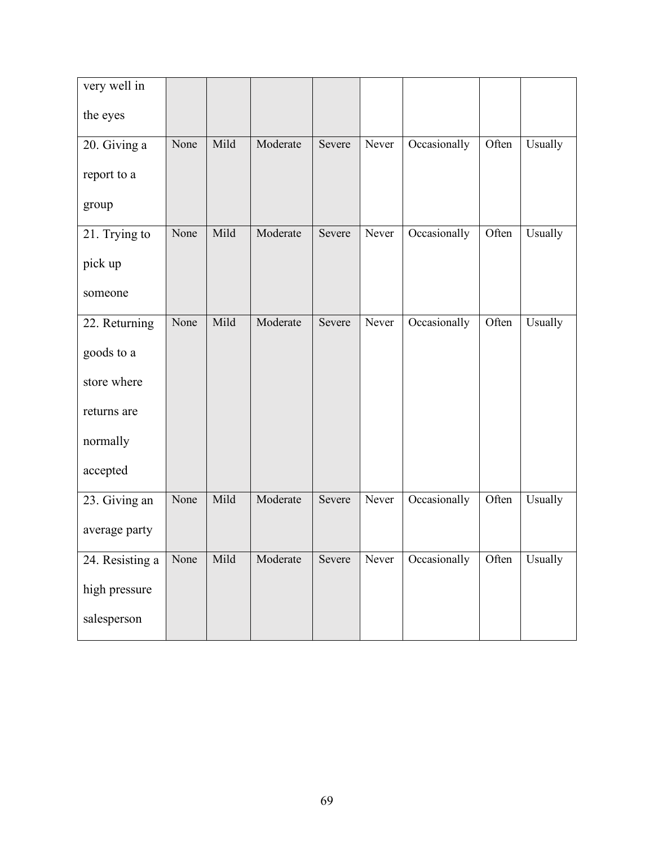| very well in    |      |      |          |        |       |              |       |         |
|-----------------|------|------|----------|--------|-------|--------------|-------|---------|
| the eyes        |      |      |          |        |       |              |       |         |
| 20. Giving a    | None | Mild | Moderate | Severe | Never | Occasionally | Often | Usually |
| report to a     |      |      |          |        |       |              |       |         |
| group           |      |      |          |        |       |              |       |         |
| 21. Trying to   | None | Mild | Moderate | Severe | Never | Occasionally | Often | Usually |
| pick up         |      |      |          |        |       |              |       |         |
| someone         |      |      |          |        |       |              |       |         |
| 22. Returning   | None | Mild | Moderate | Severe | Never | Occasionally | Often | Usually |
| goods to a      |      |      |          |        |       |              |       |         |
| store where     |      |      |          |        |       |              |       |         |
| returns are     |      |      |          |        |       |              |       |         |
| normally        |      |      |          |        |       |              |       |         |
| accepted        |      |      |          |        |       |              |       |         |
| 23. Giving an   | None | Mild | Moderate | Severe | Never | Occasionally | Often | Usually |
| average party   |      |      |          |        |       |              |       |         |
| 24. Resisting a | None | Mild | Moderate | Severe | Never | Occasionally | Often | Usually |
| high pressure   |      |      |          |        |       |              |       |         |
| salesperson     |      |      |          |        |       |              |       |         |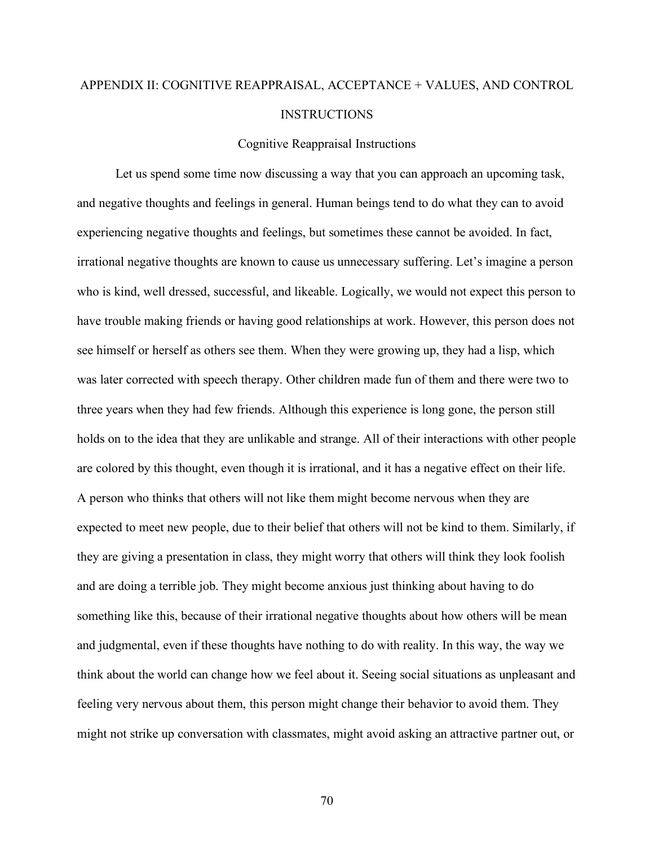# APPENDIX II: COGNITIVE REAPPRAISAL, ACCEPTANCE + VALUES, AND CONTROL INSTRUCTIONS

### Cognitive Reappraisal Instructions

Let us spend some time now discussing a way that you can approach an upcoming task, and negative thoughts and feelings in general. Human beings tend to do what they can to avoid experiencing negative thoughts and feelings, but sometimes these cannot be avoided. In fact, irrational negative thoughts are known to cause us unnecessary suffering. Let's imagine a person who is kind, well dressed, successful, and likeable. Logically, we would not expect this person to have trouble making friends or having good relationships at work. However, this person does not see himself or herself as others see them. When they were growing up, they had a lisp, which was later corrected with speech therapy. Other children made fun of them and there were two to three years when they had few friends. Although this experience is long gone, the person still holds on to the idea that they are unlikable and strange. All of their interactions with other people are colored by this thought, even though it is irrational, and it has a negative effect on their life. A person who thinks that others will not like them might become nervous when they are expected to meet new people, due to their belief that others will not be kind to them. Similarly, if they are giving a presentation in class, they might worry that others will think they look foolish and are doing a terrible job. They might become anxious just thinking about having to do something like this, because of their irrational negative thoughts about how others will be mean and judgmental, even if these thoughts have nothing to do with reality. In this way, the way we think about the world can change how we feel about it. Seeing social situations as unpleasant and feeling very nervous about them, this person might change their behavior to avoid them. They might not strike up conversation with classmates, might avoid asking an attractive partner out, or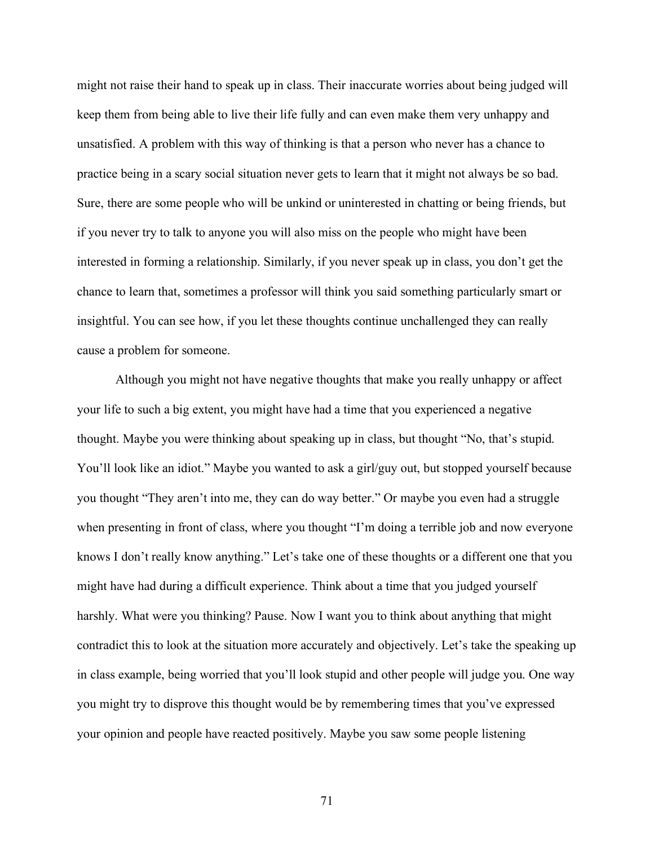might not raise their hand to speak up in class. Their inaccurate worries about being judged will keep them from being able to live their life fully and can even make them very unhappy and unsatisfied. A problem with this way of thinking is that a person who never has a chance to practice being in a scary social situation never gets to learn that it might not always be so bad. Sure, there are some people who will be unkind or uninterested in chatting or being friends, but if you never try to talk to anyone you will also miss on the people who might have been interested in forming a relationship. Similarly, if you never speak up in class, you don't get the chance to learn that, sometimes a professor will think you said something particularly smart or insightful. You can see how, if you let these thoughts continue unchallenged they can really cause a problem for someone.

Although you might not have negative thoughts that make you really unhappy or affect your life to such a big extent, you might have had a time that you experienced a negative thought. Maybe you were thinking about speaking up in class, but thought "No, that's stupid. You'll look like an idiot." Maybe you wanted to ask a girl/guy out, but stopped yourself because you thought "They aren't into me, they can do way better." Or maybe you even had a struggle when presenting in front of class, where you thought "I'm doing a terrible job and now everyone knows I don't really know anything." Let's take one of these thoughts or a different one that you might have had during a difficult experience. Think about a time that you judged yourself harshly. What were you thinking? Pause. Now I want you to think about anything that might contradict this to look at the situation more accurately and objectively. Let's take the speaking up in class example, being worried that you'll look stupid and other people will judge you. One way you might try to disprove this thought would be by remembering times that you've expressed your opinion and people have reacted positively. Maybe you saw some people listening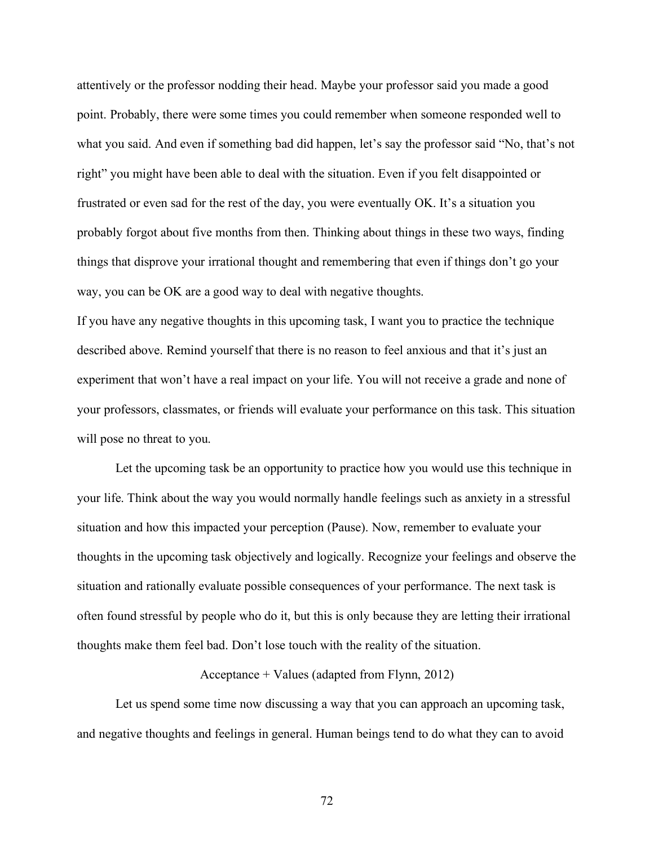attentively or the professor nodding their head. Maybe your professor said you made a good point. Probably, there were some times you could remember when someone responded well to what you said. And even if something bad did happen, let's say the professor said "No, that's not right" you might have been able to deal with the situation. Even if you felt disappointed or frustrated or even sad for the rest of the day, you were eventually OK. It's a situation you probably forgot about five months from then. Thinking about things in these two ways, finding things that disprove your irrational thought and remembering that even if things don't go your way, you can be OK are a good way to deal with negative thoughts.

If you have any negative thoughts in this upcoming task, I want you to practice the technique described above. Remind yourself that there is no reason to feel anxious and that it's just an experiment that won't have a real impact on your life. You will not receive a grade and none of your professors, classmates, or friends will evaluate your performance on this task. This situation will pose no threat to you.

Let the upcoming task be an opportunity to practice how you would use this technique in your life. Think about the way you would normally handle feelings such as anxiety in a stressful situation and how this impacted your perception (Pause). Now, remember to evaluate your thoughts in the upcoming task objectively and logically. Recognize your feelings and observe the situation and rationally evaluate possible consequences of your performance. The next task is often found stressful by people who do it, but this is only because they are letting their irrational thoughts make them feel bad. Don't lose touch with the reality of the situation.

#### Acceptance + Values (adapted from Flynn, 2012)

Let us spend some time now discussing a way that you can approach an upcoming task, and negative thoughts and feelings in general. Human beings tend to do what they can to avoid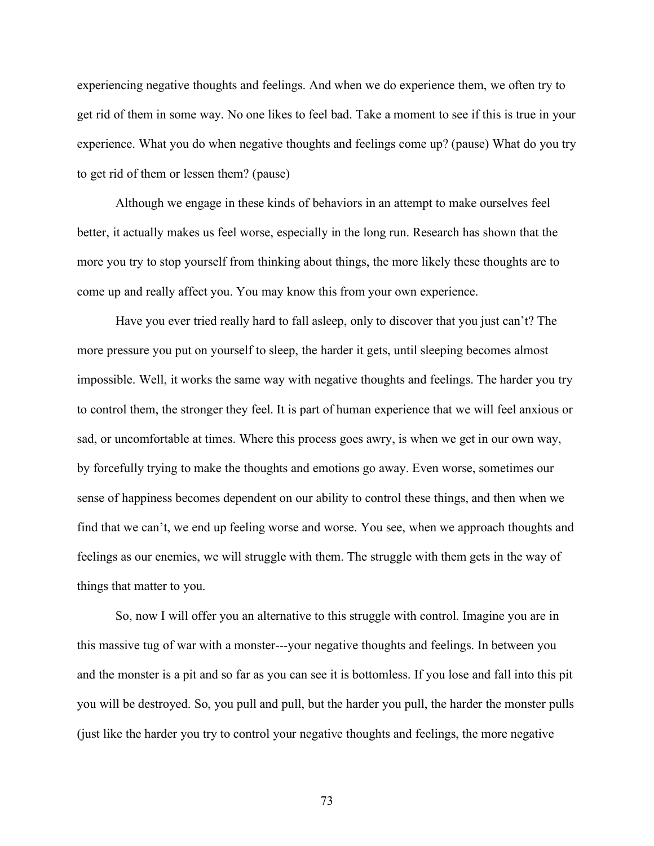experiencing negative thoughts and feelings. And when we do experience them, we often try to get rid of them in some way. No one likes to feel bad. Take a moment to see if this is true in your experience. What you do when negative thoughts and feelings come up? (pause) What do you try to get rid of them or lessen them? (pause)

Although we engage in these kinds of behaviors in an attempt to make ourselves feel better, it actually makes us feel worse, especially in the long run. Research has shown that the more you try to stop yourself from thinking about things, the more likely these thoughts are to come up and really affect you. You may know this from your own experience.

Have you ever tried really hard to fall asleep, only to discover that you just can't? The more pressure you put on yourself to sleep, the harder it gets, until sleeping becomes almost impossible. Well, it works the same way with negative thoughts and feelings. The harder you try to control them, the stronger they feel. It is part of human experience that we will feel anxious or sad, or uncomfortable at times. Where this process goes awry, is when we get in our own way, by forcefully trying to make the thoughts and emotions go away. Even worse, sometimes our sense of happiness becomes dependent on our ability to control these things, and then when we find that we can't, we end up feeling worse and worse. You see, when we approach thoughts and feelings as our enemies, we will struggle with them. The struggle with them gets in the way of things that matter to you.

So, now I will offer you an alternative to this struggle with control. Imagine you are in this massive tug of war with a monster---your negative thoughts and feelings. In between you and the monster is a pit and so far as you can see it is bottomless. If you lose and fall into this pit you will be destroyed. So, you pull and pull, but the harder you pull, the harder the monster pulls (just like the harder you try to control your negative thoughts and feelings, the more negative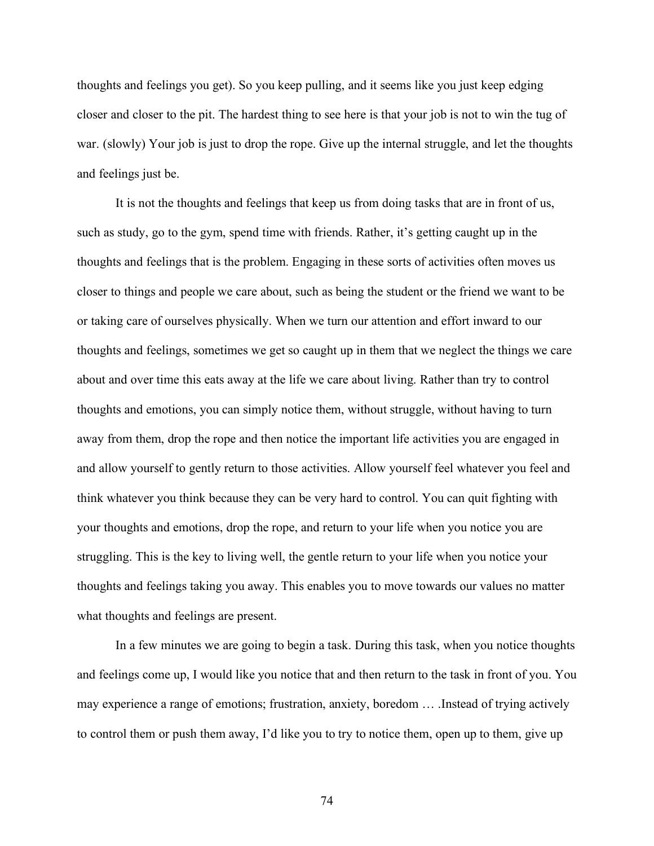thoughts and feelings you get). So you keep pulling, and it seems like you just keep edging closer and closer to the pit. The hardest thing to see here is that your job is not to win the tug of war. (slowly) Your job is just to drop the rope. Give up the internal struggle, and let the thoughts and feelings just be.

It is not the thoughts and feelings that keep us from doing tasks that are in front of us, such as study, go to the gym, spend time with friends. Rather, it's getting caught up in the thoughts and feelings that is the problem. Engaging in these sorts of activities often moves us closer to things and people we care about, such as being the student or the friend we want to be or taking care of ourselves physically. When we turn our attention and effort inward to our thoughts and feelings, sometimes we get so caught up in them that we neglect the things we care about and over time this eats away at the life we care about living. Rather than try to control thoughts and emotions, you can simply notice them, without struggle, without having to turn away from them, drop the rope and then notice the important life activities you are engaged in and allow yourself to gently return to those activities. Allow yourself feel whatever you feel and think whatever you think because they can be very hard to control. You can quit fighting with your thoughts and emotions, drop the rope, and return to your life when you notice you are struggling. This is the key to living well, the gentle return to your life when you notice your thoughts and feelings taking you away. This enables you to move towards our values no matter what thoughts and feelings are present.

In a few minutes we are going to begin a task. During this task, when you notice thoughts and feelings come up, I would like you notice that and then return to the task in front of you. You may experience a range of emotions; frustration, anxiety, boredom … .Instead of trying actively to control them or push them away, I'd like you to try to notice them, open up to them, give up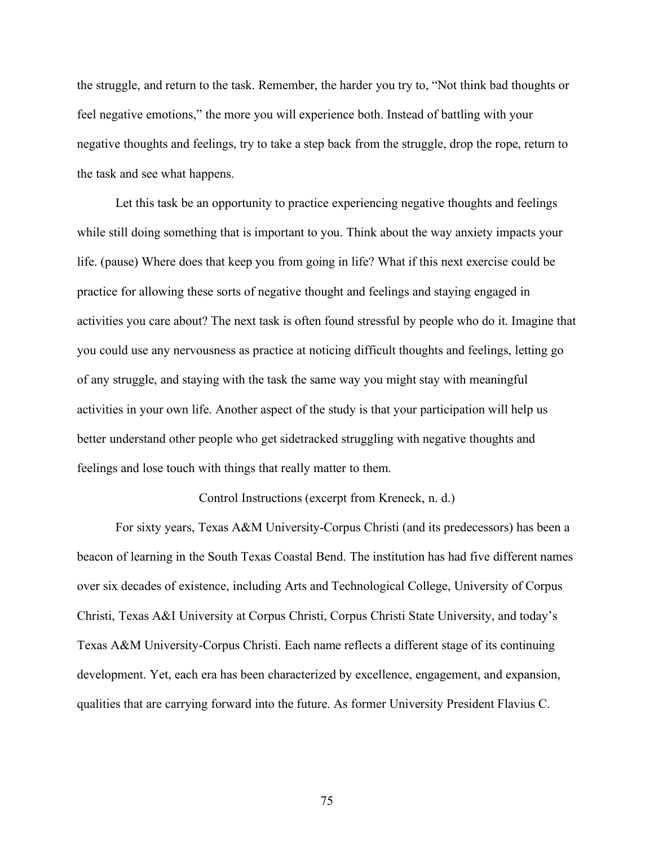the struggle, and return to the task. Remember, the harder you try to, "Not think bad thoughts or feel negative emotions," the more you will experience both. Instead of battling with your negative thoughts and feelings, try to take a step back from the struggle, drop the rope, return to the task and see what happens.

Let this task be an opportunity to practice experiencing negative thoughts and feelings while still doing something that is important to you. Think about the way anxiety impacts your life. (pause) Where does that keep you from going in life? What if this next exercise could be practice for allowing these sorts of negative thought and feelings and staying engaged in activities you care about? The next task is often found stressful by people who do it. Imagine that you could use any nervousness as practice at noticing difficult thoughts and feelings, letting go of any struggle, and staying with the task the same way you might stay with meaningful activities in your own life. Another aspect of the study is that your participation will help us better understand other people who get sidetracked struggling with negative thoughts and feelings and lose touch with things that really matter to them.

## Control Instructions (excerpt from Kreneck, n. d.)

For sixty years, Texas A&M University-Corpus Christi (and its predecessors) has been a beacon of learning in the South Texas Coastal Bend. The institution has had five different names over six decades of existence, including Arts and Technological College, University of Corpus Christi, Texas A&I University at Corpus Christi, Corpus Christi State University, and today's Texas A&M University-Corpus Christi. Each name reflects a different stage of its continuing development. Yet, each era has been characterized by excellence, engagement, and expansion, qualities that are carrying forward into the future. As former University President Flavius C.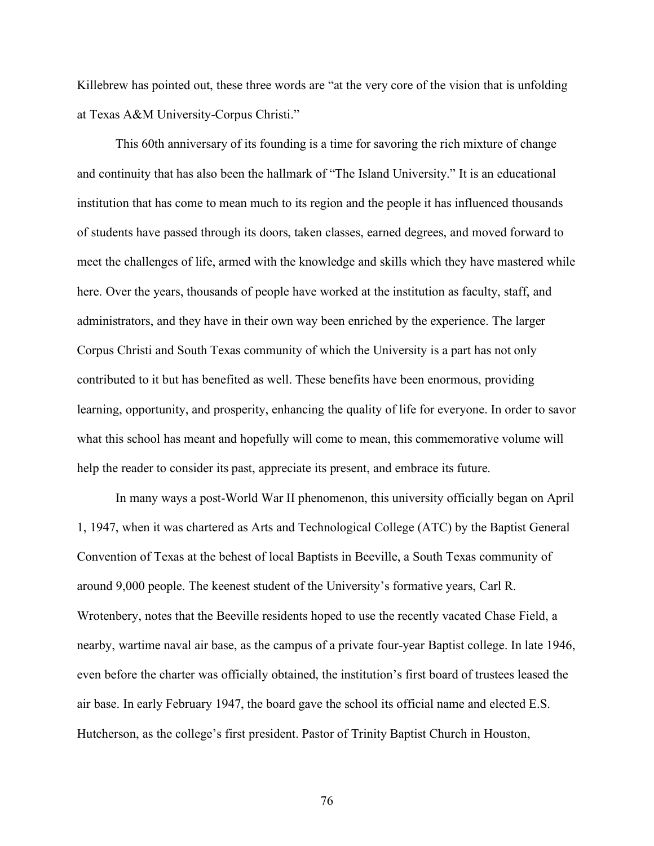Killebrew has pointed out, these three words are "at the very core of the vision that is unfolding at Texas A&M University-Corpus Christi."

This 60th anniversary of its founding is a time for savoring the rich mixture of change and continuity that has also been the hallmark of "The Island University." It is an educational institution that has come to mean much to its region and the people it has influenced thousands of students have passed through its doors, taken classes, earned degrees, and moved forward to meet the challenges of life, armed with the knowledge and skills which they have mastered while here. Over the years, thousands of people have worked at the institution as faculty, staff, and administrators, and they have in their own way been enriched by the experience. The larger Corpus Christi and South Texas community of which the University is a part has not only contributed to it but has benefited as well. These benefits have been enormous, providing learning, opportunity, and prosperity, enhancing the quality of life for everyone. In order to savor what this school has meant and hopefully will come to mean, this commemorative volume will help the reader to consider its past, appreciate its present, and embrace its future.

In many ways a post-World War II phenomenon, this university officially began on April 1, 1947, when it was chartered as Arts and Technological College (ATC) by the Baptist General Convention of Texas at the behest of local Baptists in Beeville, a South Texas community of around 9,000 people. The keenest student of the University's formative years, Carl R. Wrotenbery, notes that the Beeville residents hoped to use the recently vacated Chase Field, a nearby, wartime naval air base, as the campus of a private four-year Baptist college. In late 1946, even before the charter was officially obtained, the institution's first board of trustees leased the air base. In early February 1947, the board gave the school its official name and elected E.S. Hutcherson, as the college's first president. Pastor of Trinity Baptist Church in Houston,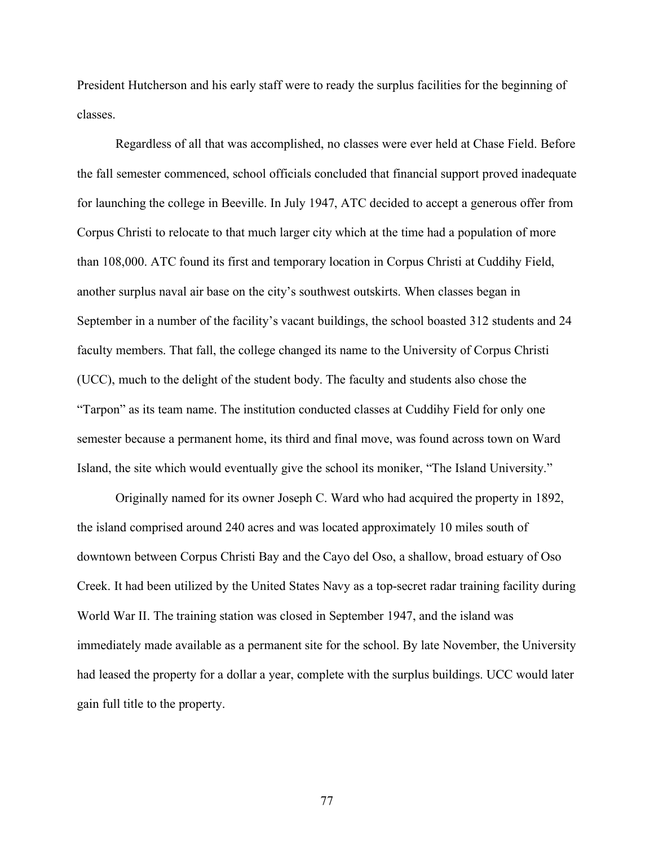President Hutcherson and his early staff were to ready the surplus facilities for the beginning of classes.

Regardless of all that was accomplished, no classes were ever held at Chase Field. Before the fall semester commenced, school officials concluded that financial support proved inadequate for launching the college in Beeville. In July 1947, ATC decided to accept a generous offer from Corpus Christi to relocate to that much larger city which at the time had a population of more than 108,000. ATC found its first and temporary location in Corpus Christi at Cuddihy Field, another surplus naval air base on the city's southwest outskirts. When classes began in September in a number of the facility's vacant buildings, the school boasted 312 students and 24 faculty members. That fall, the college changed its name to the University of Corpus Christi (UCC), much to the delight of the student body. The faculty and students also chose the "Tarpon" as its team name. The institution conducted classes at Cuddihy Field for only one semester because a permanent home, its third and final move, was found across town on Ward Island, the site which would eventually give the school its moniker, "The Island University."

Originally named for its owner Joseph C. Ward who had acquired the property in 1892, the island comprised around 240 acres and was located approximately 10 miles south of downtown between Corpus Christi Bay and the Cayo del Oso, a shallow, broad estuary of Oso Creek. It had been utilized by the United States Navy as a top-secret radar training facility during World War II. The training station was closed in September 1947, and the island was immediately made available as a permanent site for the school. By late November, the University had leased the property for a dollar a year, complete with the surplus buildings. UCC would later gain full title to the property.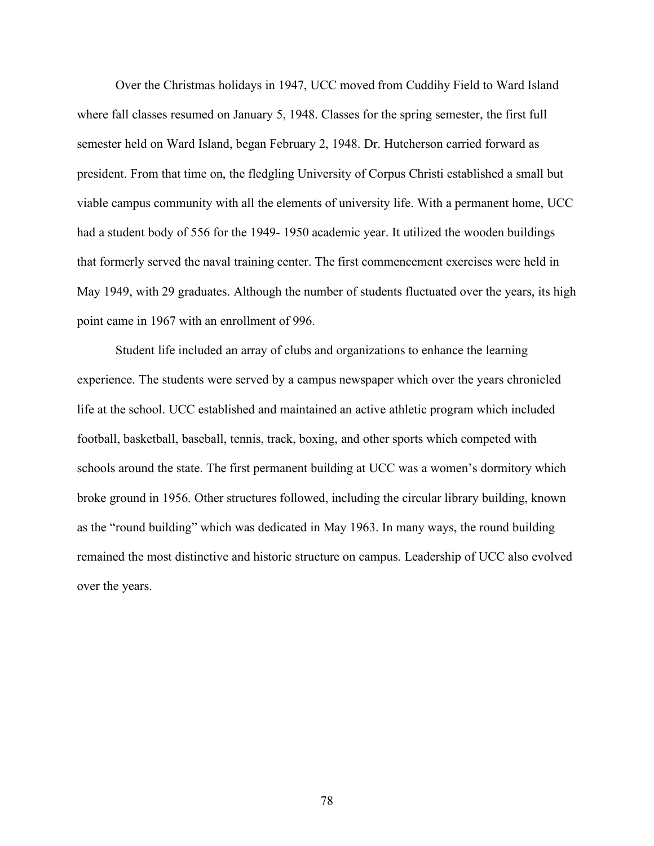Over the Christmas holidays in 1947, UCC moved from Cuddihy Field to Ward Island where fall classes resumed on January 5, 1948. Classes for the spring semester, the first full semester held on Ward Island, began February 2, 1948. Dr. Hutcherson carried forward as president. From that time on, the fledgling University of Corpus Christi established a small but viable campus community with all the elements of university life. With a permanent home, UCC had a student body of 556 for the 1949- 1950 academic year. It utilized the wooden buildings that formerly served the naval training center. The first commencement exercises were held in May 1949, with 29 graduates. Although the number of students fluctuated over the years, its high point came in 1967 with an enrollment of 996.

Student life included an array of clubs and organizations to enhance the learning experience. The students were served by a campus newspaper which over the years chronicled life at the school. UCC established and maintained an active athletic program which included football, basketball, baseball, tennis, track, boxing, and other sports which competed with schools around the state. The first permanent building at UCC was a women's dormitory which broke ground in 1956. Other structures followed, including the circular library building, known as the "round building" which was dedicated in May 1963. In many ways, the round building remained the most distinctive and historic structure on campus. Leadership of UCC also evolved over the years.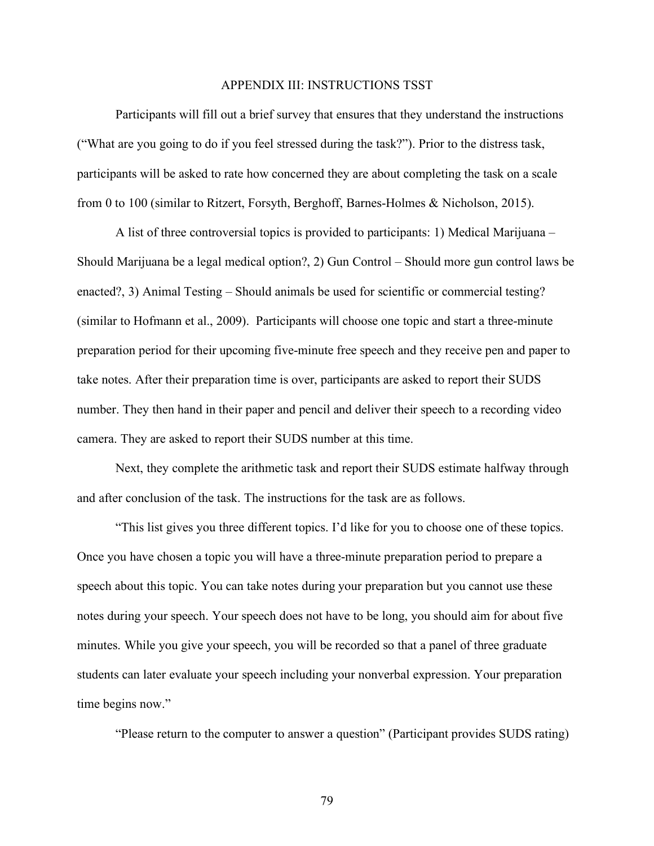#### APPENDIX III: INSTRUCTIONS TSST

Participants will fill out a brief survey that ensures that they understand the instructions ("What are you going to do if you feel stressed during the task?"). Prior to the distress task, participants will be asked to rate how concerned they are about completing the task on a scale from 0 to 100 (similar to Ritzert, Forsyth, Berghoff, Barnes-Holmes & Nicholson, 2015).

A list of three controversial topics is provided to participants: 1) Medical Marijuana – Should Marijuana be a legal medical option?, 2) Gun Control – Should more gun control laws be enacted?, 3) Animal Testing – Should animals be used for scientific or commercial testing? (similar to Hofmann et al., 2009). Participants will choose one topic and start a three-minute preparation period for their upcoming five-minute free speech and they receive pen and paper to take notes. After their preparation time is over, participants are asked to report their SUDS number. They then hand in their paper and pencil and deliver their speech to a recording video camera. They are asked to report their SUDS number at this time.

Next, they complete the arithmetic task and report their SUDS estimate halfway through and after conclusion of the task. The instructions for the task are as follows.

"This list gives you three different topics. I'd like for you to choose one of these topics. Once you have chosen a topic you will have a three-minute preparation period to prepare a speech about this topic. You can take notes during your preparation but you cannot use these notes during your speech. Your speech does not have to be long, you should aim for about five minutes. While you give your speech, you will be recorded so that a panel of three graduate students can later evaluate your speech including your nonverbal expression. Your preparation time begins now."

"Please return to the computer to answer a question" (Participant provides SUDS rating)